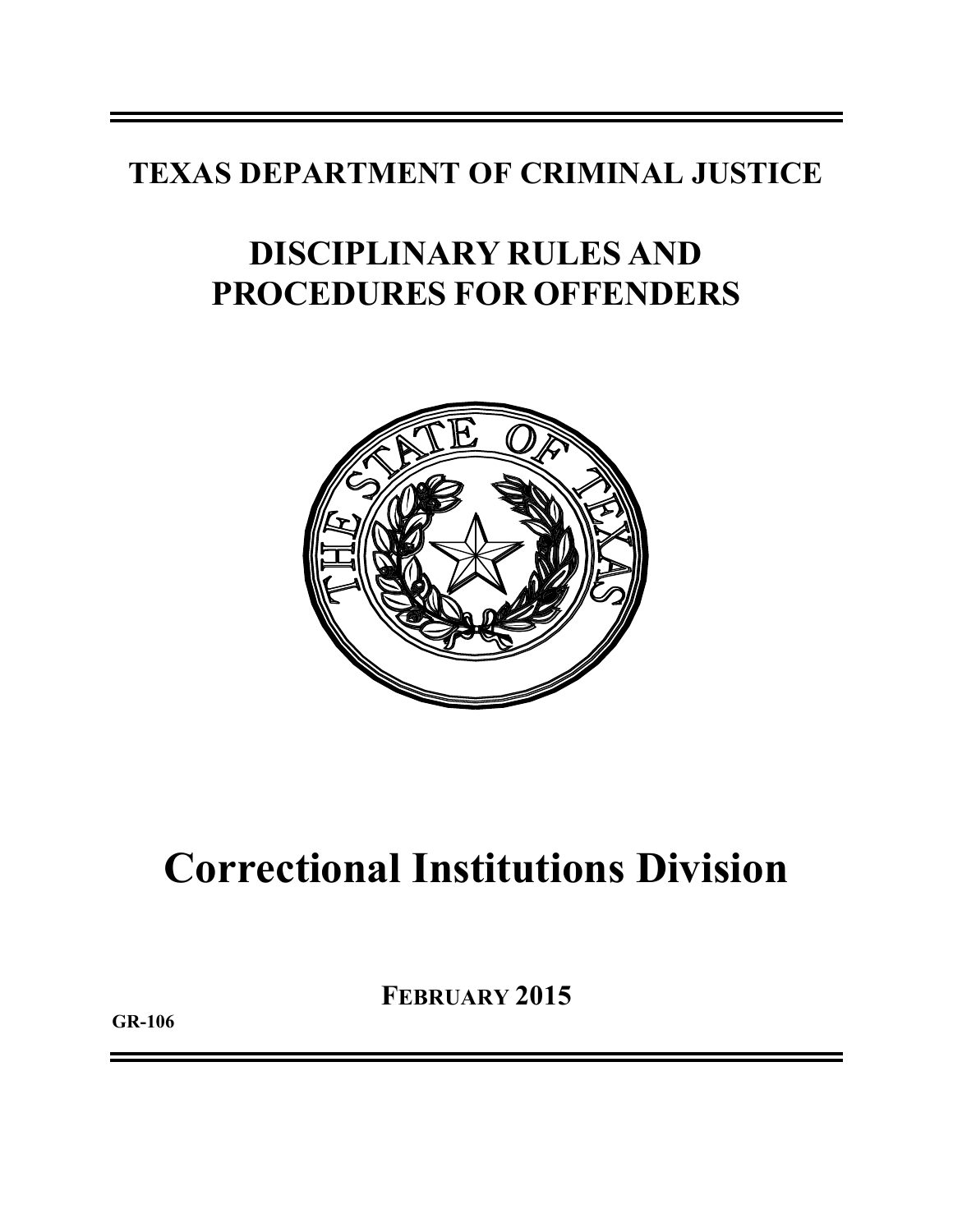### **TEXAS DEPARTMENT OF CRIMINAL JUSTICE**

## **DISCIPLINARY RULES AND PROCEDURES FOR OFFENDERS**



# **Correctional Institutions Division**

**FEBRUARY 2015**

**GR-106**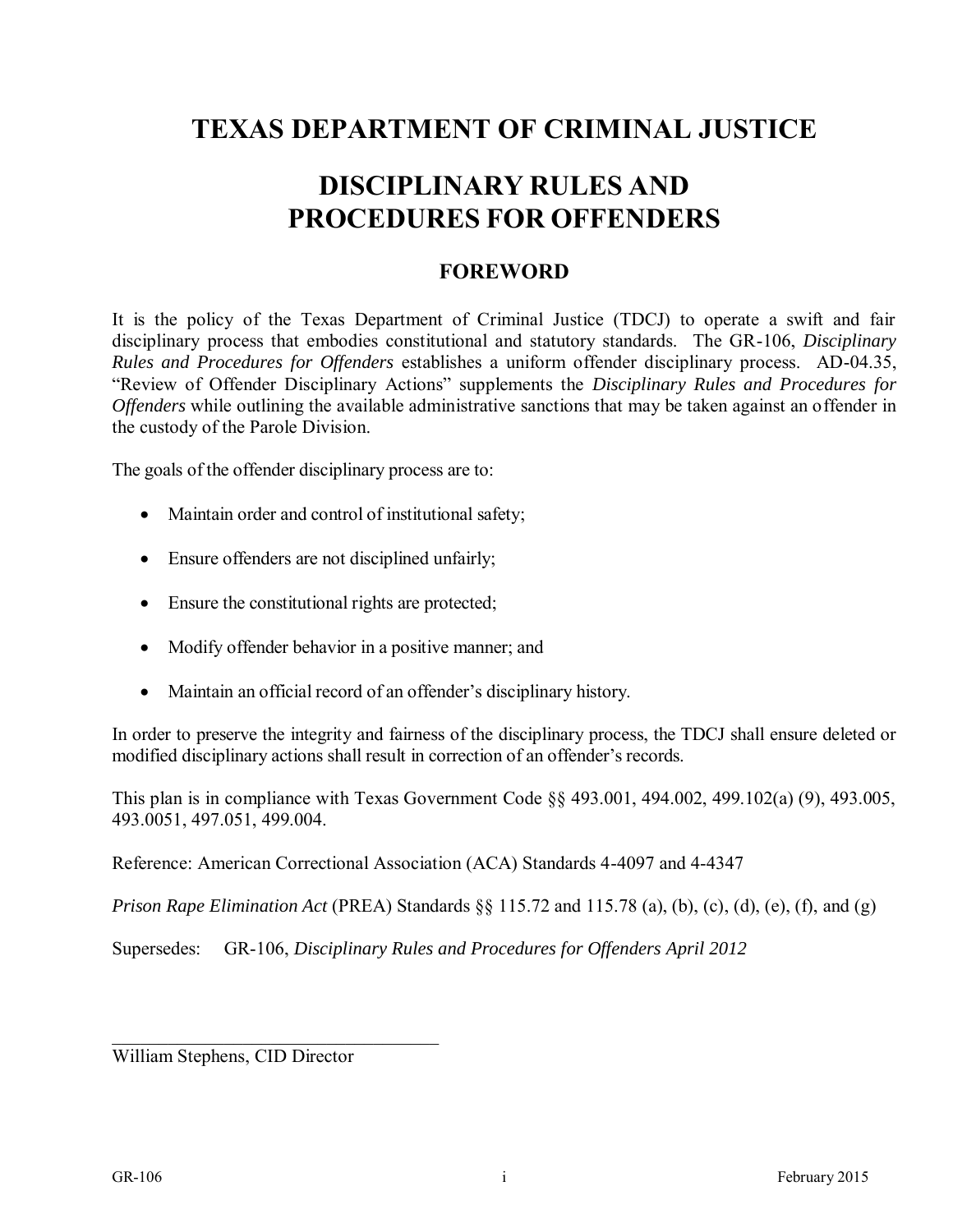### **TEXAS DEPARTMENT OF CRIMINAL JUSTIC E**

### **DISCIPLINARY RULES AND PROCEDURES FOR OFFENDERS**

#### **FOREWORD**

It is the policy of the Texas Department of Criminal Justice (TDCJ) to operate a swift and fair disciplinary process that embodies constitutional and statutory standards. The GR-106, *Disciplinary Rules and Procedures for Offenders* establishes a uniform offender disciplinary process. AD-04.35, "Review of Offender Disciplinary Actions" supplements the *Disciplinary Rules and Procedures for Offenders* while outlining the available administrative sanctions that may be taken against an offender in the custody of the Parole Division.

The goals of the offender disciplinary process are to:

- Maintain order and control of institutional safety;
- Ensure offenders are not disciplined unfairly;
- Ensure the constitutional rights are protected;
- Modify offender behavior in a positive manner; and
- Maintain an official record of an offender's disciplinary history.

In order to preserve the integrity and fairness of the disciplinary process, the TDCJ shall ensure deleted or modified disciplinary actions shall result in correction of an offender's records.

This plan is in compliance with Texas Government Code §§ 493.001, 494.002, 499.102(a) (9), 493.005, 493.0051, 497.051, 499.004.

Reference: American Correctional Association (ACA) Standards 4-4097 and 4-4347

*Prison Rape Elimination Act* (PREA) Standards §§ 115.72 and 115.78 (a), (b), (c), (d), (e), (f), and (g)

Supersedes: GR-106, *Disciplinary Rules and Procedures for Offenders April 2012* 

William Stephens, CID Director

 $\overline{\phantom{a}}$  ,  $\overline{\phantom{a}}$  ,  $\overline{\phantom{a}}$  ,  $\overline{\phantom{a}}$  ,  $\overline{\phantom{a}}$  ,  $\overline{\phantom{a}}$  ,  $\overline{\phantom{a}}$  ,  $\overline{\phantom{a}}$  ,  $\overline{\phantom{a}}$  ,  $\overline{\phantom{a}}$  ,  $\overline{\phantom{a}}$  ,  $\overline{\phantom{a}}$  ,  $\overline{\phantom{a}}$  ,  $\overline{\phantom{a}}$  ,  $\overline{\phantom{a}}$  ,  $\overline{\phantom{a}}$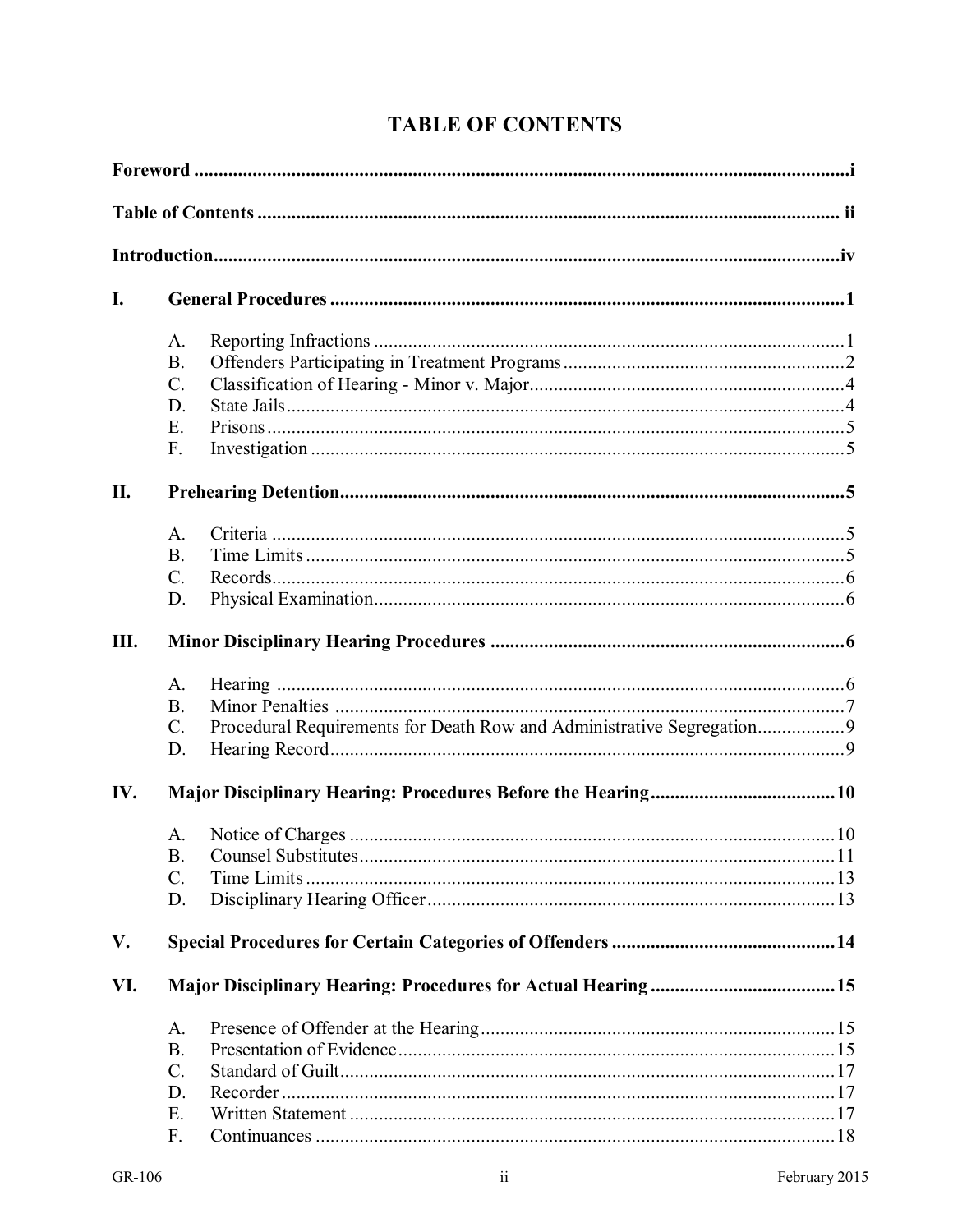| I.  |                 |  |  |  |  |  |  |  |  |  |  |
|-----|-----------------|--|--|--|--|--|--|--|--|--|--|
|     | A.              |  |  |  |  |  |  |  |  |  |  |
|     | <b>B.</b>       |  |  |  |  |  |  |  |  |  |  |
|     | C.              |  |  |  |  |  |  |  |  |  |  |
|     | D.              |  |  |  |  |  |  |  |  |  |  |
|     | Ε.              |  |  |  |  |  |  |  |  |  |  |
|     | F.              |  |  |  |  |  |  |  |  |  |  |
| П.  |                 |  |  |  |  |  |  |  |  |  |  |
|     | A.              |  |  |  |  |  |  |  |  |  |  |
|     | <b>B.</b>       |  |  |  |  |  |  |  |  |  |  |
|     | $C$ .           |  |  |  |  |  |  |  |  |  |  |
|     | D.              |  |  |  |  |  |  |  |  |  |  |
| Ш.  |                 |  |  |  |  |  |  |  |  |  |  |
|     | A.              |  |  |  |  |  |  |  |  |  |  |
|     | <b>B.</b>       |  |  |  |  |  |  |  |  |  |  |
|     | $C$ .           |  |  |  |  |  |  |  |  |  |  |
|     | D.              |  |  |  |  |  |  |  |  |  |  |
| IV. |                 |  |  |  |  |  |  |  |  |  |  |
|     | A.              |  |  |  |  |  |  |  |  |  |  |
|     |                 |  |  |  |  |  |  |  |  |  |  |
|     | C.              |  |  |  |  |  |  |  |  |  |  |
|     | D.              |  |  |  |  |  |  |  |  |  |  |
| V.  |                 |  |  |  |  |  |  |  |  |  |  |
| VI. |                 |  |  |  |  |  |  |  |  |  |  |
|     | A.              |  |  |  |  |  |  |  |  |  |  |
|     | <b>B.</b>       |  |  |  |  |  |  |  |  |  |  |
|     | $\mathcal{C}$ . |  |  |  |  |  |  |  |  |  |  |
|     | D.              |  |  |  |  |  |  |  |  |  |  |
|     | Ε.              |  |  |  |  |  |  |  |  |  |  |
|     | F.              |  |  |  |  |  |  |  |  |  |  |
|     |                 |  |  |  |  |  |  |  |  |  |  |

### **TABLE OF CONTENTS**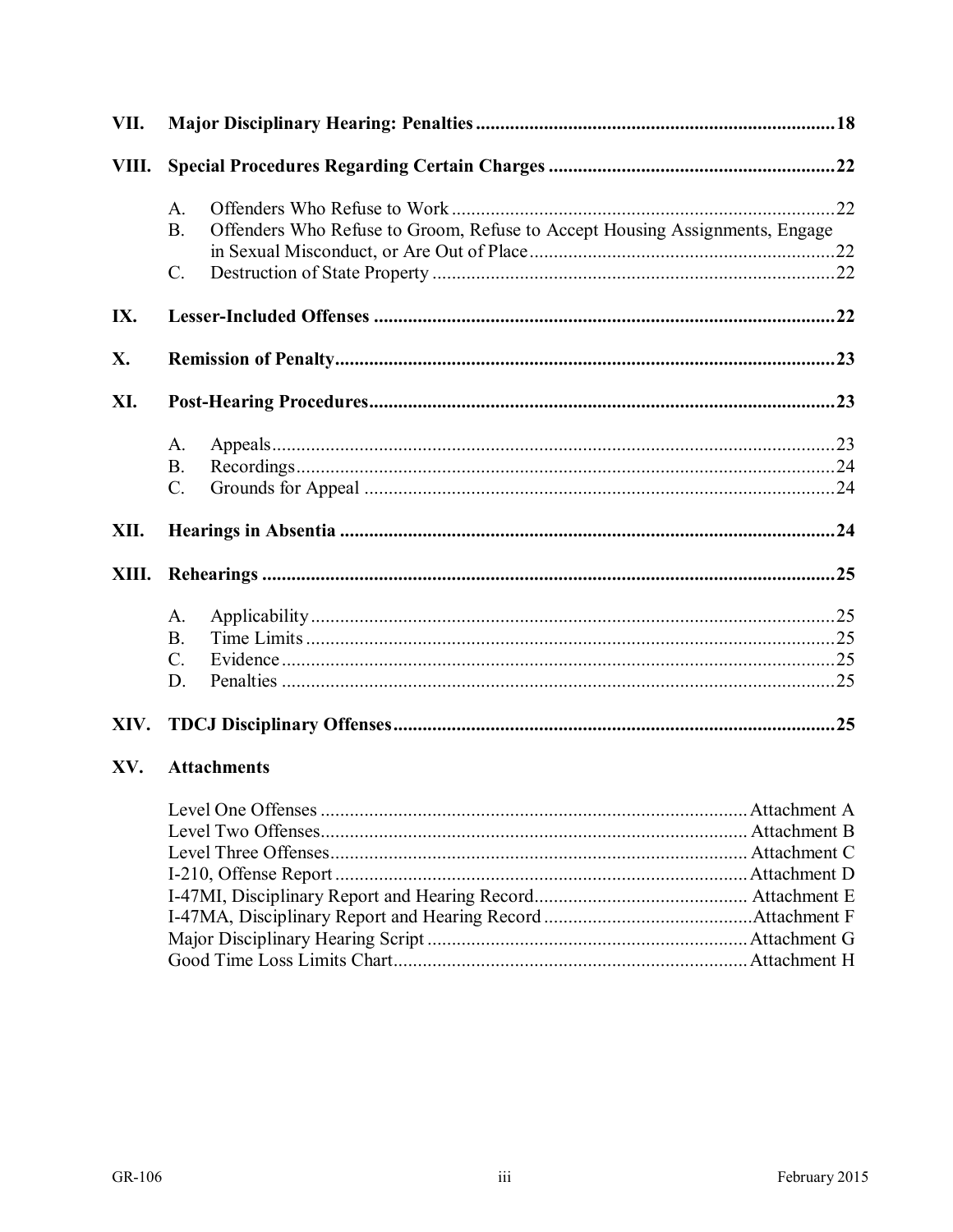| VII.  |                                                                                          |  |  |  |  |  |  |  |  |  |  |  |
|-------|------------------------------------------------------------------------------------------|--|--|--|--|--|--|--|--|--|--|--|
| VIII. |                                                                                          |  |  |  |  |  |  |  |  |  |  |  |
|       | $A_{\cdot}$                                                                              |  |  |  |  |  |  |  |  |  |  |  |
|       | Offenders Who Refuse to Groom, Refuse to Accept Housing Assignments, Engage<br><b>B.</b> |  |  |  |  |  |  |  |  |  |  |  |
|       |                                                                                          |  |  |  |  |  |  |  |  |  |  |  |
|       | $\mathcal{C}$ .                                                                          |  |  |  |  |  |  |  |  |  |  |  |
| IX.   |                                                                                          |  |  |  |  |  |  |  |  |  |  |  |
| X.    |                                                                                          |  |  |  |  |  |  |  |  |  |  |  |
| XI.   |                                                                                          |  |  |  |  |  |  |  |  |  |  |  |
|       | A.                                                                                       |  |  |  |  |  |  |  |  |  |  |  |
|       | <b>B.</b>                                                                                |  |  |  |  |  |  |  |  |  |  |  |
|       | C.                                                                                       |  |  |  |  |  |  |  |  |  |  |  |
| XII.  |                                                                                          |  |  |  |  |  |  |  |  |  |  |  |
|       |                                                                                          |  |  |  |  |  |  |  |  |  |  |  |
|       | A.                                                                                       |  |  |  |  |  |  |  |  |  |  |  |
|       | <b>B.</b>                                                                                |  |  |  |  |  |  |  |  |  |  |  |
|       | $\mathbf{C}$ .                                                                           |  |  |  |  |  |  |  |  |  |  |  |
|       | D.                                                                                       |  |  |  |  |  |  |  |  |  |  |  |
|       |                                                                                          |  |  |  |  |  |  |  |  |  |  |  |
| XV.   | <b>Attachments</b>                                                                       |  |  |  |  |  |  |  |  |  |  |  |
|       |                                                                                          |  |  |  |  |  |  |  |  |  |  |  |
|       |                                                                                          |  |  |  |  |  |  |  |  |  |  |  |
|       |                                                                                          |  |  |  |  |  |  |  |  |  |  |  |
|       |                                                                                          |  |  |  |  |  |  |  |  |  |  |  |
|       |                                                                                          |  |  |  |  |  |  |  |  |  |  |  |
|       |                                                                                          |  |  |  |  |  |  |  |  |  |  |  |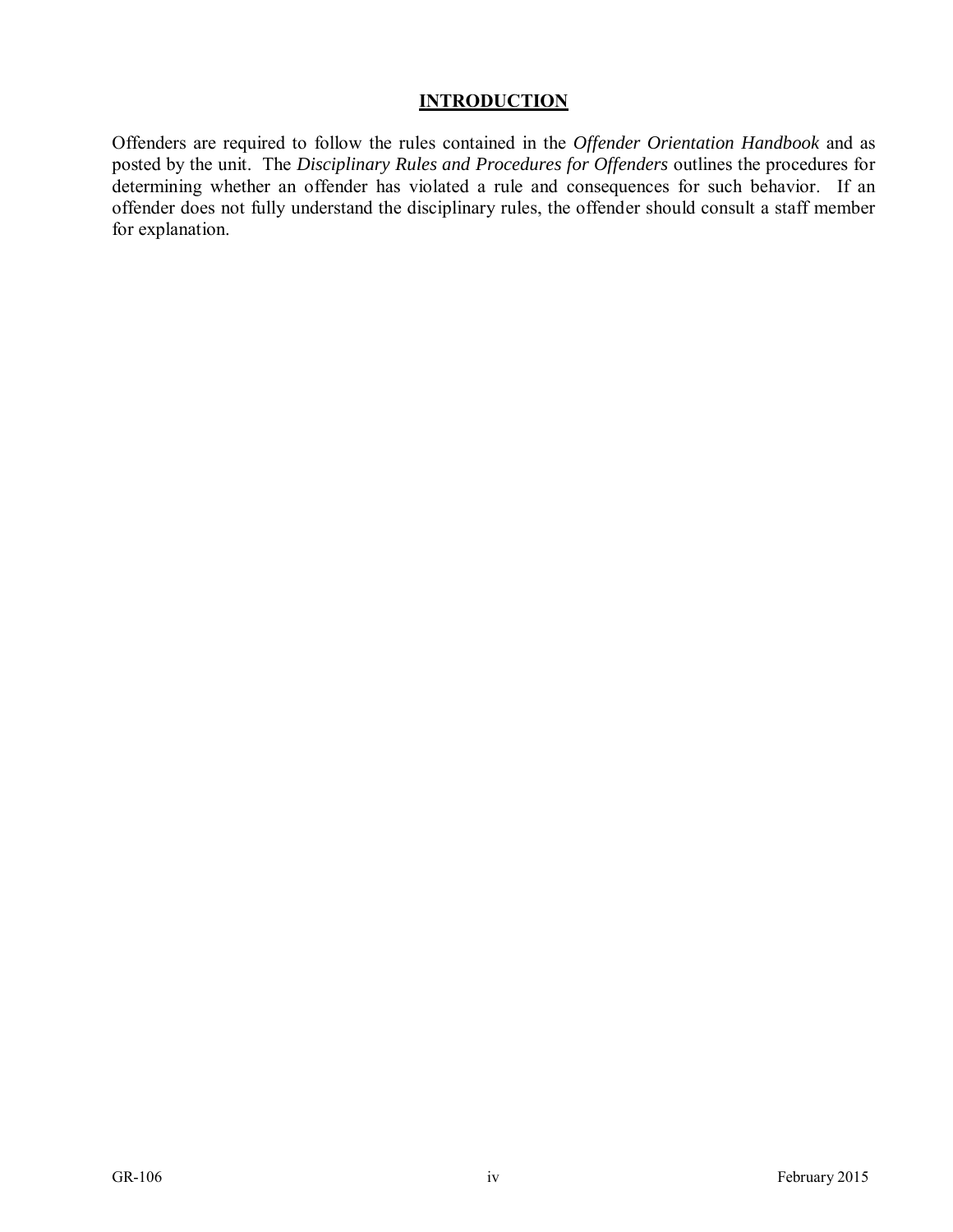#### **INTRODUCTION**

Offenders are required to follow the rules contained in the *Offender Orientation Handbook* and as posted by the unit. The *Disciplinary Rules and Procedures for Offenders* outlines the procedures for determining whether an offender has violated a rule and consequences for such behavior. If an offender does not fully understand the disciplinary rules, the offender should consult a staff member for explanation.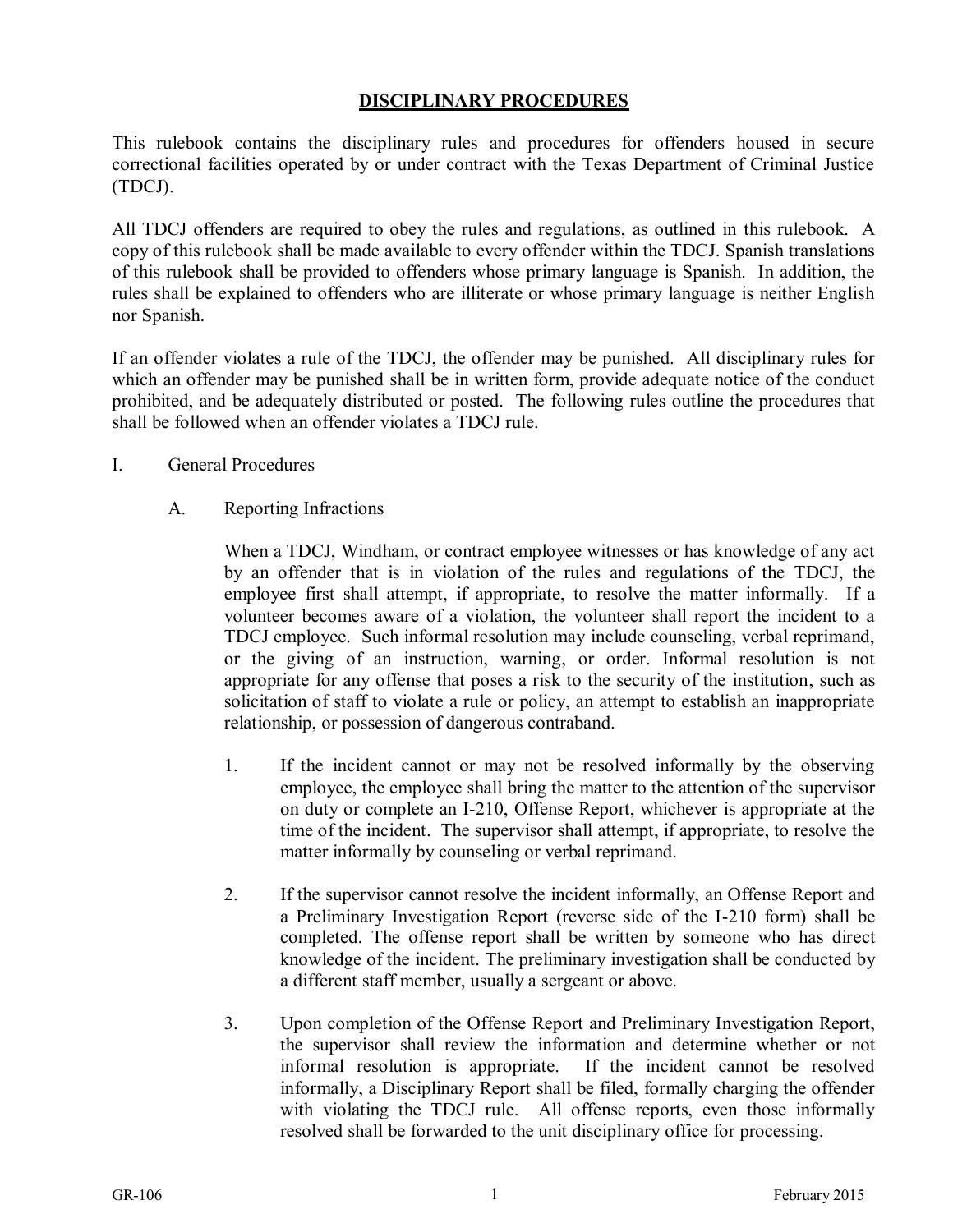#### **DISCIPLINARY PROCEDURES**

This rulebook contains the disciplinary rules and procedures for offenders housed in secure correctional facilities operated by or under contract with the Texas Department of Criminal Justice (TDCJ).

All TDCJ offenders are required to obey the rules and regulations, as outlined in this rulebook. A copy of this rulebook shall be made available to every offender within the TDCJ. Spanish translations of this rulebook shall be provided to offenders whose primary language is Spanish. In addition, the rules shall be explained to offenders who are illiterate or whose primary language is neither English nor Spanish.

If an offender violates a rule of the TDCJ, the offender may be punished. All disciplinary rules for which an offender may be punished shall be in written form, provide adequate notice of the conduct prohibited, and be adequately distributed or posted. The following rules outline the procedures that shall be followed when an offender violates a TDCJ rule.

- I. General Procedures
	- A. Reporting Infractions

When a TDCJ, Windham, or contract employee witnesses or has knowledge of any act by an offender that is in violation of the rules and regulations of the TDCJ, the employee first shall attempt, if appropriate, to resolve the matter informally. If a volunteer becomes aware of a violation, the volunteer shall report the incident to a TDCJ employee. Such informal resolution may include counseling, verbal reprimand, or the giving of an instruction, warning, or order. Informal resolution is not appropriate for any offense that poses a risk to the security of the institution, such as solicitation of staff to violate a rule or policy, an attempt to establish an inappropriate relationship, or possession of dangerous contraband.

- 1. If the incident cannot or may not be resolved informally by the observing employee, the employee shall bring the matter to the attention of the supervisor on duty or complete an I-210, Offense Report, whichever is appropriate at the time of the incident. The supervisor shall attempt, if appropriate, to resolve the matter informally by counseling or verbal reprimand.
- 2. If the supervisor cannot resolve the incident informally, an Offense Report and a Preliminary Investigation Report (reverse side of the I-210 form) shall be completed. The offense report shall be written by someone who has direct knowledge of the incident. The preliminary investigation shall be conducted by a different staff member, usually a sergeant or above.
- 3. Upon completion of the Offense Report and Preliminary Investigation Report, the supervisor shall review the information and determine whether or not informal resolution is appropriate. If the incident cannot be resolved informally, a Disciplinary Report shall be filed, formally charging the offender with violating the TDCJ rule. All offense reports, even those informally resolved shall be forwarded to the unit disciplinary office for processing.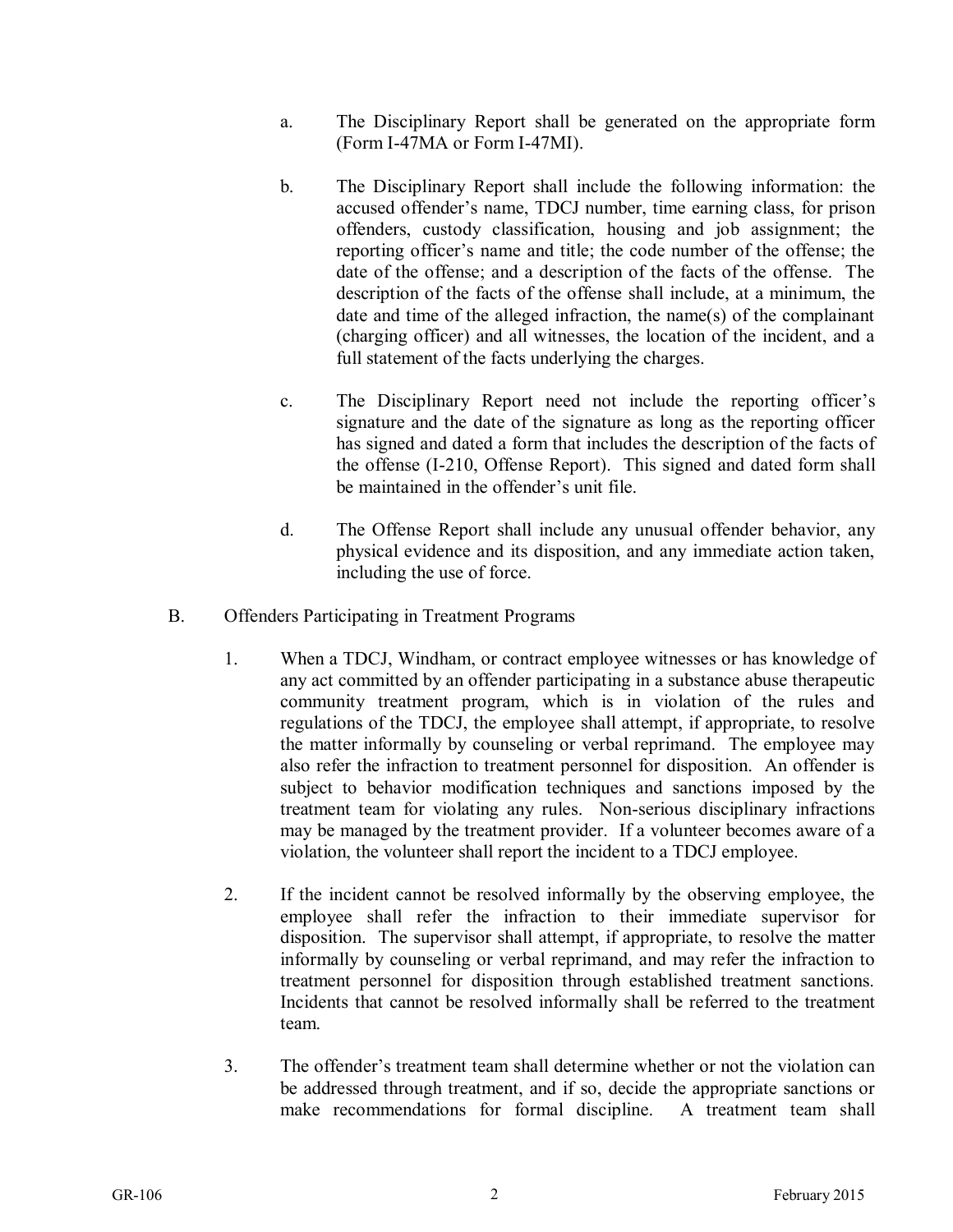- a. The Disciplinary Report shall be generated on the appropriate form (Form I-47MA or Form I-47MI).
- b. The Disciplinary Report shall include the following information: the accused offender's name, TDCJ number, time earning class, for prison offenders, custody classification, housing and job assignment; the reporting officer's name and title; the code number of the offense; the date of the offense; and a description of the facts of the offense. The description of the facts of the offense shall include, at a minimum, the date and time of the alleged infraction, the name(s) of the complainant (charging officer) and all witnesses, the location of the incident, and a full statement of the facts underlying the charges.
- c. The Disciplinary Report need not include the reporting officer's signature and the date of the signature as long as the reporting officer has signed and dated a form that includes the description of the facts of the offense (I-210, Offense Report). This signed and dated form shall be maintained in the offender's unit file.
- d. The Offense Report shall include any unusual offender behavior, any physical evidence and its disposition, and any immediate action taken, including the use of force.
- B. Offenders Participating in Treatment Programs
	- 1. When a TDCJ, Windham, or contract employee witnesses or has knowledge of any act committed by an offender participating in a substance abuse therapeutic community treatment program, which is in violation of the rules and regulations of the TDCJ, the employee shall attempt, if appropriate, to resolve the matter informally by counseling or verbal reprimand. The employee may also refer the infraction to treatment personnel for disposition. An offender is subject to behavior modification techniques and sanctions imposed by the treatment team for violating any rules. Non-serious disciplinary infractions may be managed by the treatment provider. If a volunteer becomes aware of a violation, the volunteer shall report the incident to a TDCJ employee.
	- 2. If the incident cannot be resolved informally by the observing employee, the employee shall refer the infraction to their immediate supervisor for disposition. The supervisor shall attempt, if appropriate, to resolve the matter informally by counseling or verbal reprimand, and may refer the infraction to treatment personnel for disposition through established treatment sanctions. Incidents that cannot be resolved informally shall be referred to the treatment team.
	- 3. The offender's treatment team shall determine whether or not the violation can be addressed through treatment, and if so, decide the appropriate sanctions or make recommendations for formal discipline. A treatment team shall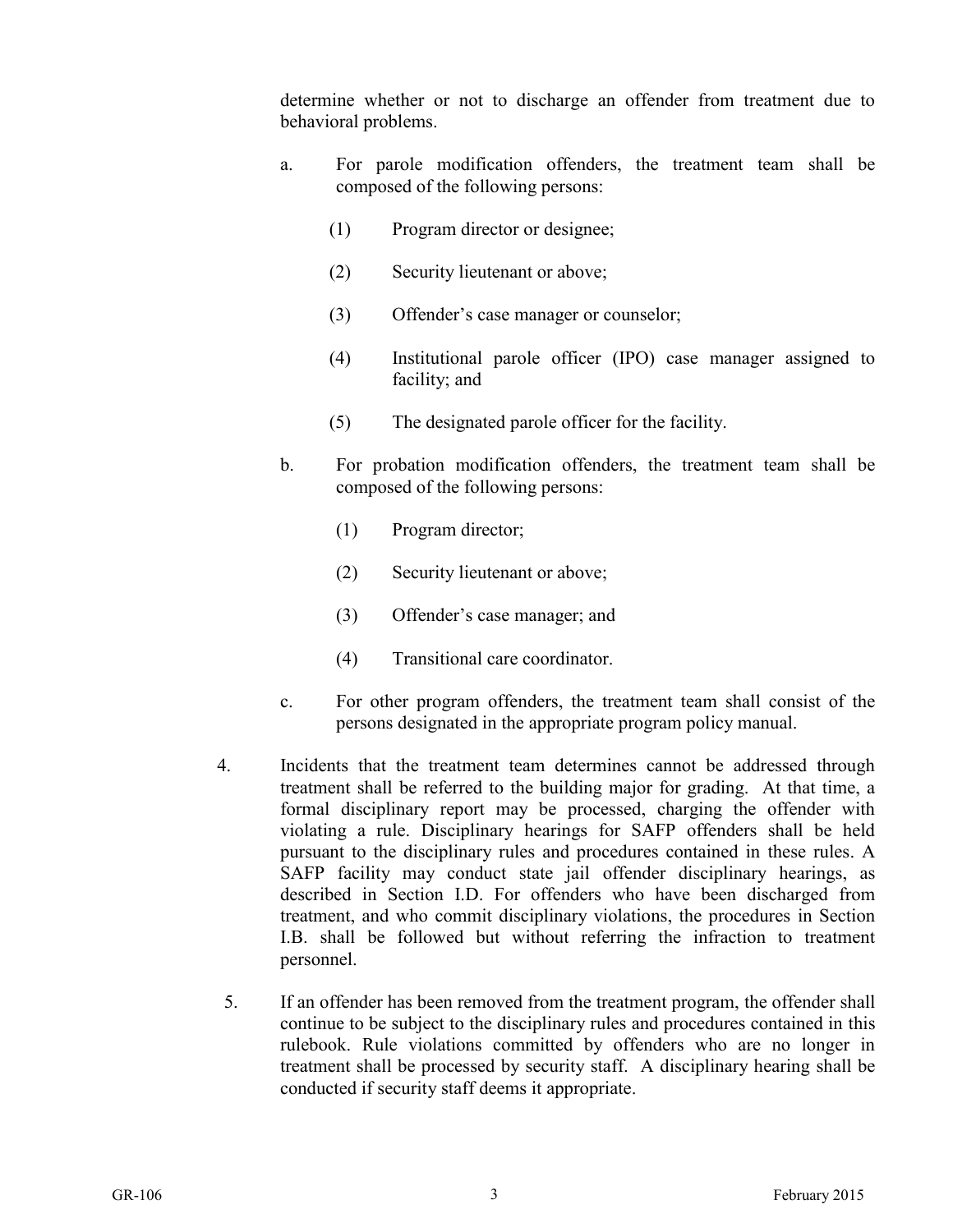determine whether or not to discharge an offender from treatment due to behavioral problems.

- a. For parole modification offenders, the treatment team shall be composed of the following persons:
	- (1) Program director or designee;
	- (2) Security lieutenant or above;
	- (3) Offender's case manager or counselor;
	- (4) Institutional parole officer (IPO) case manager assigned to facility; and
	- (5) The designated parole officer for the facility.
- b. For probation modification offenders, the treatment team shall be composed of the following persons:
	- (1) Program director;
	- (2) Security lieutenant or above;
	- (3) Offender's case manager; and
	- (4) Transitional care coordinator.
- c. For other program offenders, the treatment team shall consist of the persons designated in the appropriate program policy manual.
- 4. Incidents that the treatment team determines cannot be addressed through treatment shall be referred to the building major for grading. At that time, a formal disciplinary report may be processed, charging the offender with violating a rule. Disciplinary hearings for SAFP offenders shall be held pursuant to the disciplinary rules and procedures contained in these rules. A SAFP facility may conduct state jail offender disciplinary hearings, as described in Section I.D. For offenders who have been discharged from treatment, and who commit disciplinary violations, the procedures in Section I.B. shall be followed but without referring the infraction to treatment personnel.
	- 5. If an offender has been removed from the treatment program, the offender shall continue to be subject to the disciplinary rules and procedures contained in this rulebook. Rule violations committed by offenders who are no longer in treatment shall be processed by security staff. A disciplinary hearing shall be conducted if security staff deems it appropriate.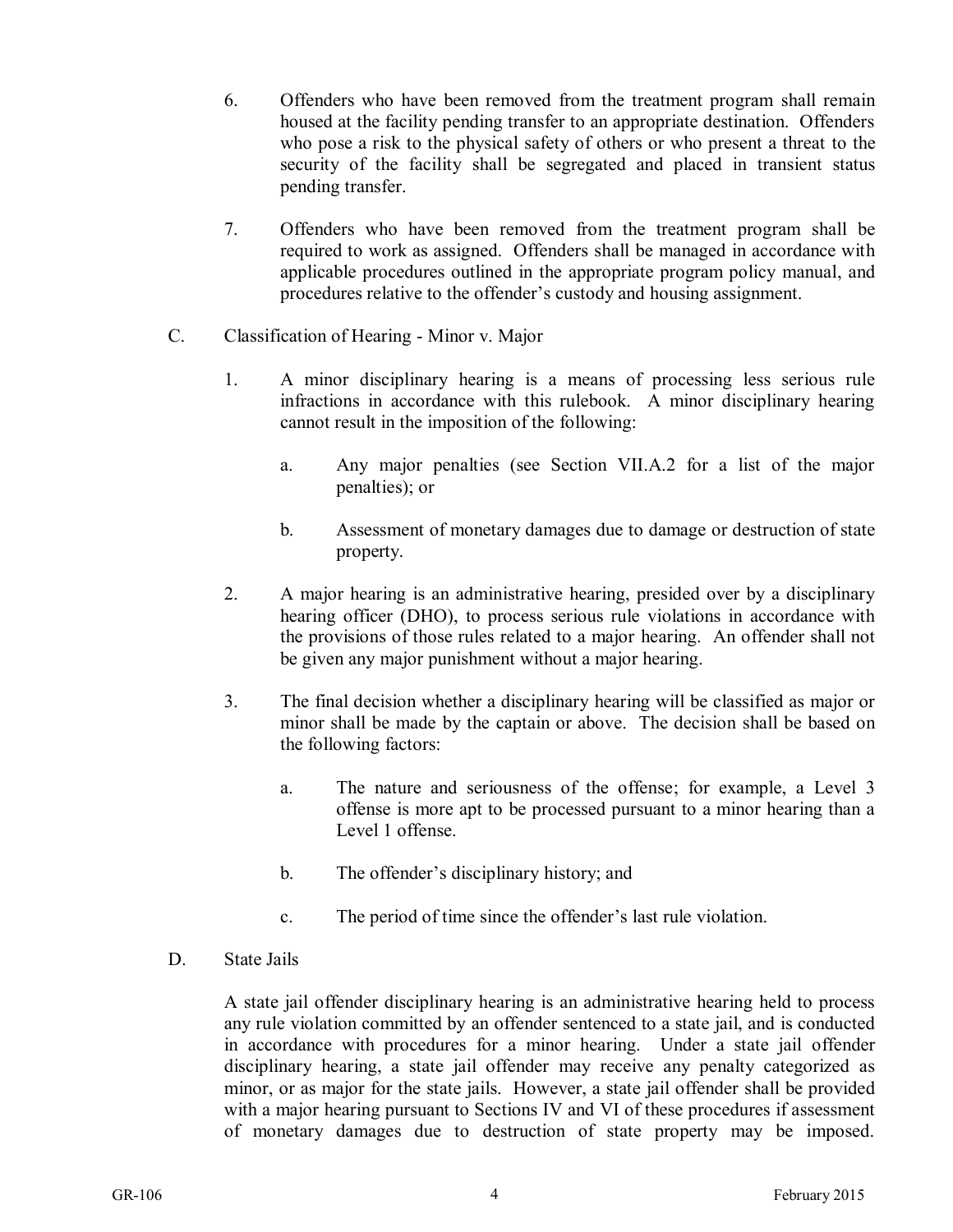- 6. Offenders who have been removed from the treatment program shall remain housed at the facility pending transfer to an appropriate destination. Offenders who pose a risk to the physical safety of others or who present a threat to the security of the facility shall be segregated and placed in transient status pending transfer.
- 7. Offenders who have been removed from the treatment program shall be required to work as assigned. Offenders shall be managed in accordance with applicable procedures outlined in the appropriate program policy manual, and procedures relative to the offender's custody and housing assignment.
- C. Classification of Hearing Minor v. Major
	- 1. A minor disciplinary hearing is a means of processing less serious rule infractions in accordance with this rulebook. A minor disciplinary hearing cannot result in the imposition of the following:
		- a. Any major penalties (see Section VII.A.2 for a list of the major penalties); or
		- b. Assessment of monetary damages due to damage or destruction of state property.
	- 2. A major hearing is an administrative hearing, presided over by a disciplinary hearing officer (DHO), to process serious rule violations in accordance with the provisions of those rules related to a major hearing. An offender shall not be given any major punishment without a major hearing.
	- 3. The final decision whether a disciplinary hearing will be classified as major or minor shall be made by the captain or above. The decision shall be based on the following factors:
		- a. The nature and seriousness of the offense; for example, a Level 3 offense is more apt to be processed pursuant to a minor hearing than a Level 1 offense.
		- b. The offender's disciplinary history; and
		- c. The period of time since the offender's last rule violation.
- D. State Jails

A state jail offender disciplinary hearing is an administrative hearing held to process any rule violation committed by an offender sentenced to a state jail, and is conducted in accordance with procedures for a minor hearing. Under a state jail offender disciplinary hearing, a state jail offender may receive any penalty categorized as minor, or as major for the state jails. However, a state jail offender shall be provided with a major hearing pursuant to Sections IV and VI of these procedures if assessment of monetary damages due to destruction of state property may be imposed.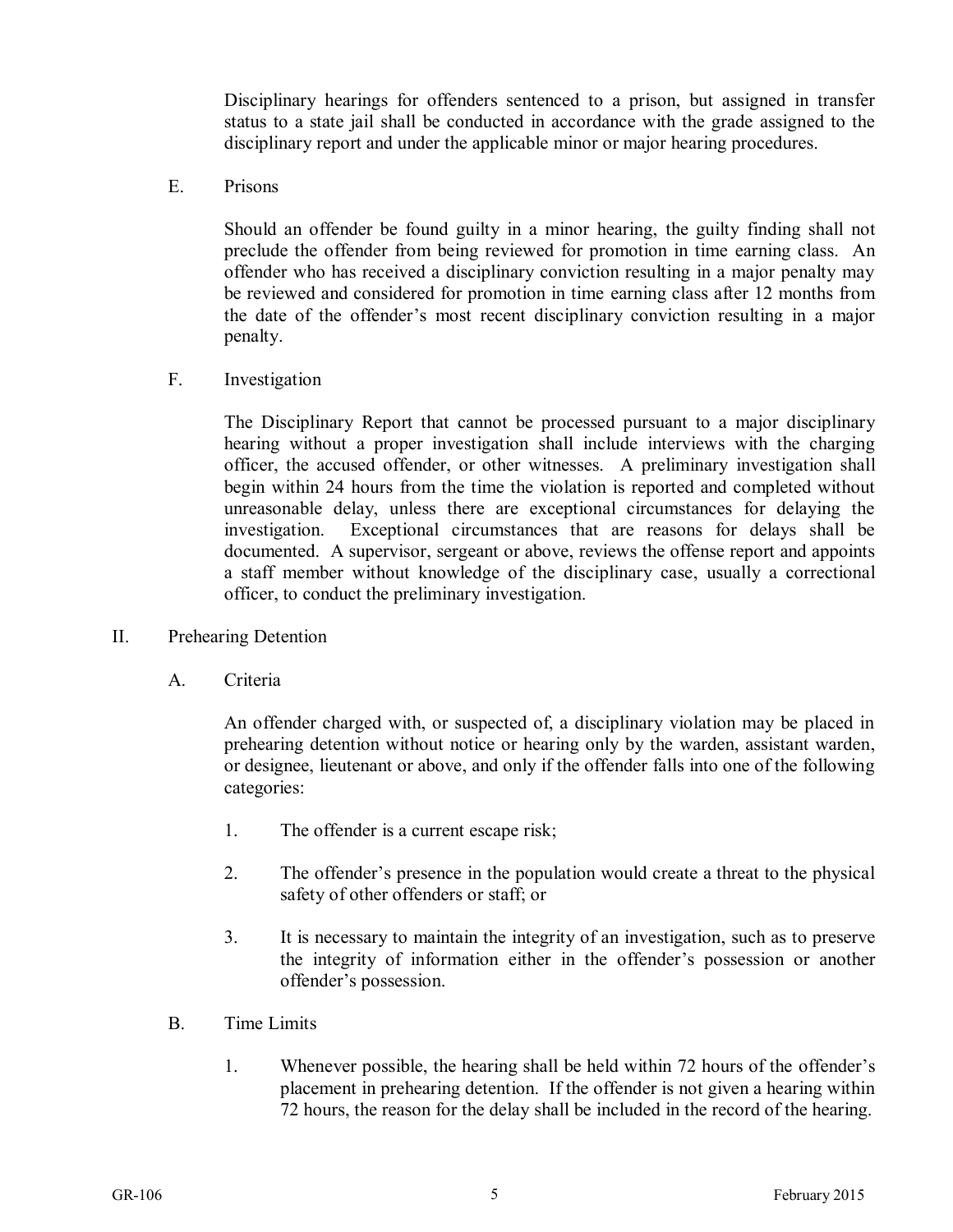Disciplinary hearings for offenders sentenced to a prison, but assigned in transfer status to a state jail shall be conducted in accordance with the grade assigned to the disciplinary report and under the applicable minor or major hearing procedures.

E. Prisons

Should an offender be found guilty in a minor hearing, the guilty finding shall not preclude the offender from being reviewed for promotion in time earning class. An offender who has received a disciplinary conviction resulting in a major penalty may be reviewed and considered for promotion in time earning class after 12 months from the date of the offender's most recent disciplinary conviction resulting in a major penalty.

F. Investigation

The Disciplinary Report that cannot be processed pursuant to a major disciplinary hearing without a proper investigation shall include interviews with the charging officer, the accused offender, or other witnesses. A preliminary investigation shall begin within 24 hours from the time the violation is reported and completed without unreasonable delay, unless there are exceptional circumstances for delaying the investigation. Exceptional circumstances that are reasons for delays shall be documented. A supervisor, sergeant or above, reviews the offense report and appoints a staff member without knowledge of the disciplinary case, usually a correctional officer, to conduct the preliminary investigation.

- II. Prehearing Detention
	- A. Criteria

An offender charged with, or suspected of, a disciplinary violation may be placed in prehearing detention without notice or hearing only by the warden, assistant warden, or designee, lieutenant or above, and only if the offender falls into one of the following categories:

- 1. The offender is a current escape risk;
- 2. The offender's presence in the population would create a threat to the physical safety of other offenders or staff; or
- 3. It is necessary to maintain the integrity of an investigation, such as to preserve the integrity of information either in the offender's possession or another offender's possession.
- B. Time Limits
	- 1. Whenever possible, the hearing shall be held within 72 hours of the offender's placement in prehearing detention. If the offender is not given a hearing within 72 hours, the reason for the delay shall be included in the record of the hearing.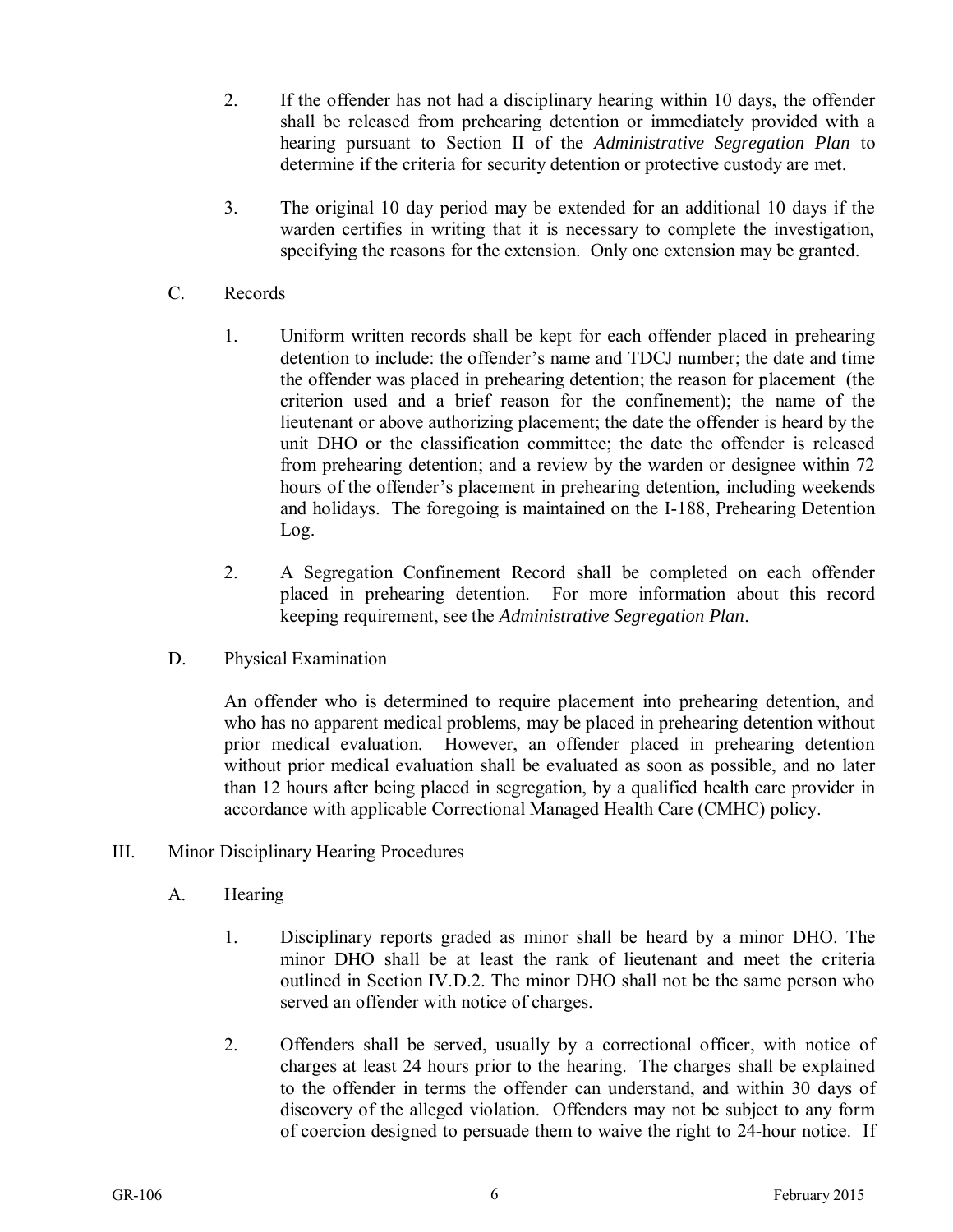- 2. If the offender has not had a disciplinary hearing within 10 days, the offender shall be released from prehearing detention or immediately provided with a hearing pursuant to Section II of the *Administrative Segregation Plan* to determine if the criteria for security detention or protective custody are met.
- 3. The original 10 day period may be extended for an additional 10 days if the warden certifies in writing that it is necessary to complete the investigation, specifying the reasons for the extension. Only one extension may be granted.
- C. Records
	- 1. Uniform written records shall be kept for each offender placed in prehearing detention to include: the offender's name and TDCJ number; the date and time the offender was placed in prehearing detention; the reason for placement (the criterion used and a brief reason for the confinement); the name of the lieutenant or above authorizing placement; the date the offender is heard by the unit DHO or the classification committee; the date the offender is released from prehearing detention; and a review by the warden or designee within 72 hours of the offender's placement in prehearing detention, including weekends and holidays. The foregoing is maintained on the I-188, Prehearing Detention Log.
	- 2. A Segregation Confinement Record shall be completed on each offender placed in prehearing detention. For more information about this record keeping requirement, see the *Administrative Segregation Plan*.
- D. Physical Examination

An offender who is determined to require placement into prehearing detention, and who has no apparent medical problems, may be placed in prehearing detention without prior medical evaluation. However, an offender placed in prehearing detention without prior medical evaluation shall be evaluated as soon as possible, and no later than 12 hours after being placed in segregation, by a qualified health care provider in accordance with applicable Correctional Managed Health Care (CMHC) policy.

- III. Minor Disciplinary Hearing Procedures
	- A. Hearing
		- 1. Disciplinary reports graded as minor shall be heard by a minor DHO. The minor DHO shall be at least the rank of lieutenant and meet the criteria outlined in Section IV.D.2. The minor DHO shall not be the same person who served an offender with notice of charges.
		- 2. Offenders shall be served, usually by a correctional officer, with notice of charges at least 24 hours prior to the hearing. The charges shall be explained to the offender in terms the offender can understand, and within 30 days of discovery of the alleged violation. Offenders may not be subject to any form of coercion designed to persuade them to waive the right to 24-hour notice. If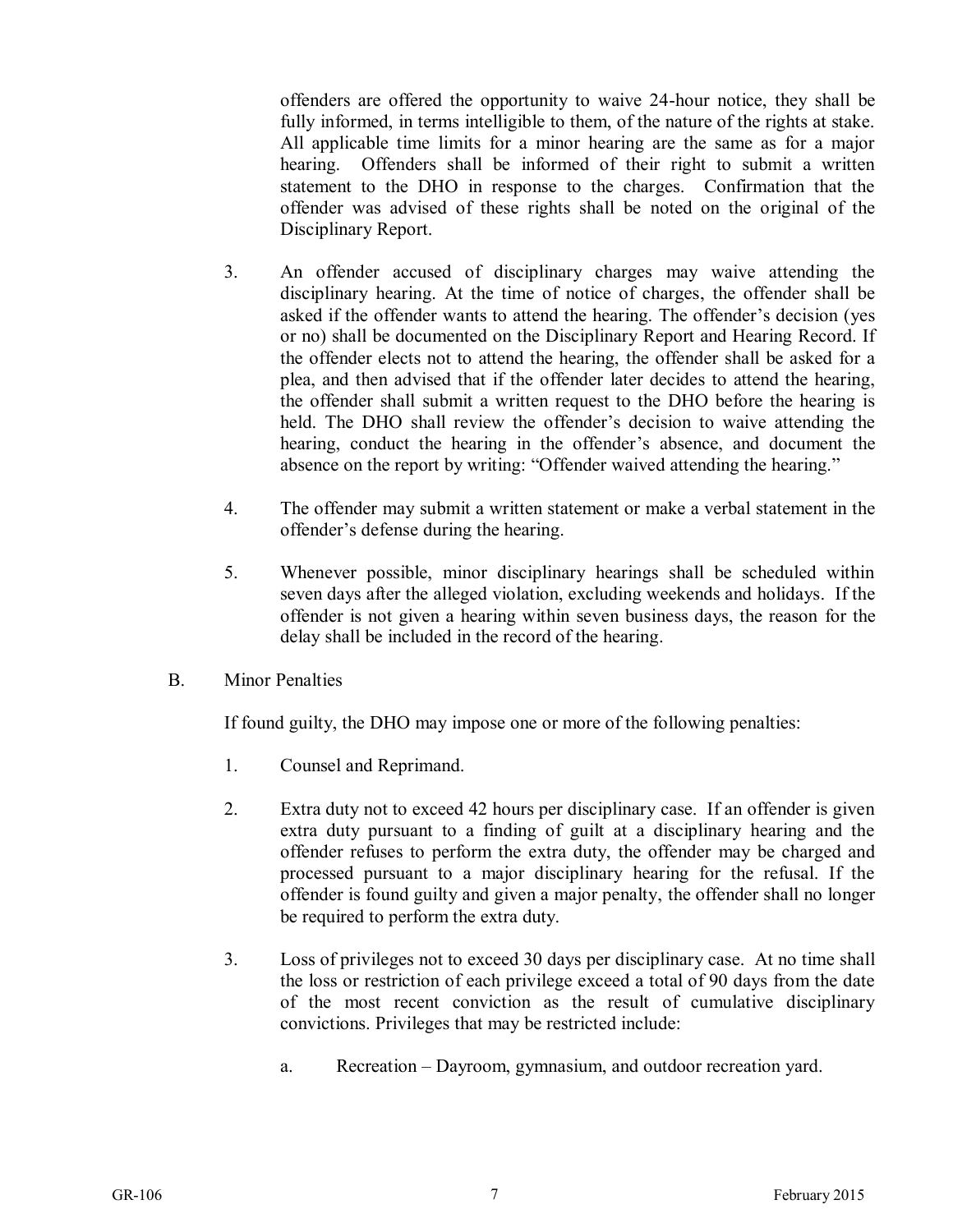offenders are offered the opportunity to waive 24-hour notice, they shall be fully informed, in terms intelligible to them, of the nature of the rights at stake. All applicable time limits for a minor hearing are the same as for a major hearing. Offenders shall be informed of their right to submit a written statement to the DHO in response to the charges. Confirmation that the offender was advised of these rights shall be noted on the original of the Disciplinary Report.

- 3. An offender accused of disciplinary charges may waive attending the disciplinary hearing. At the time of notice of charges, the offender shall be asked if the offender wants to attend the hearing. The offender's decision (yes or no) shall be documented on the Disciplinary Report and Hearing Record. If the offender elects not to attend the hearing, the offender shall be asked for a plea, and then advised that if the offender later decides to attend the hearing, the offender shall submit a written request to the DHO before the hearing is held. The DHO shall review the offender's decision to waive attending the hearing, conduct the hearing in the offender's absence, and document the absence on the report by writing: "Offender waived attending the hearing."
- 4. The offender may submit a written statement or make a verbal statement in the offender's defense during the hearing.
- 5. Whenever possible, minor disciplinary hearings shall be scheduled within seven days after the alleged violation, excluding weekends and holidays. If the offender is not given a hearing within seven business days, the reason for the delay shall be included in the record of the hearing.
- B. Minor Penalties

If found guilty, the DHO may impose one or more of the following penalties:

- 1. Counsel and Reprimand.
- 2. Extra duty not to exceed 42 hours per disciplinary case. If an offender is given extra duty pursuant to a finding of guilt at a disciplinary hearing and the offender refuses to perform the extra duty, the offender may be charged and processed pursuant to a major disciplinary hearing for the refusal. If the offender is found guilty and given a major penalty, the offender shall no longer be required to perform the extra duty.
- 3. Loss of privileges not to exceed 30 days per disciplinary case. At no time shall the loss or restriction of each privilege exceed a total of 90 days from the date of the most recent conviction as the result of cumulative disciplinary convictions. Privileges that may be restricted include:
	- a. Recreation Dayroom, gymnasium, and outdoor recreation yard.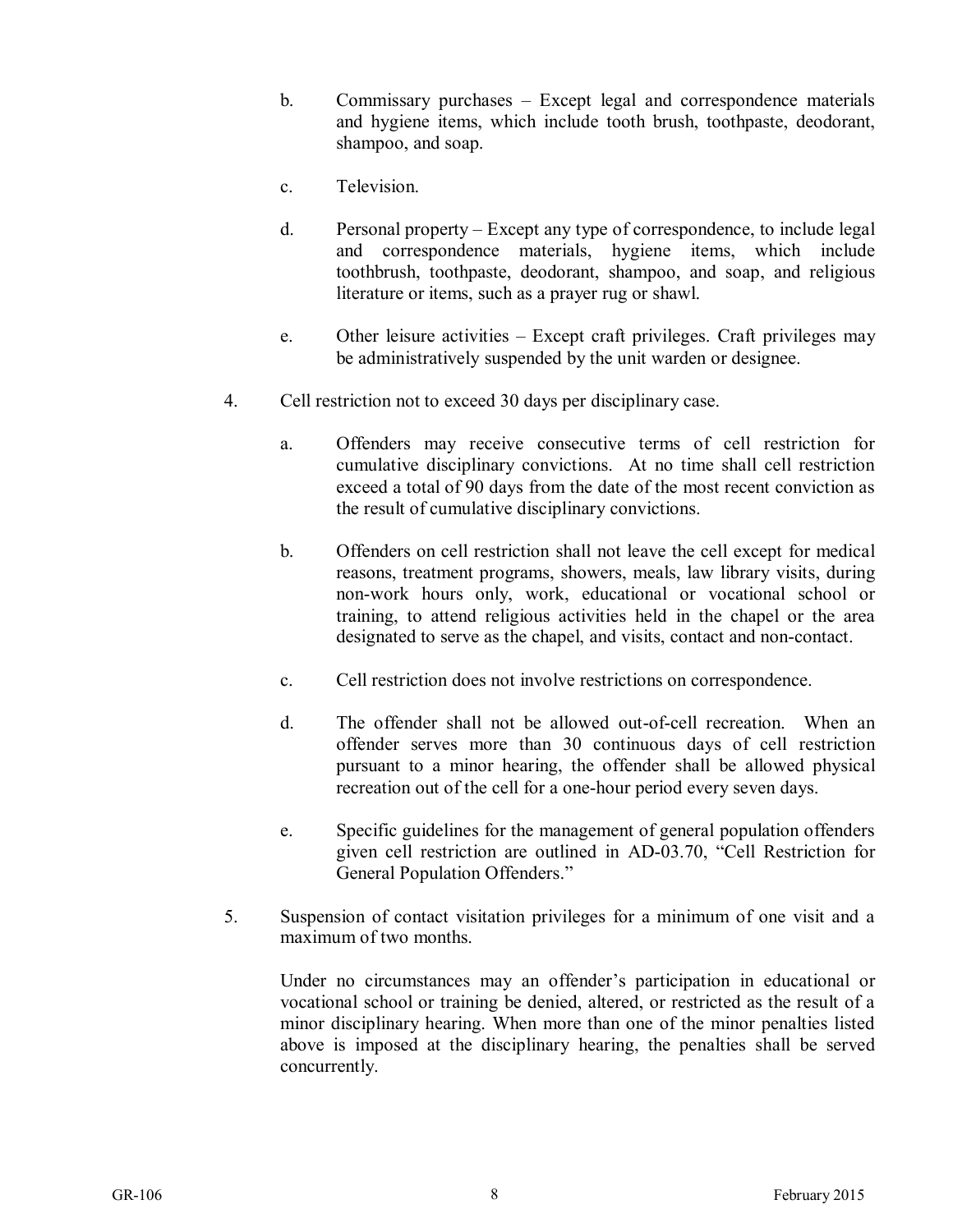- b. Commissary purchases Except legal and correspondence materials and hygiene items, which include tooth brush, toothpaste, deodorant, shampoo, and soap.
- c. Television.
- d. Personal property Except any type of correspondence, to include legal and correspondence materials, hygiene items, which include toothbrush, toothpaste, deodorant, shampoo, and soap, and religious literature or items, such as a prayer rug or shawl.
- e. Other leisure activities Except craft privileges. Craft privileges may be administratively suspended by the unit warden or designee.
- 4. Cell restriction not to exceed 30 days per disciplinary case.
	- a. Offenders may receive consecutive terms of cell restriction for cumulative disciplinary convictions. At no time shall cell restriction exceed a total of 90 days from the date of the most recent conviction as the result of cumulative disciplinary convictions.
	- b. Offenders on cell restriction shall not leave the cell except for medical reasons, treatment programs, showers, meals, law library visits, during non-work hours only, work, educational or vocational school or training, to attend religious activities held in the chapel or the area designated to serve as the chapel, and visits, contact and non-contact.
	- c. Cell restriction does not involve restrictions on correspondence.
	- d. The offender shall not be allowed out-of-cell recreation. When an offender serves more than 30 continuous days of cell restriction pursuant to a minor hearing, the offender shall be allowed physical recreation out of the cell for a one-hour period every seven days.
	- e. Specific guidelines for the management of general population offenders given cell restriction are outlined in AD-03.70, "Cell Restriction for General Population Offenders."
- 5. Suspension of contact visitation privileges for a minimum of one visit and a maximum of two months.

Under no circumstances may an offender's participation in educational or vocational school or training be denied, altered, or restricted as the result of a minor disciplinary hearing. When more than one of the minor penalties listed above is imposed at the disciplinary hearing, the penalties shall be served concurrently.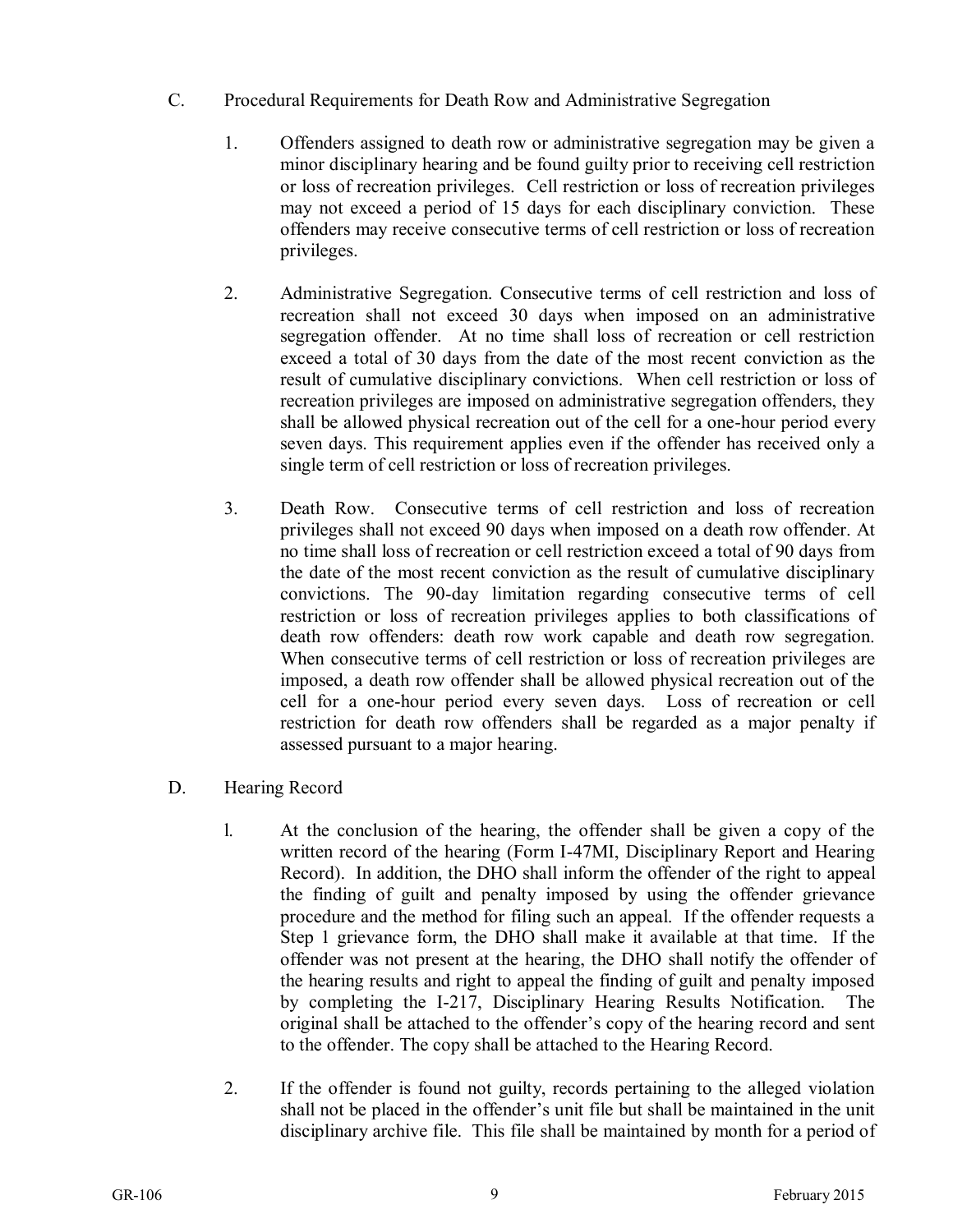- C. Procedural Requirements for Death Row and Administrative Segregation
	- 1. Offenders assigned to death row or administrative segregation may be given a minor disciplinary hearing and be found guilty prior to receiving cell restriction or loss of recreation privileges. Cell restriction or loss of recreation privileges may not exceed a period of 15 days for each disciplinary conviction. These offenders may receive consecutive terms of cell restriction or loss of recreation privileges.
	- 2. Administrative Segregation. Consecutive terms of cell restriction and loss of recreation shall not exceed 30 days when imposed on an administrative segregation offender. At no time shall loss of recreation or cell restriction exceed a total of 30 days from the date of the most recent conviction as the result of cumulative disciplinary convictions. When cell restriction or loss of recreation privileges are imposed on administrative segregation offenders, they shall be allowed physical recreation out of the cell for a one-hour period every seven days. This requirement applies even if the offender has received only a single term of cell restriction or loss of recreation privileges.
	- 3. Death Row. Consecutive terms of cell restriction and loss of recreation privileges shall not exceed 90 days when imposed on a death row offender. At no time shall loss of recreation or cell restriction exceed a total of 90 days from the date of the most recent conviction as the result of cumulative disciplinary convictions. The 90-day limitation regarding consecutive terms of cell restriction or loss of recreation privileges applies to both classifications of death row offenders: death row work capable and death row segregation. When consecutive terms of cell restriction or loss of recreation privileges are imposed, a death row offender shall be allowed physical recreation out of the cell for a one-hour period every seven days. Loss of recreation or cell restriction for death row offenders shall be regarded as a major penalty if assessed pursuant to a major hearing.
- D. Hearing Record
	- l. At the conclusion of the hearing, the offender shall be given a copy of the written record of the hearing (Form I-47MI, Disciplinary Report and Hearing Record). In addition, the DHO shall inform the offender of the right to appeal the finding of guilt and penalty imposed by using the offender grievance procedure and the method for filing such an appeal. If the offender requests a Step 1 grievance form, the DHO shall make it available at that time. If the offender was not present at the hearing, the DHO shall notify the offender of the hearing results and right to appeal the finding of guilt and penalty imposed by completing the I-217, Disciplinary Hearing Results Notification. The original shall be attached to the offender's copy of the hearing record and sent to the offender. The copy shall be attached to the Hearing Record.
	- 2. If the offender is found not guilty, records pertaining to the alleged violation shall not be placed in the offender's unit file but shall be maintained in the unit disciplinary archive file. This file shall be maintained by month for a period of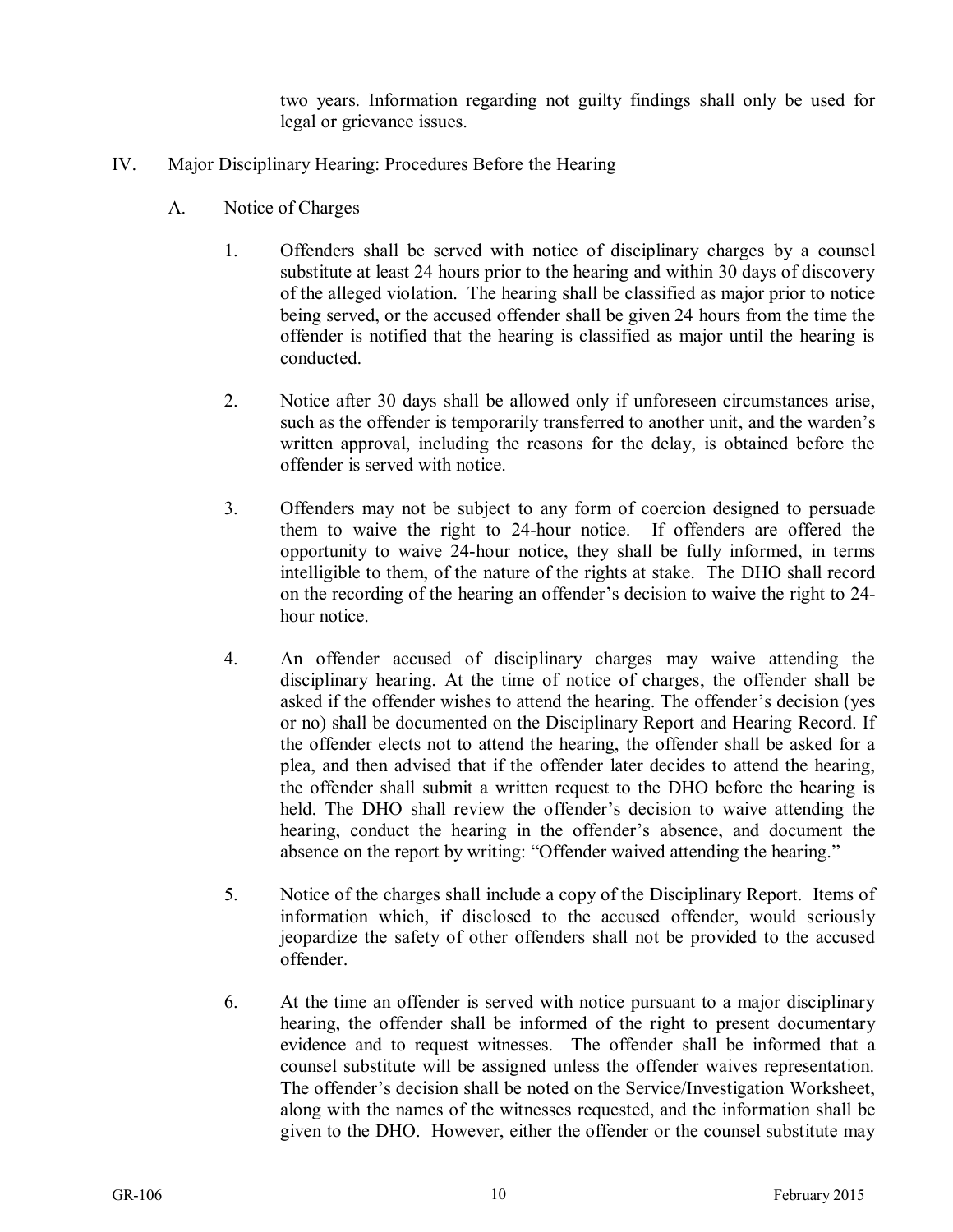two years. Information regarding not guilty findings shall only be used for legal or grievance issues.

- IV. Major Disciplinary Hearing: Procedures Before the Hearing
	- A. Notice of Charges
		- 1. Offenders shall be served with notice of disciplinary charges by a counsel substitute at least 24 hours prior to the hearing and within 30 days of discovery of the alleged violation. The hearing shall be classified as major prior to notice being served, or the accused offender shall be given 24 hours from the time the offender is notified that the hearing is classified as major until the hearing is conducted.
		- 2. Notice after 30 days shall be allowed only if unforeseen circumstances arise, such as the offender is temporarily transferred to another unit, and the warden's written approval, including the reasons for the delay, is obtained before the offender is served with notice.
		- 3. Offenders may not be subject to any form of coercion designed to persuade them to waive the right to 24-hour notice. If offenders are offered the opportunity to waive 24-hour notice, they shall be fully informed, in terms intelligible to them, of the nature of the rights at stake. The DHO shall record on the recording of the hearing an offender's decision to waive the right to 24 hour notice.
		- 4. An offender accused of disciplinary charges may waive attending the disciplinary hearing. At the time of notice of charges, the offender shall be asked if the offender wishes to attend the hearing. The offender's decision (yes or no) shall be documented on the Disciplinary Report and Hearing Record. If the offender elects not to attend the hearing, the offender shall be asked for a plea, and then advised that if the offender later decides to attend the hearing, the offender shall submit a written request to the DHO before the hearing is held. The DHO shall review the offender's decision to waive attending the hearing, conduct the hearing in the offender's absence, and document the absence on the report by writing: "Offender waived attending the hearing."
		- 5. Notice of the charges shall include a copy of the Disciplinary Report. Items of information which, if disclosed to the accused offender, would seriously jeopardize the safety of other offenders shall not be provided to the accused offender.
		- 6. At the time an offender is served with notice pursuant to a major disciplinary hearing, the offender shall be informed of the right to present documentary evidence and to request witnesses. The offender shall be informed that a counsel substitute will be assigned unless the offender waives representation. The offender's decision shall be noted on the Service/Investigation Worksheet, along with the names of the witnesses requested, and the information shall be given to the DHO. However, either the offender or the counsel substitute may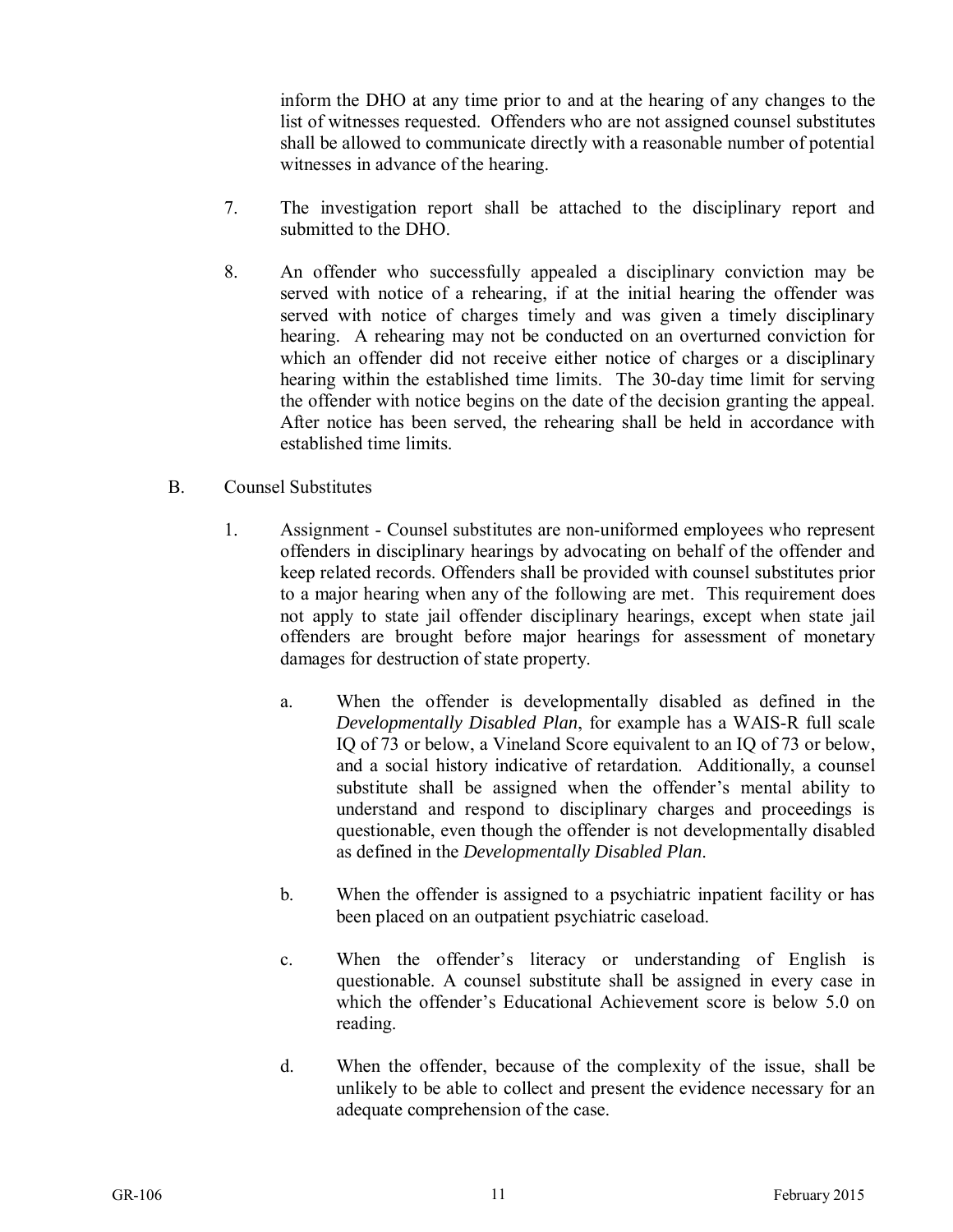inform the DHO at any time prior to and at the hearing of any changes to the list of witnesses requested. Offenders who are not assigned counsel substitutes shall be allowed to communicate directly with a reasonable number of potential witnesses in advance of the hearing.

- 7. The investigation report shall be attached to the disciplinary report and submitted to the DHO.
- 8. An offender who successfully appealed a disciplinary conviction may be served with notice of a rehearing, if at the initial hearing the offender was served with notice of charges timely and was given a timely disciplinary hearing. A rehearing may not be conducted on an overturned conviction for which an offender did not receive either notice of charges or a disciplinary hearing within the established time limits. The 30-day time limit for serving the offender with notice begins on the date of the decision granting the appeal. After notice has been served, the rehearing shall be held in accordance with established time limits.
- B. Counsel Substitutes
	- 1. Assignment Counsel substitutes are non-uniformed employees who represent offenders in disciplinary hearings by advocating on behalf of the offender and keep related records. Offenders shall be provided with counsel substitutes prior to a major hearing when any of the following are met. This requirement does not apply to state jail offender disciplinary hearings, except when state jail offenders are brought before major hearings for assessment of monetary damages for destruction of state property.
		- a. When the offender is developmentally disabled as defined in the *Developmentally Disabled Plan*, for example has a WAIS-R full scale IQ of 73 or below, a Vineland Score equivalent to an IQ of 73 or below, and a social history indicative of retardation. Additionally, a counsel substitute shall be assigned when the offender's mental ability to understand and respond to disciplinary charges and proceedings is questionable, even though the offender is not developmentally disabled as defined in the *Developmentally Disabled Plan*.
		- b. When the offender is assigned to a psychiatric inpatient facility or has been placed on an outpatient psychiatric caseload.
		- c. When the offender's literacy or understanding of English is questionable. A counsel substitute shall be assigned in every case in which the offender's Educational Achievement score is below 5.0 on reading.
		- d. When the offender, because of the complexity of the issue, shall be unlikely to be able to collect and present the evidence necessary for an adequate comprehension of the case.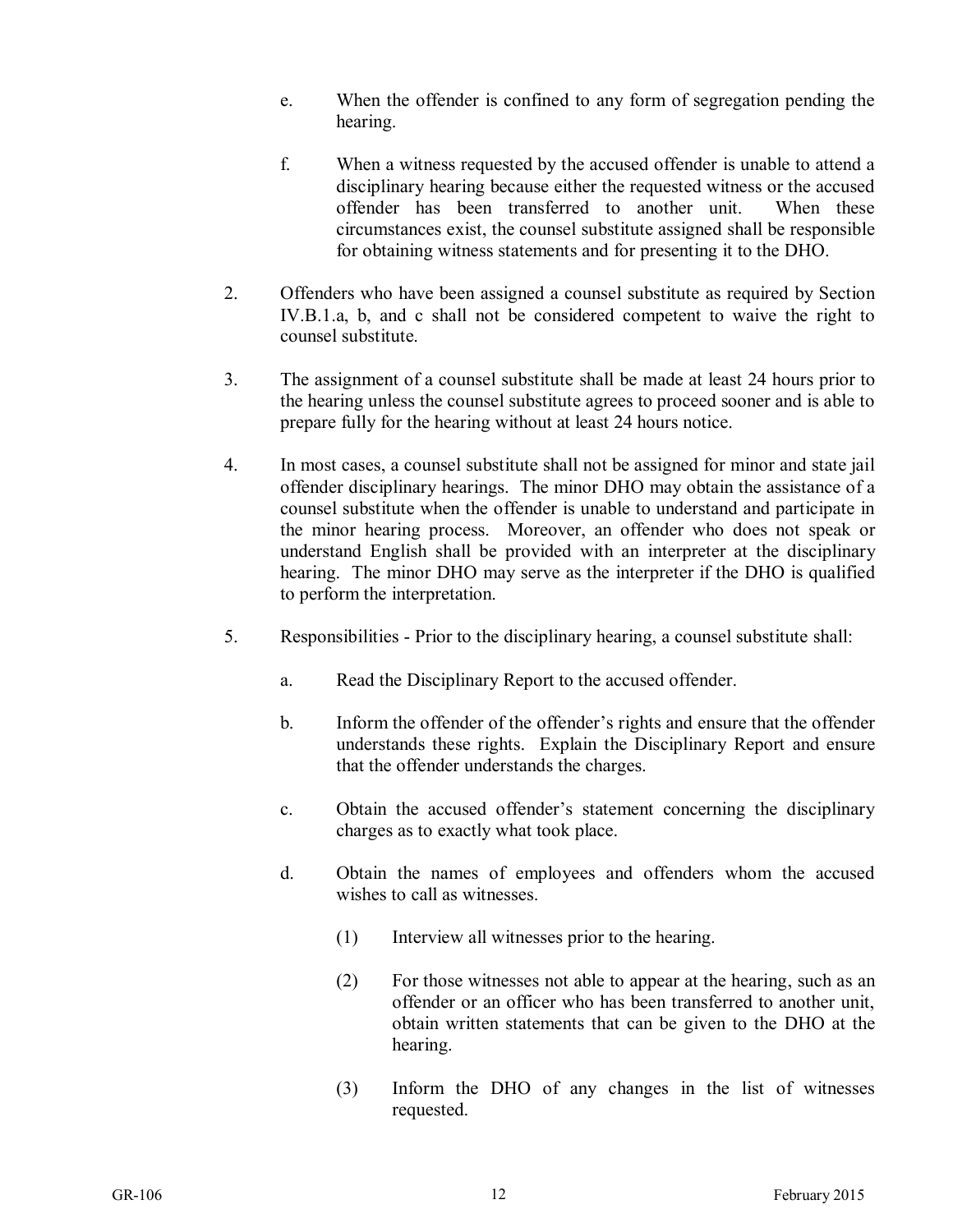- e. When the offender is confined to any form of segregation pending the hearing.
- f. When a witness requested by the accused offender is unable to attend a disciplinary hearing because either the requested witness or the accused offender has been transferred to another unit. When these circumstances exist, the counsel substitute assigned shall be responsible for obtaining witness statements and for presenting it to the DHO.
- 2. Offenders who have been assigned a counsel substitute as required by Section IV.B.1.a, b, and c shall not be considered competent to waive the right to counsel substitute.
- 3. The assignment of a counsel substitute shall be made at least 24 hours prior to the hearing unless the counsel substitute agrees to proceed sooner and is able to prepare fully for the hearing without at least 24 hours notice.
- 4. In most cases, a counsel substitute shall not be assigned for minor and state jail offender disciplinary hearings. The minor DHO may obtain the assistance of a counsel substitute when the offender is unable to understand and participate in the minor hearing process. Moreover, an offender who does not speak or understand English shall be provided with an interpreter at the disciplinary hearing. The minor DHO may serve as the interpreter if the DHO is qualified to perform the interpretation.
- 5. Responsibilities Prior to the disciplinary hearing, a counsel substitute shall:
	- a. Read the Disciplinary Report to the accused offender.
	- b. Inform the offender of the offender's rights and ensure that the offender understands these rights. Explain the Disciplinary Report and ensure that the offender understands the charges.
	- c. Obtain the accused offender's statement concerning the disciplinary charges as to exactly what took place.
	- d. Obtain the names of employees and offenders whom the accused wishes to call as witnesses.
		- (1) Interview all witnesses prior to the hearing.
		- (2) For those witnesses not able to appear at the hearing, such as an offender or an officer who has been transferred to another unit, obtain written statements that can be given to the DHO at the hearing.
		- (3) Inform the DHO of any changes in the list of witnesses requested.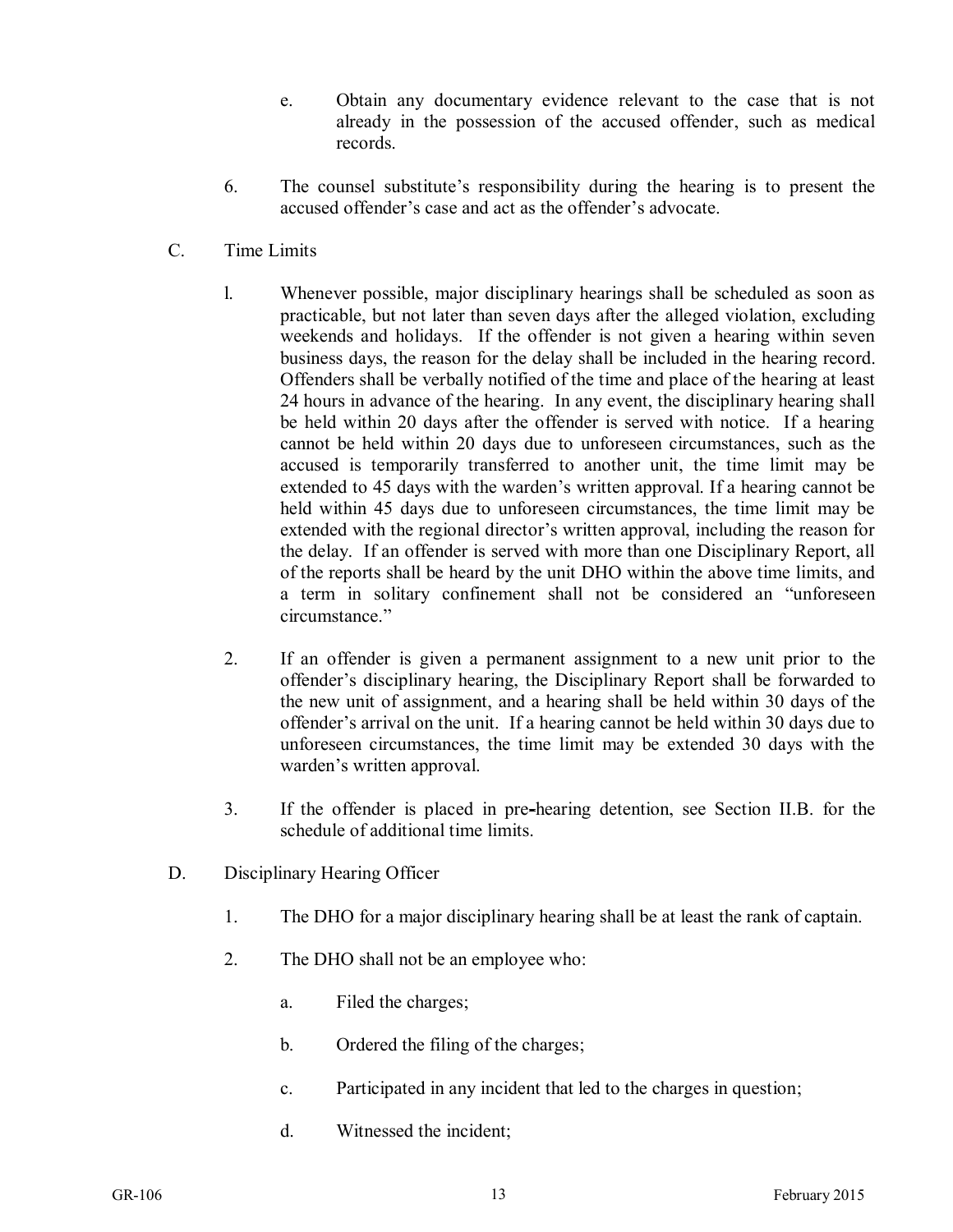- e. Obtain any documentary evidence relevant to the case that is not already in the possession of the accused offender, such as medical records.
- 6. The counsel substitute's responsibility during the hearing is to present the accused offender's case and act as the offender's advocate.
- C. Time Limits
	- l. Whenever possible, major disciplinary hearings shall be scheduled as soon as practicable, but not later than seven days after the alleged violation, excluding weekends and holidays. If the offender is not given a hearing within seven business days, the reason for the delay shall be included in the hearing record. Offenders shall be verbally notified of the time and place of the hearing at least 24 hours in advance of the hearing. In any event, the disciplinary hearing shall be held within 20 days after the offender is served with notice. If a hearing cannot be held within 20 days due to unforeseen circumstances, such as the accused is temporarily transferred to another unit, the time limit may be extended to 45 days with the warden's written approval. If a hearing cannot be held within 45 days due to unforeseen circumstances, the time limit may be extended with the regional director's written approval, including the reason for the delay. If an offender is served with more than one Disciplinary Report, all of the reports shall be heard by the unit DHO within the above time limits, and a term in solitary confinement shall not be considered an "unforeseen circumstance."
	- 2. If an offender is given a permanent assignment to a new unit prior to the offender's disciplinary hearing, the Disciplinary Report shall be forwarded to the new unit of assignment, and a hearing shall be held within 30 days of the offender's arrival on the unit. If a hearing cannot be held within 30 days due to unforeseen circumstances, the time limit may be extended 30 days with the warden's written approval.
	- 3. If the offender is placed in pre-hearing detention, see Section II.B. for the schedule of additional time limits.
- D. Disciplinary Hearing Officer
	- 1. The DHO for a major disciplinary hearing shall be at least the rank of captain.
	- 2. The DHO shall not be an employee who:
		- a. Filed the charges;
		- b. Ordered the filing of the charges;
		- c. Participated in any incident that led to the charges in question;
		- d. Witnessed the incident;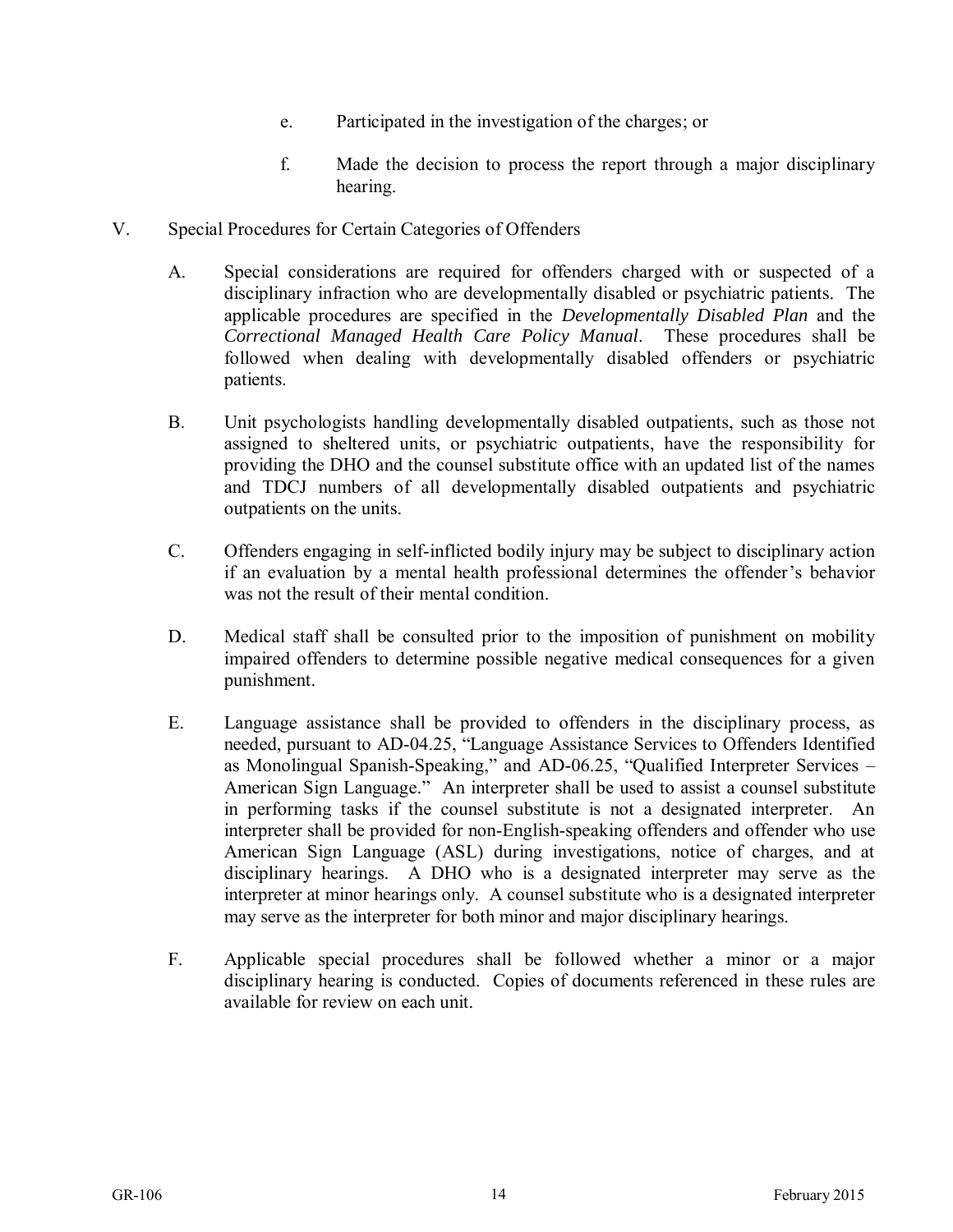- e. Participated in the investigation of the charges; or
- f. Made the decision to process the report through a major disciplinary hearing.
- V. Special Procedures for Certain Categories of Offenders
	- A. Special considerations are required for offenders charged with or suspected of a disciplinary infraction who are developmentally disabled or psychiatric patients. The applicable procedures are specified in the *Developmentally Disabled Plan* and the *Correctional Managed Health Care Policy Manual*. These procedures shall be followed when dealing with developmentally disabled offenders or psychiatric patients.
	- B. Unit psychologists handling developmentally disabled outpatients, such as those not assigned to sheltered units, or psychiatric outpatients, have the responsibility for providing the DHO and the counsel substitute office with an updated list of the names and TDCJ numbers of all developmentally disabled outpatients and psychiatric outpatients on the units.
	- C. Offenders engaging in self-inflicted bodily injury may be subject to disciplinary action if an evaluation by a mental health professional determines the offender's behavior was not the result of their mental condition.
	- D. Medical staff shall be consulted prior to the imposition of punishment on mobility impaired offenders to determine possible negative medical consequences for a given punishment.
	- E. Language assistance shall be provided to offenders in the disciplinary process, as needed, pursuant to AD-04.25, "Language Assistance Services to Offenders Identified as Monolingual Spanish-Speaking," and AD-06.25, "Qualified Interpreter Services – American Sign Language." An interpreter shall be used to assist a counsel substitute in performing tasks if the counsel substitute is not a designated interpreter. An interpreter shall be provided for non-English-speaking offenders and offender who use American Sign Language (ASL) during investigations, notice of charges, and at disciplinary hearings. A DHO who is a designated interpreter may serve as the interpreter at minor hearings only. A counsel substitute who is a designated interpreter may serve as the interpreter for both minor and major disciplinary hearings.
	- F. Applicable special procedures shall be followed whether a minor or a major disciplinary hearing is conducted. Copies of documents referenced in these rules are available for review on each unit.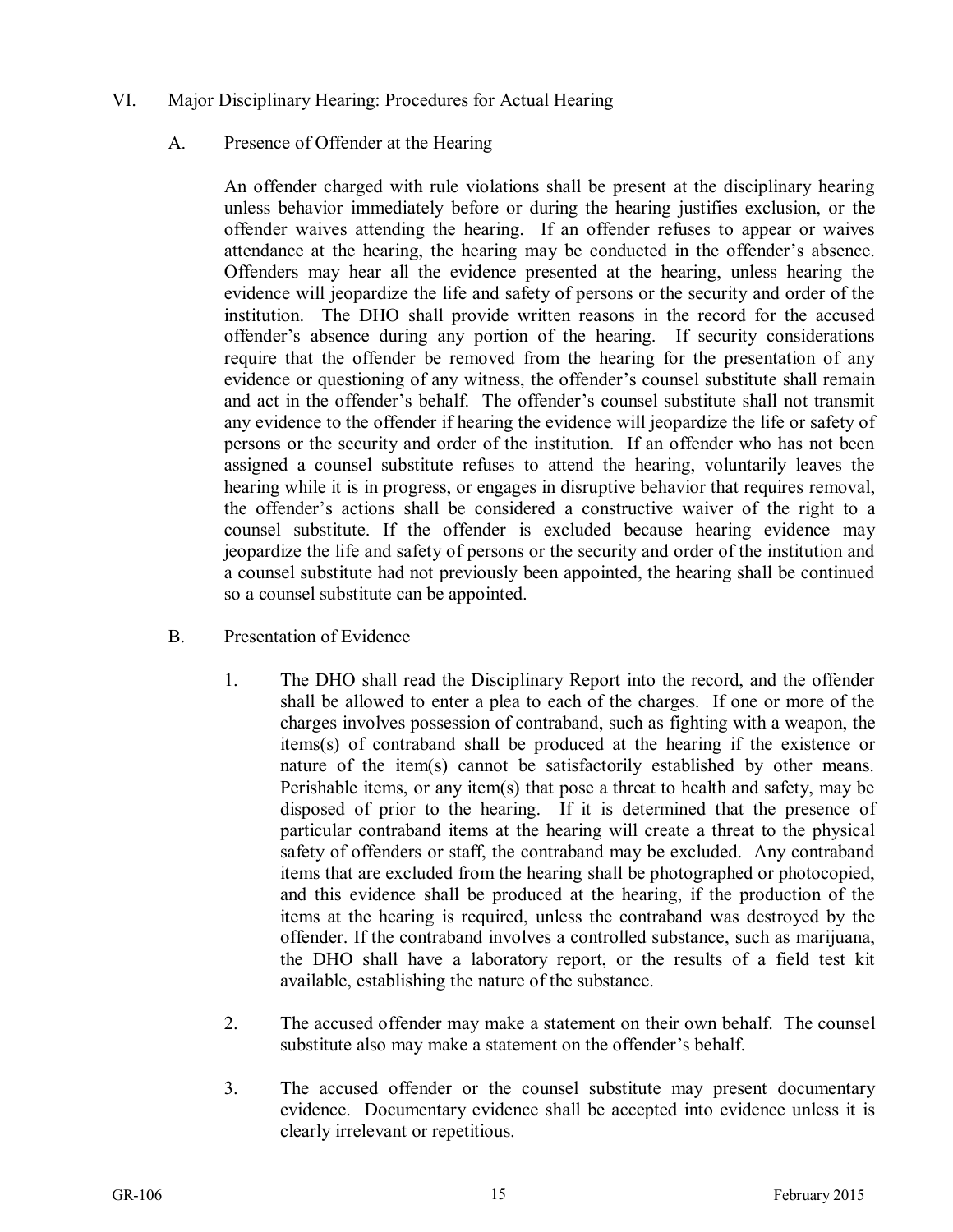- VI. Major Disciplinary Hearing: Procedures for Actual Hearing
	- A. Presence of Offender at the Hearing

An offender charged with rule violations shall be present at the disciplinary hearing unless behavior immediately before or during the hearing justifies exclusion, or the offender waives attending the hearing. If an offender refuses to appear or waives attendance at the hearing, the hearing may be conducted in the offender's absence. Offenders may hear all the evidence presented at the hearing, unless hearing the evidence will jeopardize the life and safety of persons or the security and order of the institution. The DHO shall provide written reasons in the record for the accused offender's absence during any portion of the hearing. If security considerations require that the offender be removed from the hearing for the presentation of any evidence or questioning of any witness, the offender's counsel substitute shall remain and act in the offender's behalf. The offender's counsel substitute shall not transmit any evidence to the offender if hearing the evidence will jeopardize the life or safety of persons or the security and order of the institution. If an offender who has not been assigned a counsel substitute refuses to attend the hearing, voluntarily leaves the hearing while it is in progress, or engages in disruptive behavior that requires removal, the offender's actions shall be considered a constructive waiver of the right to a counsel substitute. If the offender is excluded because hearing evidence may jeopardize the life and safety of persons or the security and order of the institution and a counsel substitute had not previously been appointed, the hearing shall be continued so a counsel substitute can be appointed.

- B. Presentation of Evidence
	- 1. The DHO shall read the Disciplinary Report into the record, and the offender shall be allowed to enter a plea to each of the charges. If one or more of the charges involves possession of contraband, such as fighting with a weapon, the items(s) of contraband shall be produced at the hearing if the existence or nature of the item(s) cannot be satisfactorily established by other means. Perishable items, or any item(s) that pose a threat to health and safety, may be disposed of prior to the hearing. If it is determined that the presence of particular contraband items at the hearing will create a threat to the physical safety of offenders or staff, the contraband may be excluded. Any contraband items that are excluded from the hearing shall be photographed or photocopied, and this evidence shall be produced at the hearing, if the production of the items at the hearing is required, unless the contraband was destroyed by the offender. If the contraband involves a controlled substance, such as marijuana, the DHO shall have a laboratory report, or the results of a field test kit available, establishing the nature of the substance.
	- 2. The accused offender may make a statement on their own behalf. The counsel substitute also may make a statement on the offender's behalf.
	- 3. The accused offender or the counsel substitute may present documentary evidence. Documentary evidence shall be accepted into evidence unless it is clearly irrelevant or repetitious.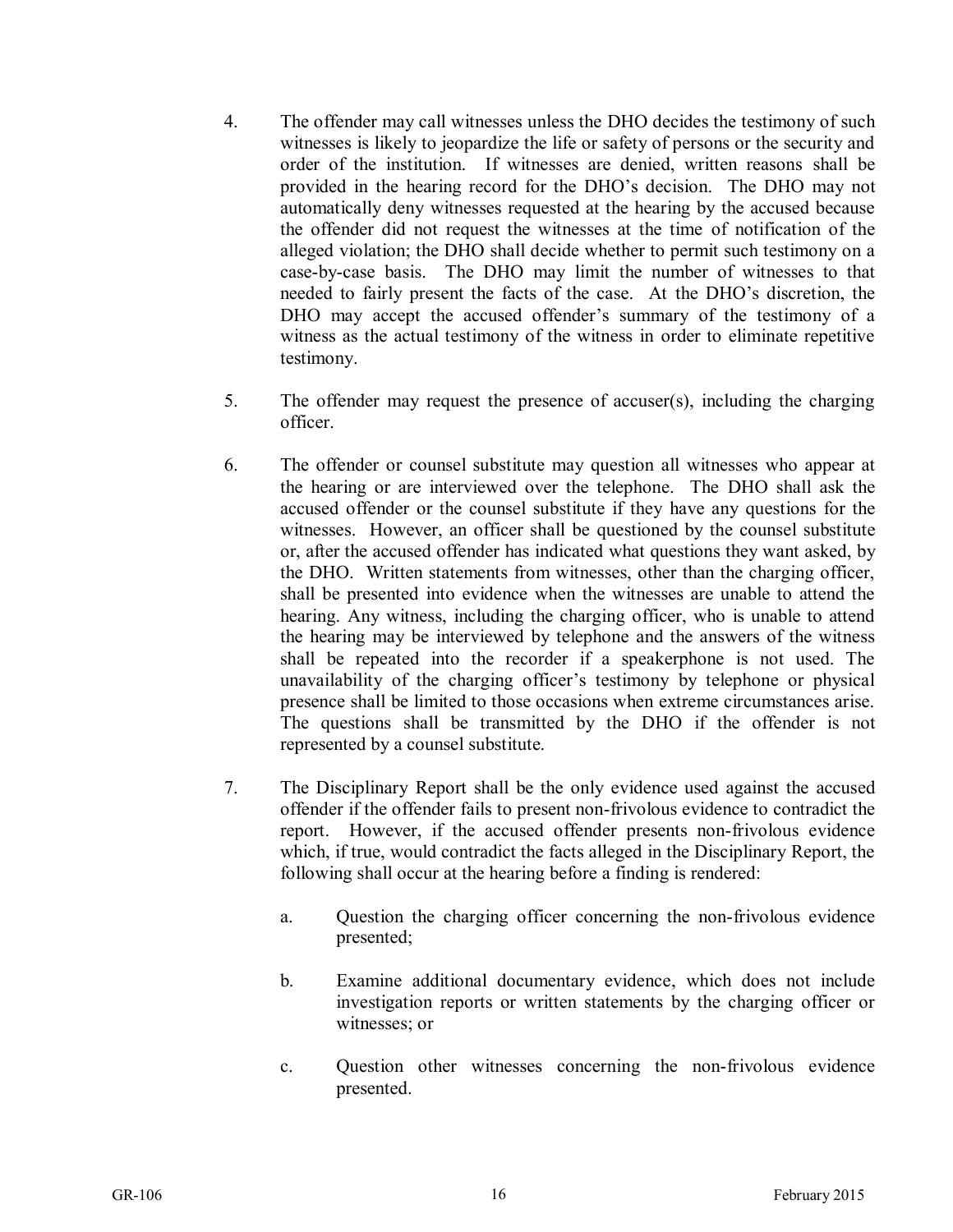- 4. The offender may call witnesses unless the DHO decides the testimony of such witnesses is likely to jeopardize the life or safety of persons or the security and order of the institution. If witnesses are denied, written reasons shall be provided in the hearing record for the DHO's decision. The DHO may not automatically deny witnesses requested at the hearing by the accused because the offender did not request the witnesses at the time of notification of the alleged violation; the DHO shall decide whether to permit such testimony on a case-by-case basis. The DHO may limit the number of witnesses to that needed to fairly present the facts of the case. At the DHO's discretion, the DHO may accept the accused offender's summary of the testimony of a witness as the actual testimony of the witness in order to eliminate repetitive testimony.
- 5. The offender may request the presence of accuser(s), including the charging officer.
- 6. The offender or counsel substitute may question all witnesses who appear at the hearing or are interviewed over the telephone. The DHO shall ask the accused offender or the counsel substitute if they have any questions for the witnesses. However, an officer shall be questioned by the counsel substitute or, after the accused offender has indicated what questions they want asked, by the DHO. Written statements from witnesses, other than the charging officer, shall be presented into evidence when the witnesses are unable to attend the hearing. Any witness, including the charging officer, who is unable to attend the hearing may be interviewed by telephone and the answers of the witness shall be repeated into the recorder if a speakerphone is not used. The unavailability of the charging officer's testimony by telephone or physical presence shall be limited to those occasions when extreme circumstances arise. The questions shall be transmitted by the DHO if the offender is not represented by a counsel substitute.
- 7. The Disciplinary Report shall be the only evidence used against the accused offender if the offender fails to present non-frivolous evidence to contradict the report. However, if the accused offender presents non-frivolous evidence which, if true, would contradict the facts alleged in the Disciplinary Report, the following shall occur at the hearing before a finding is rendered:
	- a. Question the charging officer concerning the non-frivolous evidence presented;
	- b. Examine additional documentary evidence, which does not include investigation reports or written statements by the charging officer or witnesses; or
	- c. Question other witnesses concerning the non-frivolous evidence presented.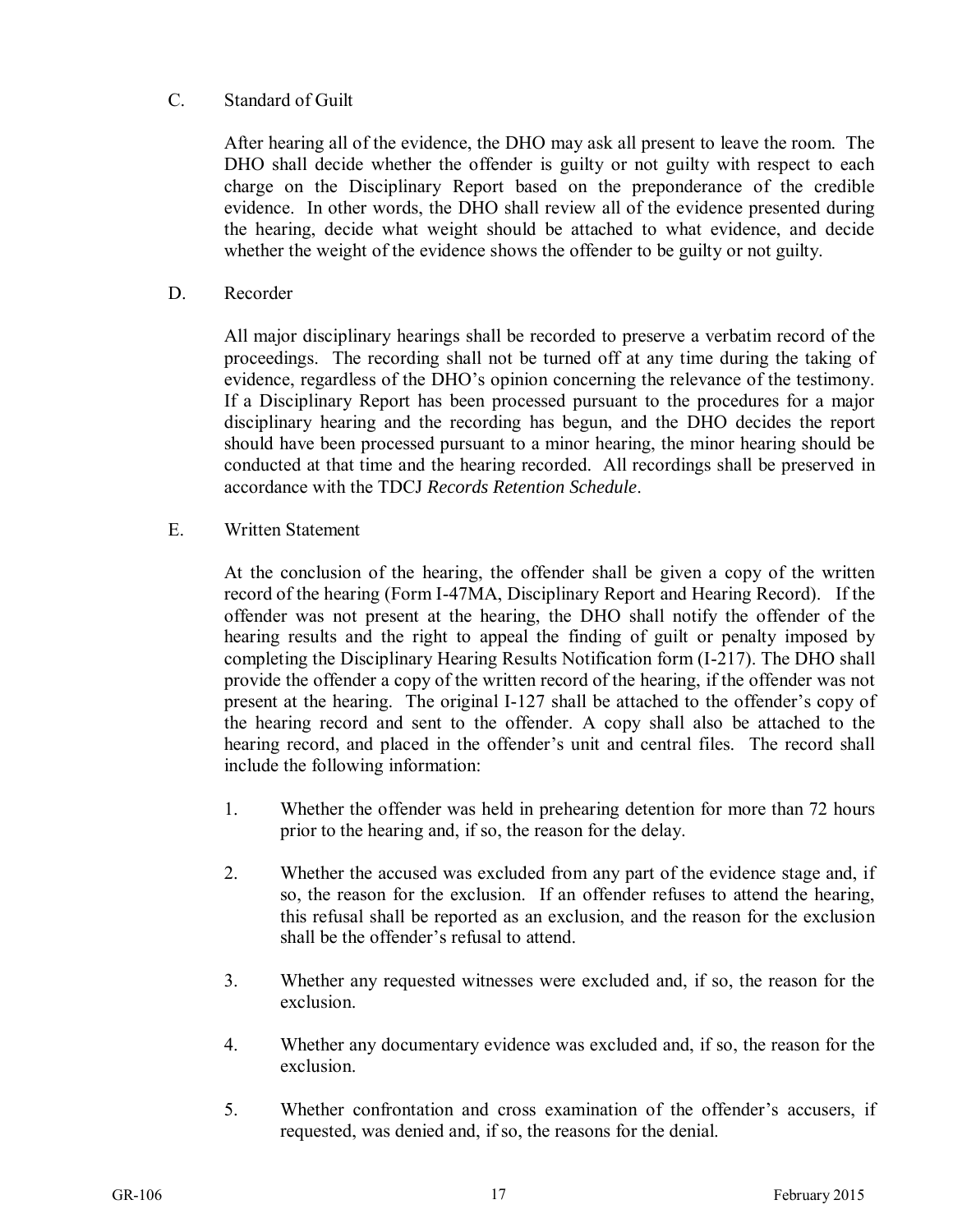#### C. Standard of Guilt

After hearing all of the evidence, the DHO may ask all present to leave the room. The DHO shall decide whether the offender is guilty or not guilty with respect to each charge on the Disciplinary Report based on the preponderance of the credible evidence. In other words, the DHO shall review all of the evidence presented during the hearing, decide what weight should be attached to what evidence, and decide whether the weight of the evidence shows the offender to be guilty or not guilty.

D. Recorder

All major disciplinary hearings shall be recorded to preserve a verbatim record of the proceedings. The recording shall not be turned off at any time during the taking of evidence, regardless of the DHO's opinion concerning the relevance of the testimony. If a Disciplinary Report has been processed pursuant to the procedures for a major disciplinary hearing and the recording has begun, and the DHO decides the report should have been processed pursuant to a minor hearing, the minor hearing should be conducted at that time and the hearing recorded. All recordings shall be preserved in accordance with the TDCJ *Records Retention Schedule*.

E. Written Statement

At the conclusion of the hearing, the offender shall be given a copy of the written record of the hearing (Form I-47MA, Disciplinary Report and Hearing Record). If the offender was not present at the hearing, the DHO shall notify the offender of the hearing results and the right to appeal the finding of guilt or penalty imposed by completing the Disciplinary Hearing Results Notification form (I-217). The DHO shall provide the offender a copy of the written record of the hearing, if the offender was not present at the hearing. The original I-127 shall be attached to the offender's copy of the hearing record and sent to the offender. A copy shall also be attached to the hearing record, and placed in the offender's unit and central files. The record shall include the following information:

- 1. Whether the offender was held in prehearing detention for more than 72 hours prior to the hearing and, if so, the reason for the delay.
- 2. Whether the accused was excluded from any part of the evidence stage and, if so, the reason for the exclusion. If an offender refuses to attend the hearing, this refusal shall be reported as an exclusion, and the reason for the exclusion shall be the offender's refusal to attend.
- 3. Whether any requested witnesses were excluded and, if so, the reason for the exclusion.
- 4. Whether any documentary evidence was excluded and, if so, the reason for the exclusion.
- 5. Whether confrontation and cross examination of the offender's accusers, if requested, was denied and, if so, the reasons for the denial.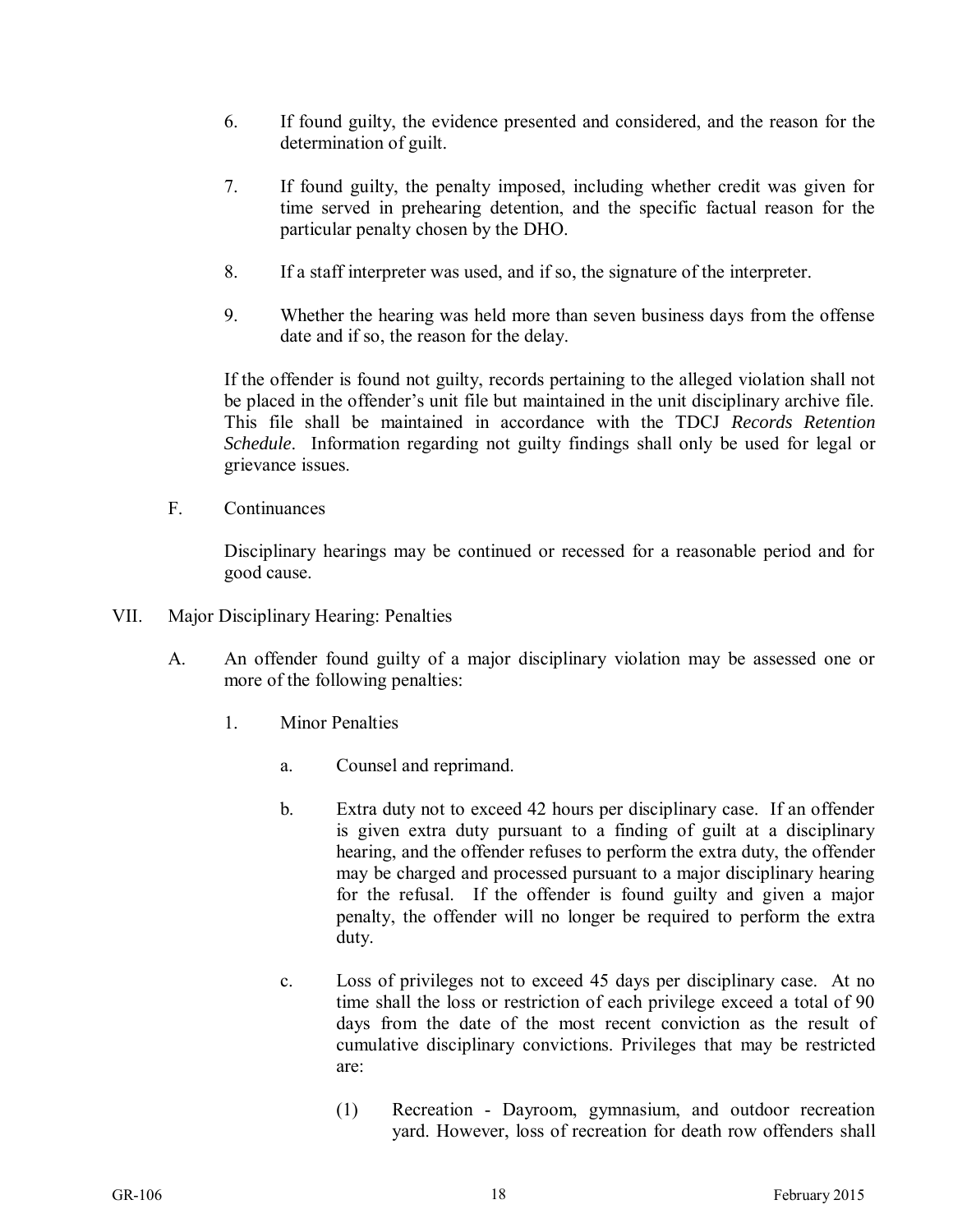- 6. If found guilty, the evidence presented and considered, and the reason for the determination of guilt.
- 7. If found guilty, the penalty imposed, including whether credit was given for time served in prehearing detention, and the specific factual reason for the particular penalty chosen by the DHO.
- 8. If a staff interpreter was used, and if so, the signature of the interpreter.
- 9. Whether the hearing was held more than seven business days from the offense date and if so, the reason for the delay.

If the offender is found not guilty, records pertaining to the alleged violation shall not be placed in the offender's unit file but maintained in the unit disciplinary archive file. This file shall be maintained in accordance with the TDCJ *Records Retention Schedule*. Information regarding not guilty findings shall only be used for legal or grievance issues.

F. Continuances

Disciplinary hearings may be continued or recessed for a reasonable period and for good cause.

- VII. Major Disciplinary Hearing: Penalties
	- A. An offender found guilty of a major disciplinary violation may be assessed one or more of the following penalties:
		- 1. Minor Penalties
			- a. Counsel and reprimand.
			- b. Extra duty not to exceed 42 hours per disciplinary case. If an offender is given extra duty pursuant to a finding of guilt at a disciplinary hearing, and the offender refuses to perform the extra duty, the offender may be charged and processed pursuant to a major disciplinary hearing for the refusal. If the offender is found guilty and given a major penalty, the offender will no longer be required to perform the extra duty.
			- c. Loss of privileges not to exceed 45 days per disciplinary case. At no time shall the loss or restriction of each privilege exceed a total of 90 days from the date of the most recent conviction as the result of cumulative disciplinary convictions. Privileges that may be restricted are:
				- (1) Recreation Dayroom, gymnasium, and outdoor recreation yard. However, loss of recreation for death row offenders shall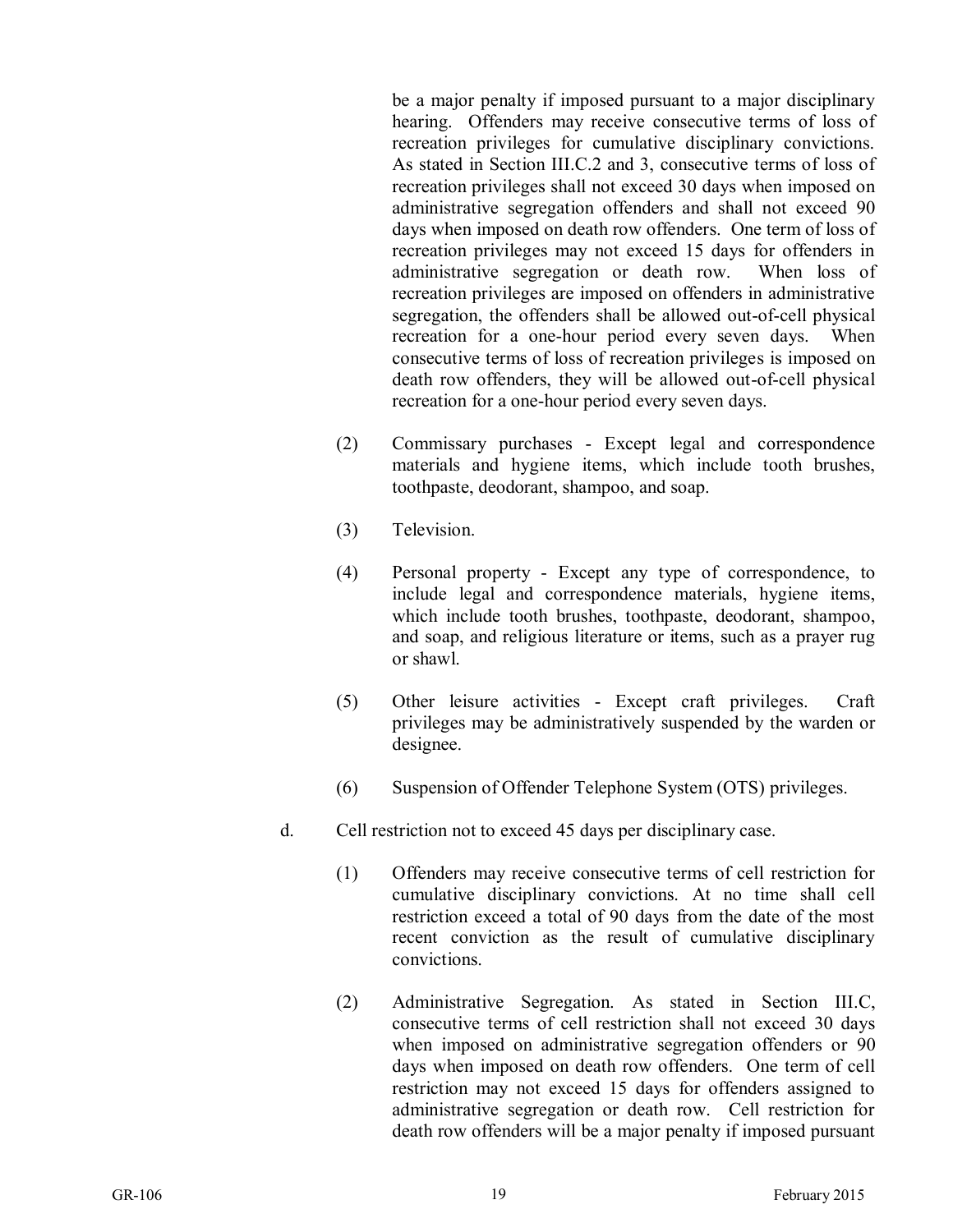be a major penalty if imposed pursuant to a major disciplinary hearing. Offenders may receive consecutive terms of loss of recreation privileges for cumulative disciplinary convictions. As stated in Section III.C.2 and 3, consecutive terms of loss of recreation privileges shall not exceed 30 days when imposed on administrative segregation offenders and shall not exceed 90 days when imposed on death row offenders. One term of loss of recreation privileges may not exceed 15 days for offenders in administrative segregation or death row. When loss of recreation privileges are imposed on offenders in administrative segregation, the offenders shall be allowed out-of-cell physical recreation for a one-hour period every seven days. When consecutive terms of loss of recreation privileges is imposed on death row offenders, they will be allowed out-of-cell physical recreation for a one-hour period every seven days.

- (2) Commissary purchases Except legal and correspondence materials and hygiene items, which include tooth brushes, toothpaste, deodorant, shampoo, and soap.
- (3) Television.
- (4) Personal property Except any type of correspondence, to include legal and correspondence materials, hygiene items, which include tooth brushes, toothpaste, deodorant, shampoo, and soap, and religious literature or items, such as a prayer rug or shawl.
- (5) Other leisure activities Except craft privileges. Craft privileges may be administratively suspended by the warden or designee.
- (6) Suspension of Offender Telephone System (OTS) privileges.
- d. Cell restriction not to exceed 45 days per disciplinary case.
	- (1) Offenders may receive consecutive terms of cell restriction for cumulative disciplinary convictions. At no time shall cell restriction exceed a total of 90 days from the date of the most recent conviction as the result of cumulative disciplinary convictions.
	- (2) Administrative Segregation. As stated in Section III.C, consecutive terms of cell restriction shall not exceed 30 days when imposed on administrative segregation offenders or 90 days when imposed on death row offenders. One term of cell restriction may not exceed 15 days for offenders assigned to administrative segregation or death row. Cell restriction for death row offenders will be a major penalty if imposed pursuant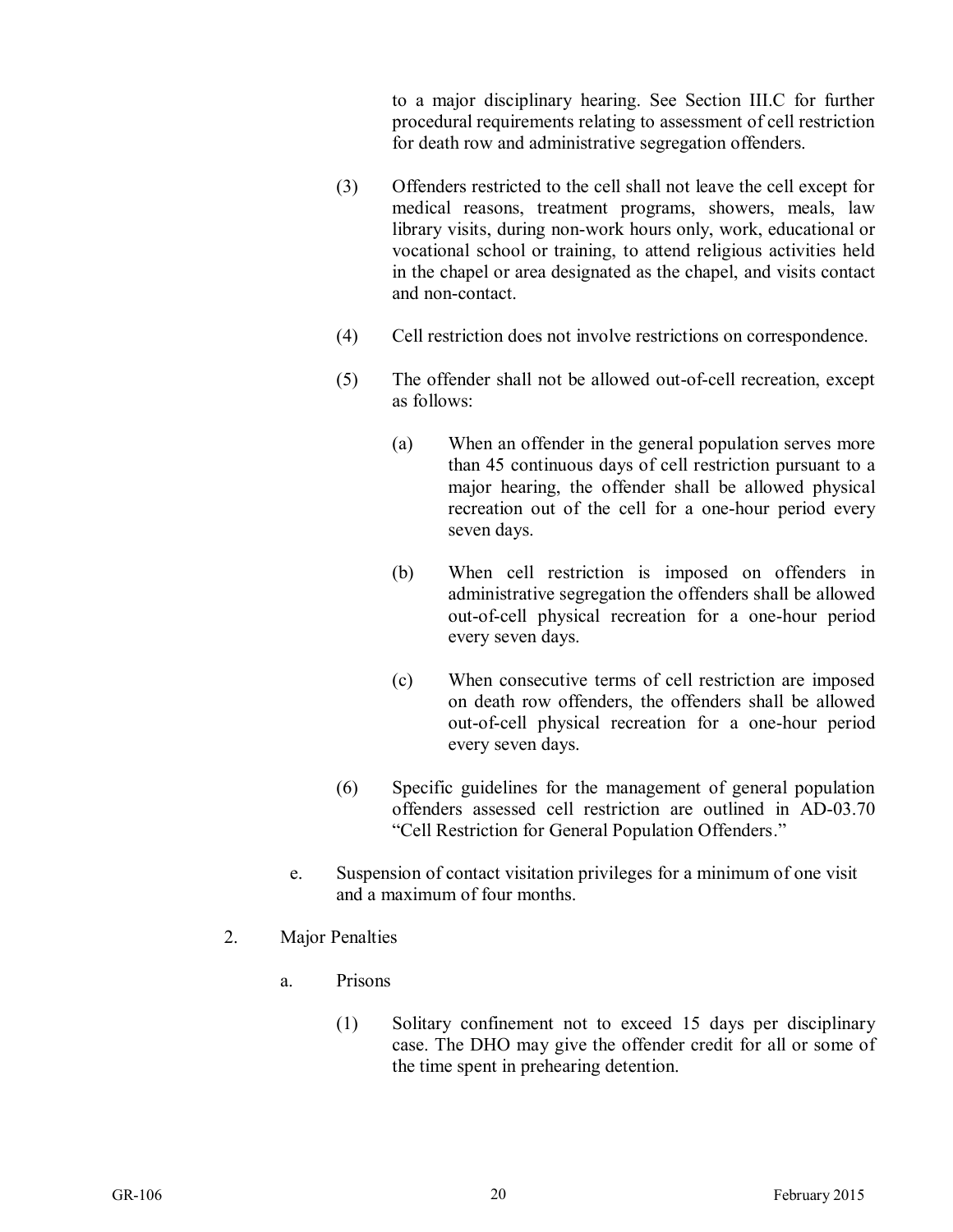to a major disciplinary hearing. See Section III.C for further procedural requirements relating to assessment of cell restriction for death row and administrative segregation offenders.

- (3) Offenders restricted to the cell shall not leave the cell except for medical reasons, treatment programs, showers, meals, law library visits, during non-work hours only, work, educational or vocational school or training, to attend religious activities held in the chapel or area designated as the chapel, and visits contact and non-contact.
- (4) Cell restriction does not involve restrictions on correspondence.
- (5) The offender shall not be allowed out-of-cell recreation, except as follows:
	- (a) When an offender in the general population serves more than 45 continuous days of cell restriction pursuant to a major hearing, the offender shall be allowed physical recreation out of the cell for a one-hour period every seven days.
	- (b) When cell restriction is imposed on offenders in administrative segregation the offenders shall be allowed out-of-cell physical recreation for a one-hour period every seven days.
	- (c) When consecutive terms of cell restriction are imposed on death row offenders, the offenders shall be allowed out-of-cell physical recreation for a one-hour period every seven days.
- (6) Specific guidelines for the management of general population offenders assessed cell restriction are outlined in AD-03.70 "Cell Restriction for General Population Offenders."
- e. Suspension of contact visitation privileges for a minimum of one visit and a maximum of four months.
- 2. Major Penalties
	- a. Prisons
		- (1) Solitary confinement not to exceed 15 days per disciplinary case. The DHO may give the offender credit for all or some of the time spent in prehearing detention.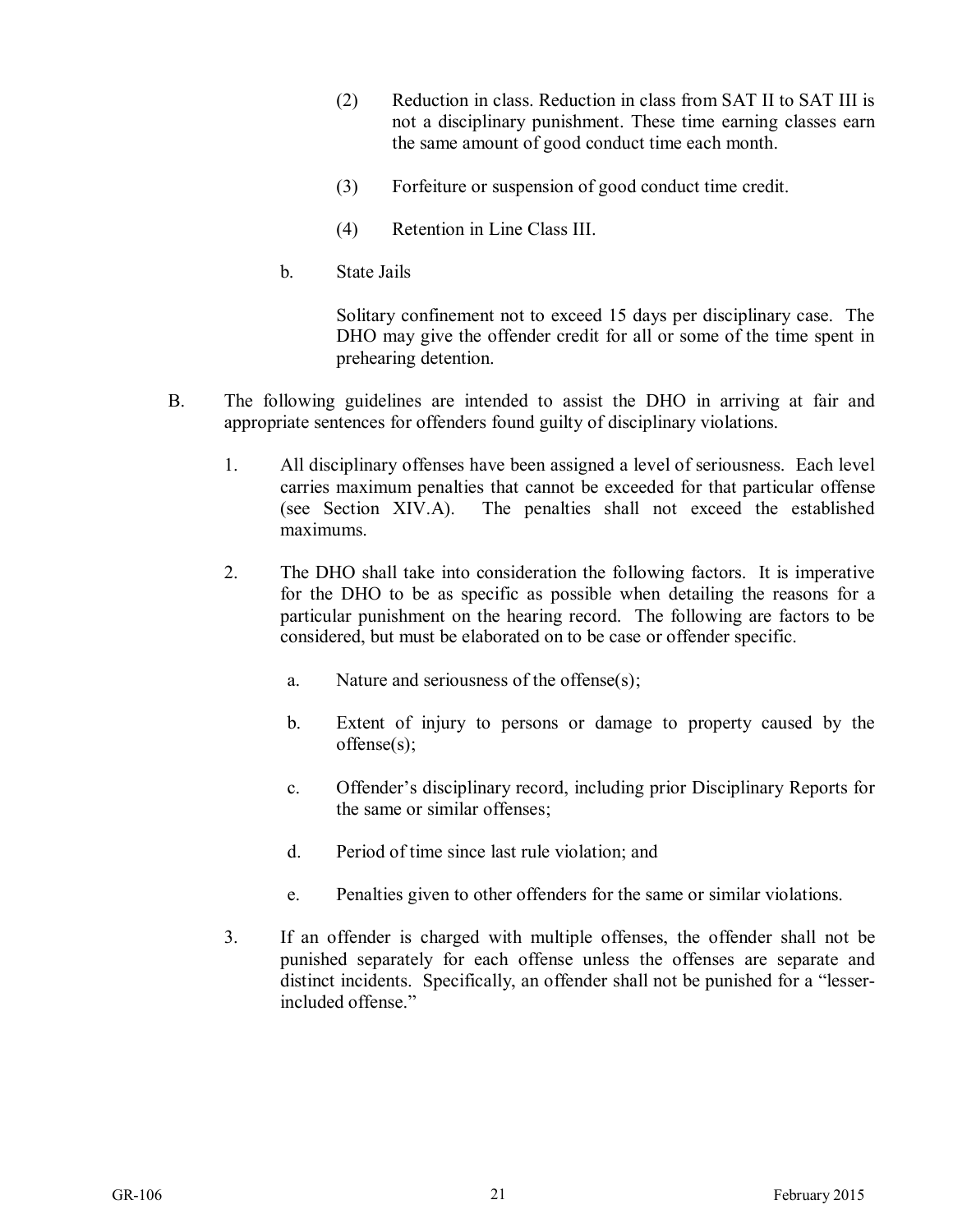- (2) Reduction in class. Reduction in class from SAT II to SAT III is not a disciplinary punishment. These time earning classes earn the same amount of good conduct time each month.
- (3) Forfeiture or suspension of good conduct time credit.
- (4) Retention in Line Class III.
- b. State Jails

Solitary confinement not to exceed 15 days per disciplinary case. The DHO may give the offender credit for all or some of the time spent in prehearing detention.

- B. The following guidelines are intended to assist the DHO in arriving at fair and appropriate sentences for offenders found guilty of disciplinary violations.
	- 1. All disciplinary offenses have been assigned a level of seriousness. Each level carries maximum penalties that cannot be exceeded for that particular offense (see Section XIV.A). The penalties shall not exceed the established maximums.
	- 2. The DHO shall take into consideration the following factors. It is imperative for the DHO to be as specific as possible when detailing the reasons for a particular punishment on the hearing record. The following are factors to be considered, but must be elaborated on to be case or offender specific.
		- a. Nature and seriousness of the offense(s);
		- b. Extent of injury to persons or damage to property caused by the offense(s);
		- c. Offender's disciplinary record, including prior Disciplinary Reports for the same or similar offenses;
		- d. Period of time since last rule violation; and
		- e. Penalties given to other offenders for the same or similar violations.
	- 3. If an offender is charged with multiple offenses, the offender shall not be punished separately for each offense unless the offenses are separate and distinct incidents. Specifically, an offender shall not be punished for a "lesserincluded offense."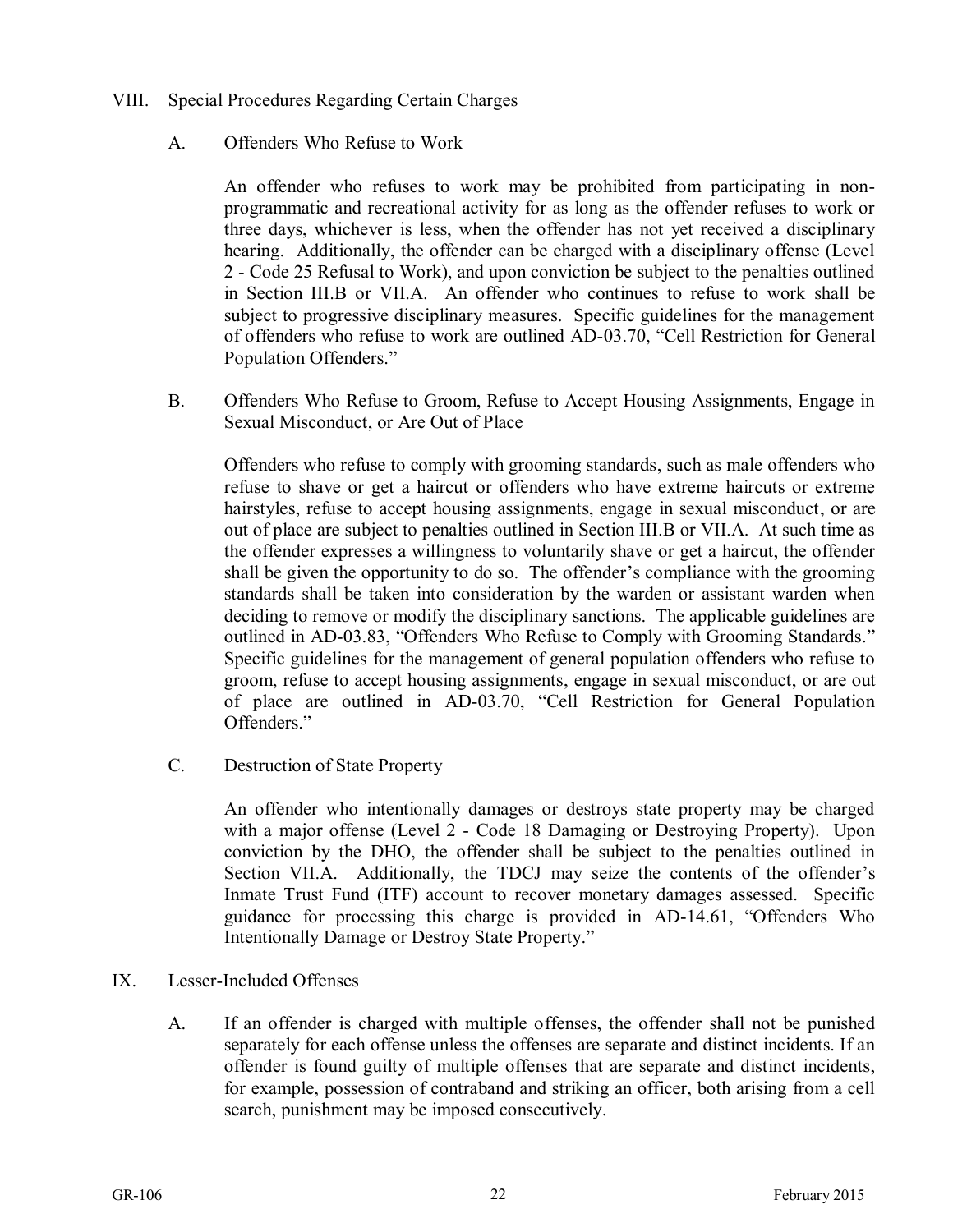- VIII. Special Procedures Regarding Certain Charges
	- A. Offenders Who Refuse to Work

An offender who refuses to work may be prohibited from participating in nonprogrammatic and recreational activity for as long as the offender refuses to work or three days, whichever is less, when the offender has not yet received a disciplinary hearing. Additionally, the offender can be charged with a disciplinary offense (Level 2 - Code 25 Refusal to Work), and upon conviction be subject to the penalties outlined in Section III.B or VII.A. An offender who continues to refuse to work shall be subject to progressive disciplinary measures. Specific guidelines for the management of offenders who refuse to work are outlined AD-03.70, "Cell Restriction for General Population Offenders."

B. Offenders Who Refuse to Groom, Refuse to Accept Housing Assignments, Engage in Sexual Misconduct, or Are Out of Place

Offenders who refuse to comply with grooming standards, such as male offenders who refuse to shave or get a haircut or offenders who have extreme haircuts or extreme hairstyles, refuse to accept housing assignments, engage in sexual misconduct, or are out of place are subject to penalties outlined in Section III.B or VII.A. At such time as the offender expresses a willingness to voluntarily shave or get a haircut, the offender shall be given the opportunity to do so. The offender's compliance with the grooming standards shall be taken into consideration by the warden or assistant warden when deciding to remove or modify the disciplinary sanctions. The applicable guidelines are outlined in AD-03.83, "Offenders Who Refuse to Comply with Grooming Standards." Specific guidelines for the management of general population offenders who refuse to groom, refuse to accept housing assignments, engage in sexual misconduct, or are out of place are outlined in AD-03.70, "Cell Restriction for General Population Offenders."

C. Destruction of State Property

An offender who intentionally damages or destroys state property may be charged with a major offense (Level 2 - Code 18 Damaging or Destroying Property). Upon conviction by the DHO, the offender shall be subject to the penalties outlined in Section VII.A. Additionally, the TDCJ may seize the contents of the offender's Inmate Trust Fund (ITF) account to recover monetary damages assessed. Specific guidance for processing this charge is provided in AD-14.61, "Offenders Who Intentionally Damage or Destroy State Property."

- IX. Lesser-Included Offenses
	- A. If an offender is charged with multiple offenses, the offender shall not be punished separately for each offense unless the offenses are separate and distinct incidents. If an offender is found guilty of multiple offenses that are separate and distinct incidents, for example, possession of contraband and striking an officer, both arising from a cell search, punishment may be imposed consecutively.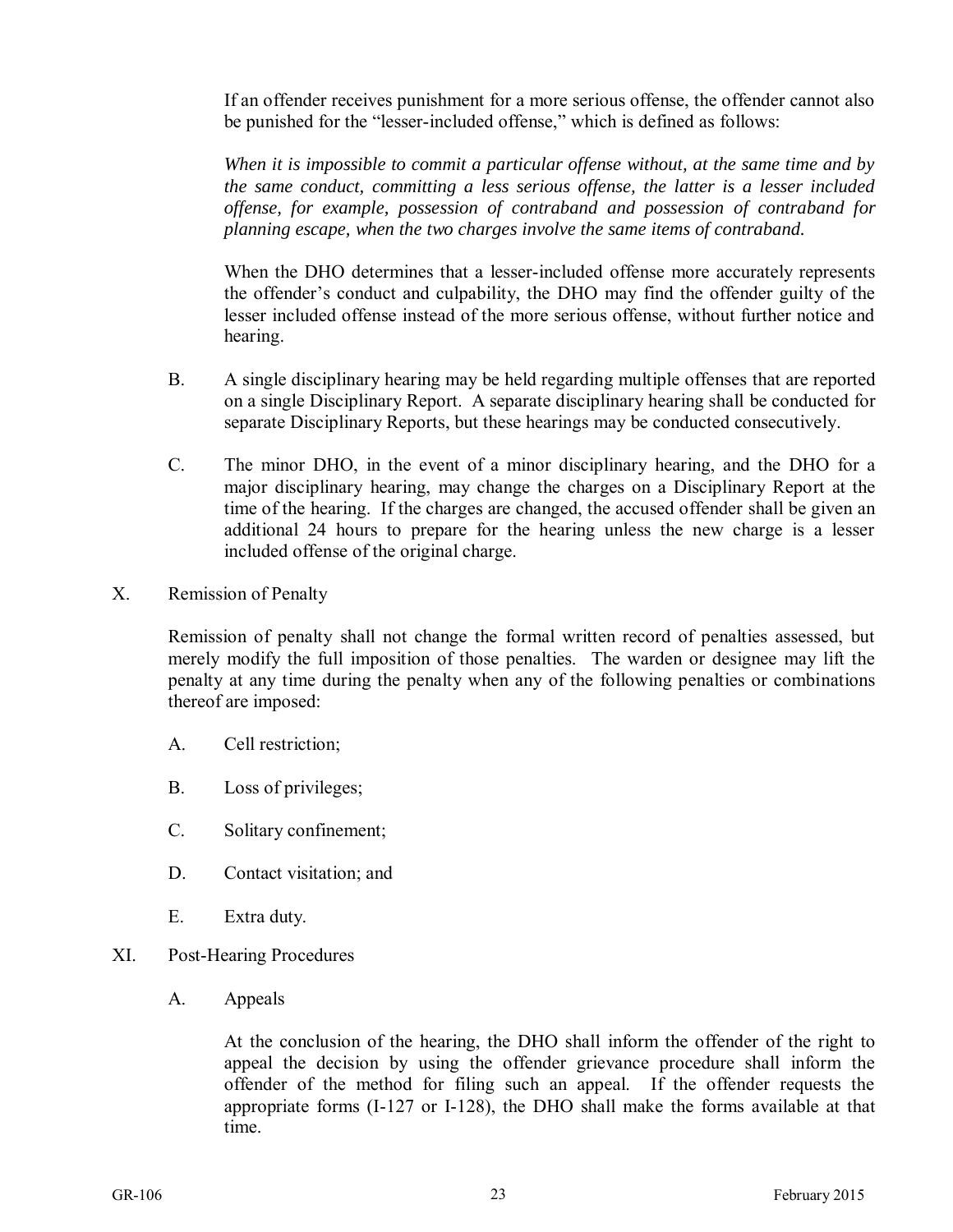If an offender receives punishment for a more serious offense, the offender cannot also be punished for the "lesser-included offense," which is defined as follows:

*When it is impossible to commit a particular offense without, at the same time and by the same conduct, committing a less serious offense, the latter is a lesser included offense, for example, possession of contraband and possession of contraband for planning escape, when the two charges involve the same items of contraband.* 

When the DHO determines that a lesser-included offense more accurately represents the offender's conduct and culpability, the DHO may find the offender guilty of the lesser included offense instead of the more serious offense, without further notice and hearing.

- B. A single disciplinary hearing may be held regarding multiple offenses that are reported on a single Disciplinary Report. A separate disciplinary hearing shall be conducted for separate Disciplinary Reports, but these hearings may be conducted consecutively.
- C. The minor DHO, in the event of a minor disciplinary hearing, and the DHO for a major disciplinary hearing, may change the charges on a Disciplinary Report at the time of the hearing. If the charges are changed, the accused offender shall be given an additional 24 hours to prepare for the hearing unless the new charge is a lesser included offense of the original charge.
- X. Remission of Penalty

Remission of penalty shall not change the formal written record of penalties assessed, but merely modify the full imposition of those penalties. The warden or designee may lift the penalty at any time during the penalty when any of the following penalties or combinations thereof are imposed:

- A. Cell restriction;
- B. Loss of privileges;
- C. Solitary confinement;
- D. Contact visitation; and
- E. Extra duty.
- XI. Post-Hearing Procedures
	- A. Appeals

At the conclusion of the hearing, the DHO shall inform the offender of the right to appeal the decision by using the offender grievance procedure shall inform the offender of the method for filing such an appeal. If the offender requests the appropriate forms (I-127 or I-128), the DHO shall make the forms available at that time.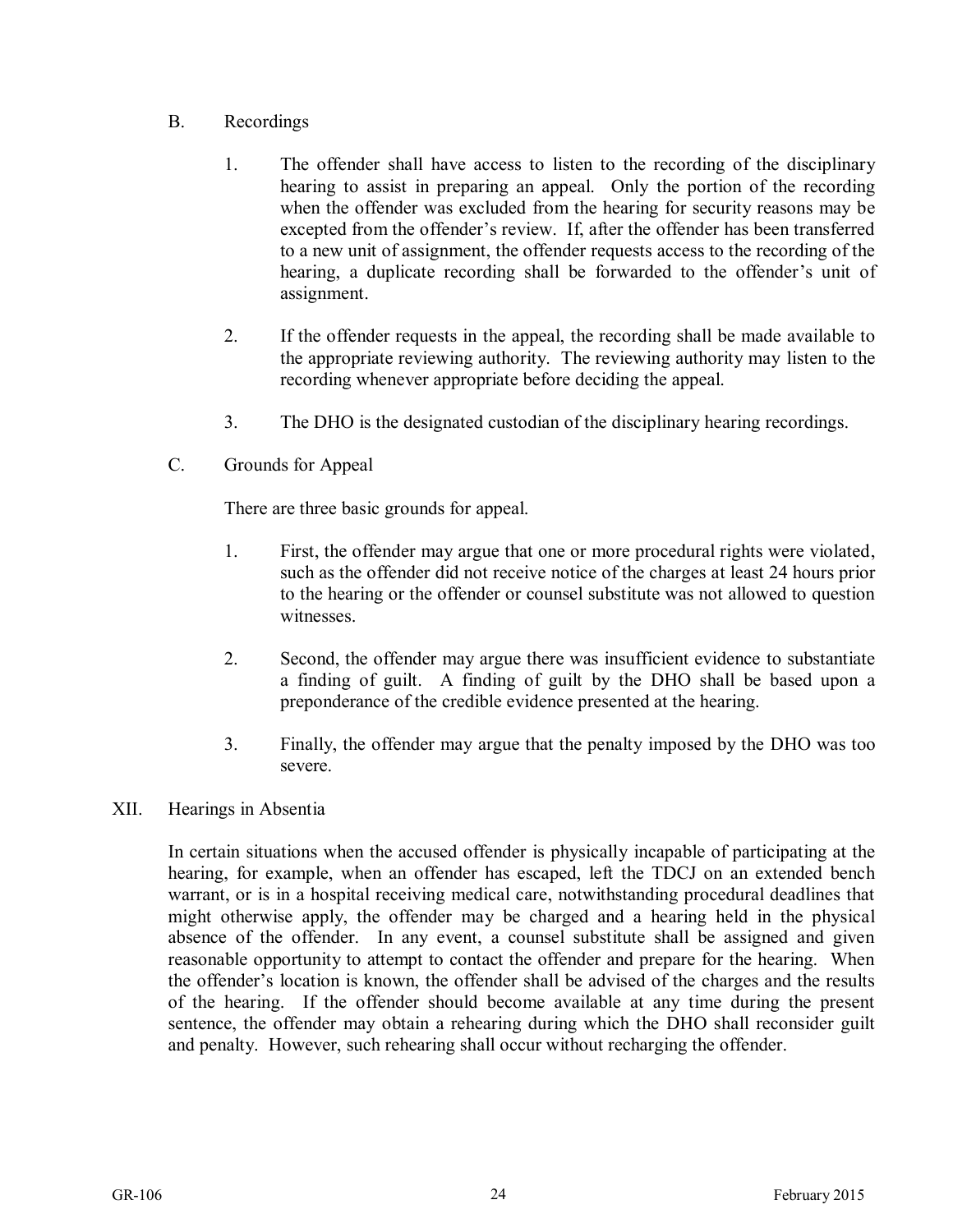- B. Recordings
	- 1. The offender shall have access to listen to the recording of the disciplinary hearing to assist in preparing an appeal. Only the portion of the recording when the offender was excluded from the hearing for security reasons may be excepted from the offender's review. If, after the offender has been transferred to a new unit of assignment, the offender requests access to the recording of the hearing, a duplicate recording shall be forwarded to the offender's unit of assignment.
	- 2. If the offender requests in the appeal, the recording shall be made available to the appropriate reviewing authority. The reviewing authority may listen to the recording whenever appropriate before deciding the appeal.
	- 3. The DHO is the designated custodian of the disciplinary hearing recordings.
- C. Grounds for Appeal

There are three basic grounds for appeal.

- 1. First, the offender may argue that one or more procedural rights were violated, such as the offender did not receive notice of the charges at least 24 hours prior to the hearing or the offender or counsel substitute was not allowed to question witnesses.
- 2. Second, the offender may argue there was insufficient evidence to substantiate a finding of guilt. A finding of guilt by the DHO shall be based upon a preponderance of the credible evidence presented at the hearing.
- 3. Finally, the offender may argue that the penalty imposed by the DHO was too severe.
- XII. Hearings in Absentia

In certain situations when the accused offender is physically incapable of participating at the hearing, for example, when an offender has escaped, left the TDCJ on an extended bench warrant, or is in a hospital receiving medical care, notwithstanding procedural deadlines that might otherwise apply, the offender may be charged and a hearing held in the physical absence of the offender. In any event, a counsel substitute shall be assigned and given reasonable opportunity to attempt to contact the offender and prepare for the hearing. When the offender's location is known, the offender shall be advised of the charges and the results of the hearing. If the offender should become available at any time during the present sentence, the offender may obtain a rehearing during which the DHO shall reconsider guilt and penalty. However, such rehearing shall occur without recharging the offender.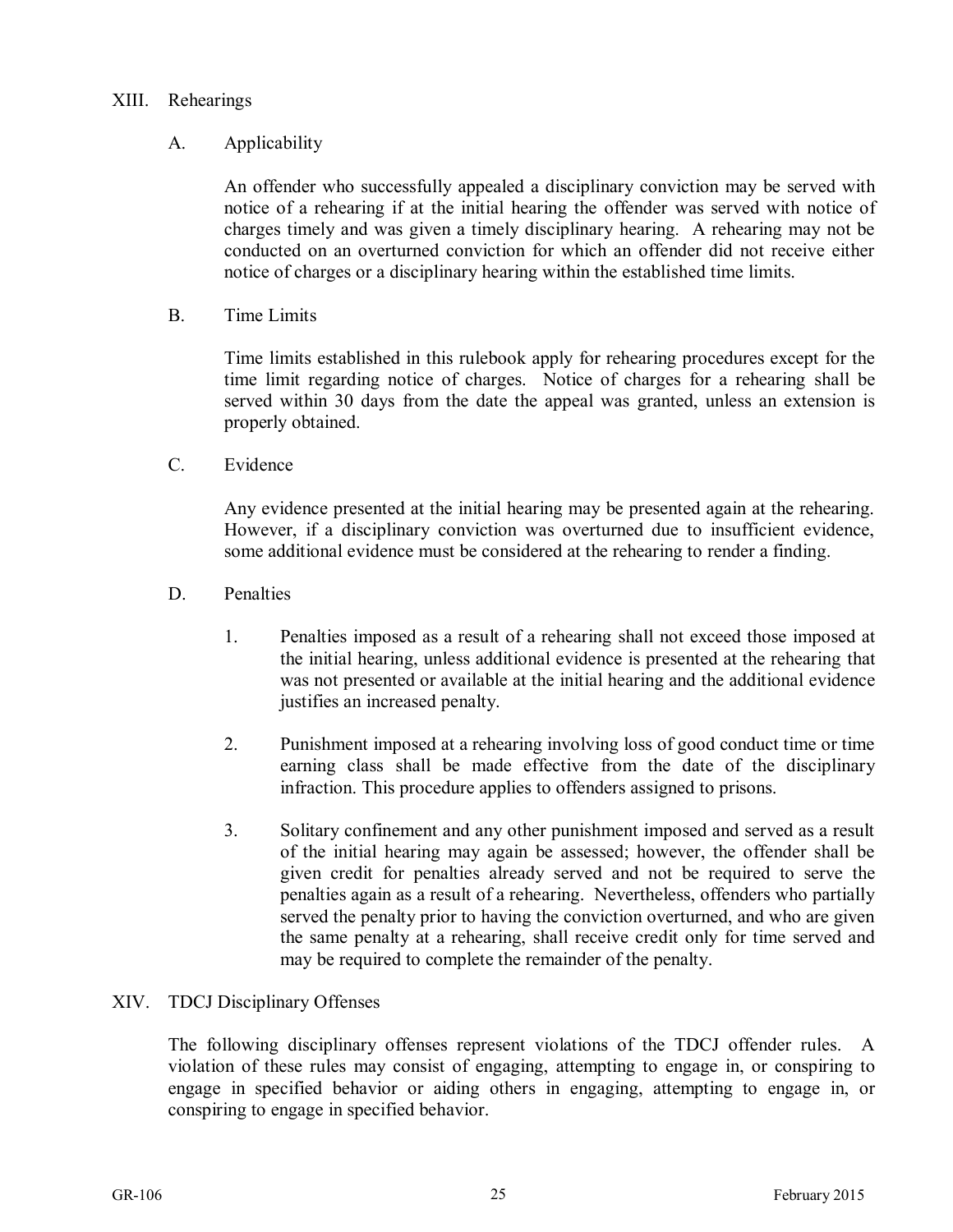#### XIII. Rehearings

#### A. Applicability

An offender who successfully appealed a disciplinary conviction may be served with notice of a rehearing if at the initial hearing the offender was served with notice of charges timely and was given a timely disciplinary hearing. A rehearing may not be conducted on an overturned conviction for which an offender did not receive either notice of charges or a disciplinary hearing within the established time limits.

B. Time Limits

Time limits established in this rulebook apply for rehearing procedures except for the time limit regarding notice of charges. Notice of charges for a rehearing shall be served within 30 days from the date the appeal was granted, unless an extension is properly obtained.

C. Evidence

Any evidence presented at the initial hearing may be presented again at the rehearing. However, if a disciplinary conviction was overturned due to insufficient evidence, some additional evidence must be considered at the rehearing to render a finding.

- D. Penalties
	- 1. Penalties imposed as a result of a rehearing shall not exceed those imposed at the initial hearing, unless additional evidence is presented at the rehearing that was not presented or available at the initial hearing and the additional evidence justifies an increased penalty.
	- 2. Punishment imposed at a rehearing involving loss of good conduct time or time earning class shall be made effective from the date of the disciplinary infraction. This procedure applies to offenders assigned to prisons.
	- 3. Solitary confinement and any other punishment imposed and served as a result of the initial hearing may again be assessed; however, the offender shall be given credit for penalties already served and not be required to serve the penalties again as a result of a rehearing. Nevertheless, offenders who partially served the penalty prior to having the conviction overturned, and who are given the same penalty at a rehearing, shall receive credit only for time served and may be required to complete the remainder of the penalty.

#### XIV. TDCJ Disciplinary Offenses

The following disciplinary offenses represent violations of the TDCJ offender rules. A violation of these rules may consist of engaging, attempting to engage in, or conspiring to engage in specified behavior or aiding others in engaging, attempting to engage in, or conspiring to engage in specified behavior.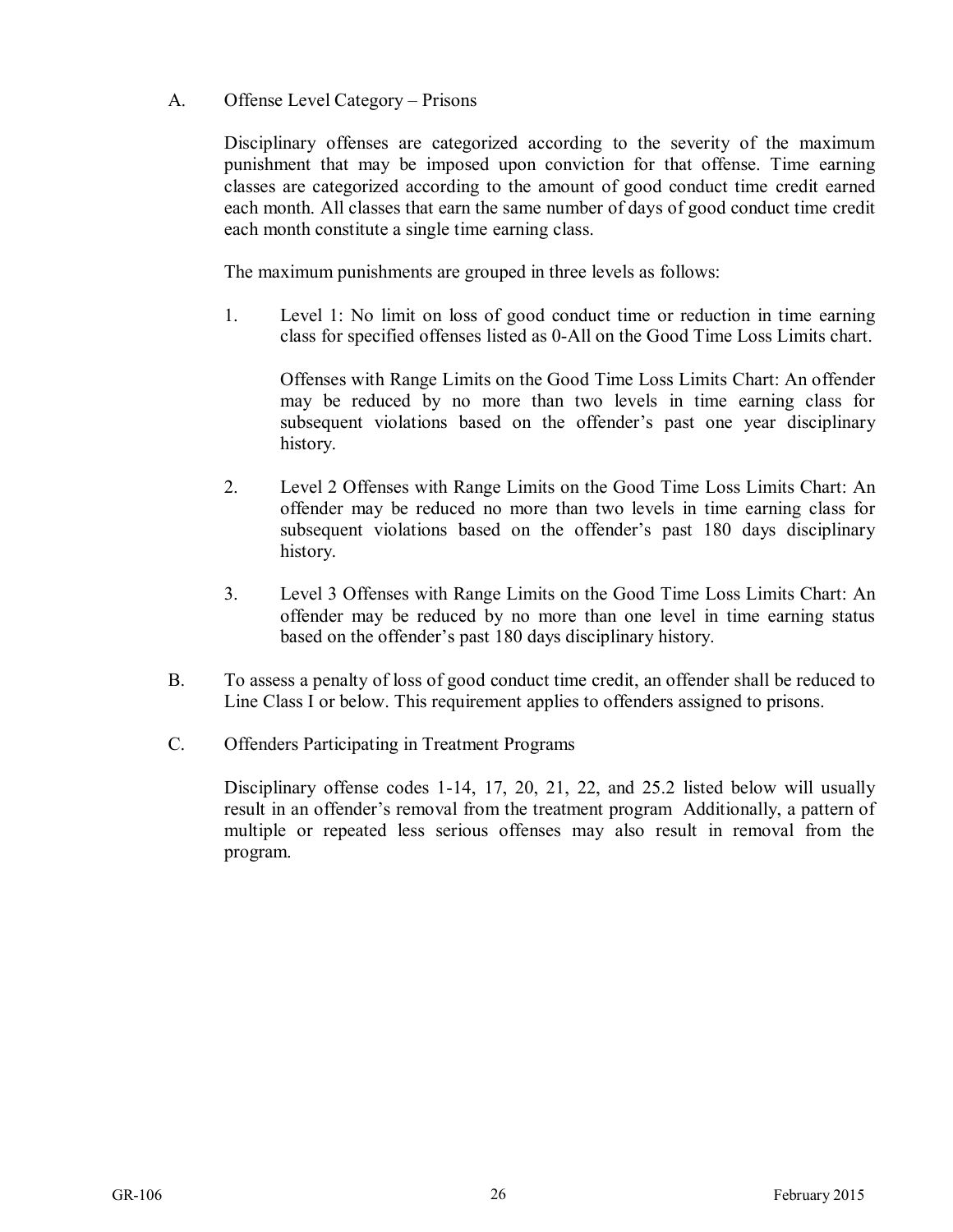A. Offense Level Category – Prisons

Disciplinary offenses are categorized according to the severity of the maximum punishment that may be imposed upon conviction for that offense. Time earning classes are categorized according to the amount of good conduct time credit earned each month. All classes that earn the same number of days of good conduct time credit each month constitute a single time earning class.

The maximum punishments are grouped in three levels as follows:

1. Level 1: No limit on loss of good conduct time or reduction in time earning class for specified offenses listed as 0-All on the Good Time Loss Limits chart.

Offenses with Range Limits on the Good Time Loss Limits Chart: An offender may be reduced by no more than two levels in time earning class for subsequent violations based on the offender's past one year disciplinary history.

- 2. Level 2 Offenses with Range Limits on the Good Time Loss Limits Chart: An offender may be reduced no more than two levels in time earning class for subsequent violations based on the offender's past 180 days disciplinary history.
- 3. Level 3 Offenses with Range Limits on the Good Time Loss Limits Chart: An offender may be reduced by no more than one level in time earning status based on the offender's past 180 days disciplinary history.
- B. To assess a penalty of loss of good conduct time credit, an offender shall be reduced to Line Class I or below. This requirement applies to offenders assigned to prisons.
- C. Offenders Participating in Treatment Programs

Disciplinary offense codes 1-14, 17, 20, 21, 22, and 25.2 listed below will usually result in an offender's removal from the treatment program Additionally, a pattern of multiple or repeated less serious offenses may also result in removal from the program.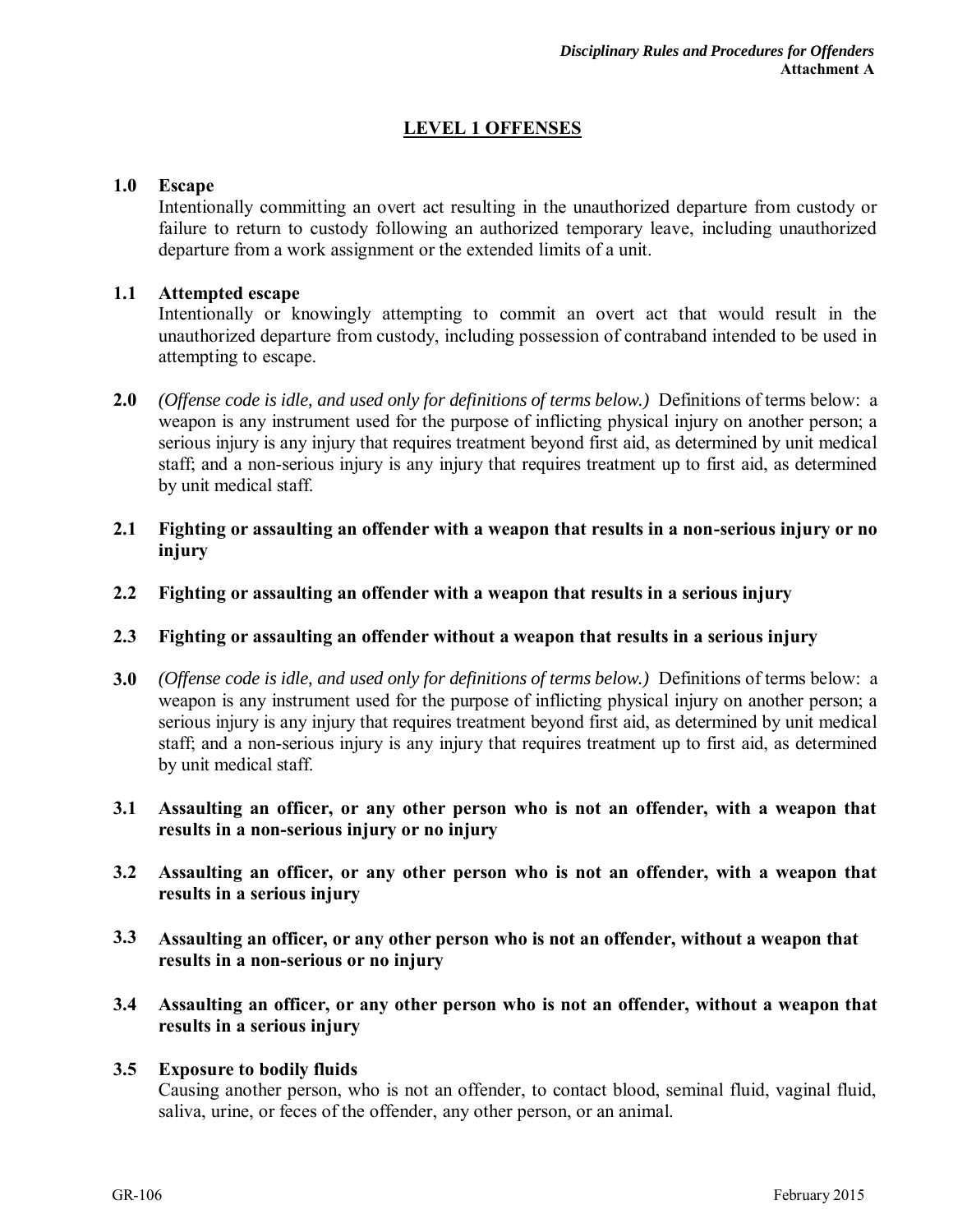#### **LEVEL 1 OFFENSES**

#### **1.0 Escape**

Intentionally committing an overt act resulting in the unauthorized departure from custody or failure to return to custody following an authorized temporary leave, including unauthorized departure from a work assignment or the extended limits of a unit.

#### **1.1 Attempted escape**

Intentionally or knowingly attempting to commit an overt act that would result in the unauthorized departure from custody, including possession of contraband intended to be used in attempting to escape.

- **2.0** *(Offense code is idle, and used only for definitions of terms below.)* Definitions of terms below: a weapon is any instrument used for the purpose of inflicting physical injury on another person; a serious injury is any injury that requires treatment beyond first aid, as determined by unit medical staff; and a non-serious injury is any injury that requires treatment up to first aid, as determined by unit medical staff.
- **2.1 Fighting or assaulting an offender with a weapon that results in a non-serious injury or no injury**
- **2.2 Fighting or assaulting an offender with a weapon that results in a serious injury**

#### **2.3 Fighting or assaulting an offender without a weapon that results in a serious injury**

- **3.0** *(Offense code is idle, and used only for definitions of terms below.)* Definitions of terms below: a weapon is any instrument used for the purpose of inflicting physical injury on another person; a serious injury is any injury that requires treatment beyond first aid, as determined by unit medical staff; and a non-serious injury is any injury that requires treatment up to first aid, as determined by unit medical staff.
- **3.1 Assaulting an officer, or any other person who is not an offender, with a weapon that results in a non-serious injury or no injury**
- **3.2 Assaulting an officer, or any other person who is not an offender, with a weapon that results in a serious injury**
- **3.3 Assaulting an officer, or any other person who is not an offender, without a weapon that results in a non-serious or no injury**
- **3.4 Assaulting an officer, or any other person who is not an offender, without a weapon that results in a serious injury**

#### **3.5 Exposure to bodily fluids**

Causing another person, who is not an offender, to contact blood, seminal fluid, vaginal fluid, saliva, urine, or feces of the offender, any other person, or an animal.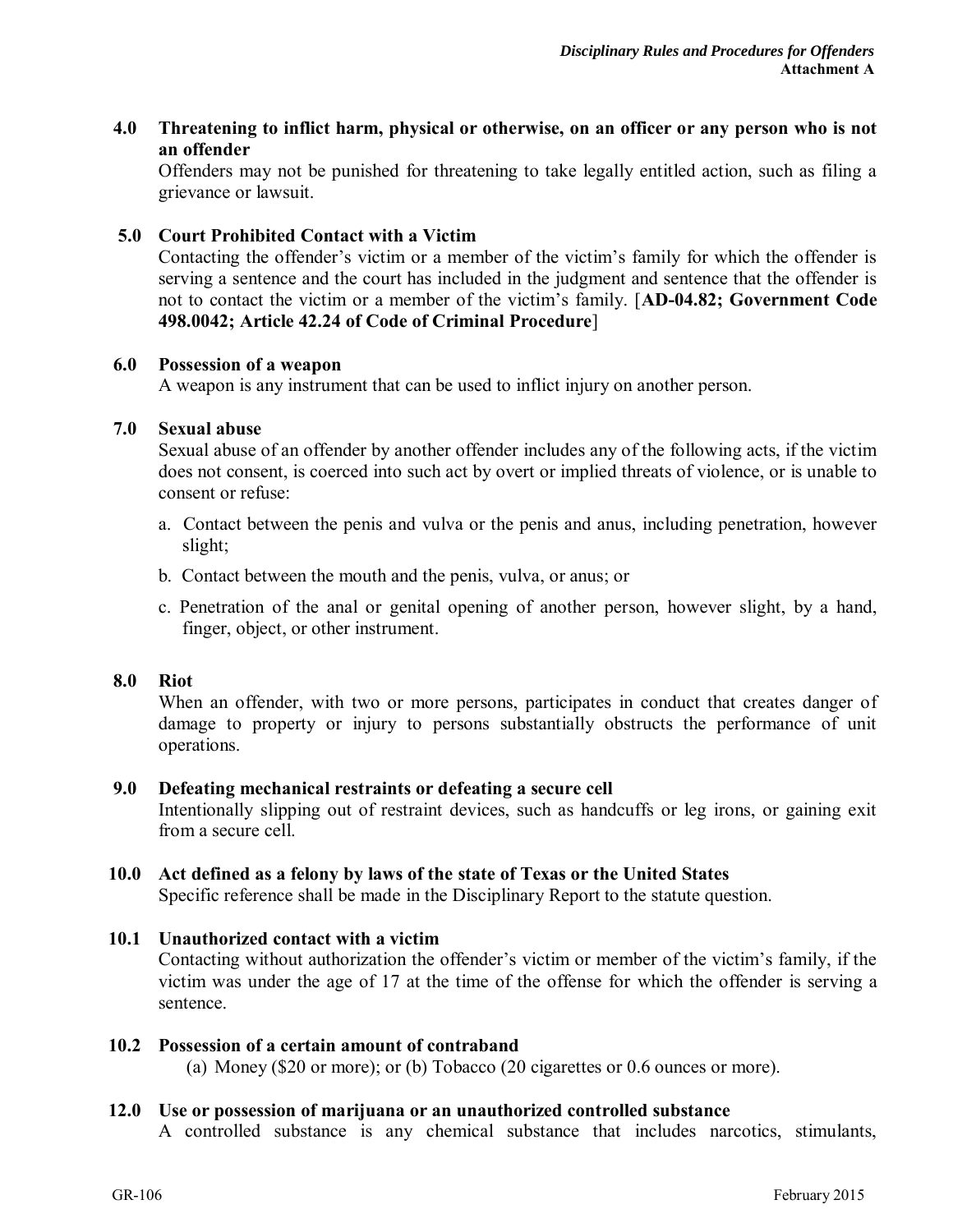#### **4.0 Threatening to inflict harm, physical or otherwise, on an officer or any person who is not an offender**

Offenders may not be punished for threatening to take legally entitled action, such as filing a grievance or lawsuit.

#### **5.0 Court Prohibited Contact with a Victim**

Contacting the offender's victim or a member of the victim's family for which the offender is serving a sentence and the court has included in the judgment and sentence that the offender is not to contact the victim or a member of the victim's family. [**AD-04.82; Government Code 498.0042; Article 42.24 of Code of Criminal Procedure**]

#### **6.0 Possession of a weapon**

A weapon is any instrument that can be used to inflict injury on another person.

#### **7.0 Sexual abuse**

Sexual abuse of an offender by another offender includes any of the following acts, if the victim does not consent, is coerced into such act by overt or implied threats of violence, or is unable to consent or refuse:

- a. Contact between the penis and vulva or the penis and anus, including penetration, however slight;
- b. Contact between the mouth and the penis, vulva, or anus; or
- c. Penetration of the anal or genital opening of another person, however slight, by a hand, finger, object, or other instrument.

#### **8.0 Riot**

When an offender, with two or more persons, participates in conduct that creates danger of damage to property or injury to persons substantially obstructs the performance of unit operations.

#### **9.0 Defeating mechanical restraints or defeating a secure cell**

Intentionally slipping out of restraint devices, such as handcuffs or leg irons, or gaining exit from a secure cell.

#### **10.0 Act defined as a felony by laws of the state of Texas or the United States**

Specific reference shall be made in the Disciplinary Report to the statute question.

#### **10.1 Unauthorized contact with a victim**

Contacting without authorization the offender's victim or member of the victim's family, if the victim was under the age of 17 at the time of the offense for which the offender is serving a sentence.

#### **10.2 Possession of a certain amount of contraband**

(a) Money (\$20 or more); or (b) Tobacco (20 cigarettes or 0.6 ounces or more).

#### **12.0 Use or possession of marijuana or an unauthorized controlled substance**

A controlled substance is any chemical substance that includes narcotics, stimulants,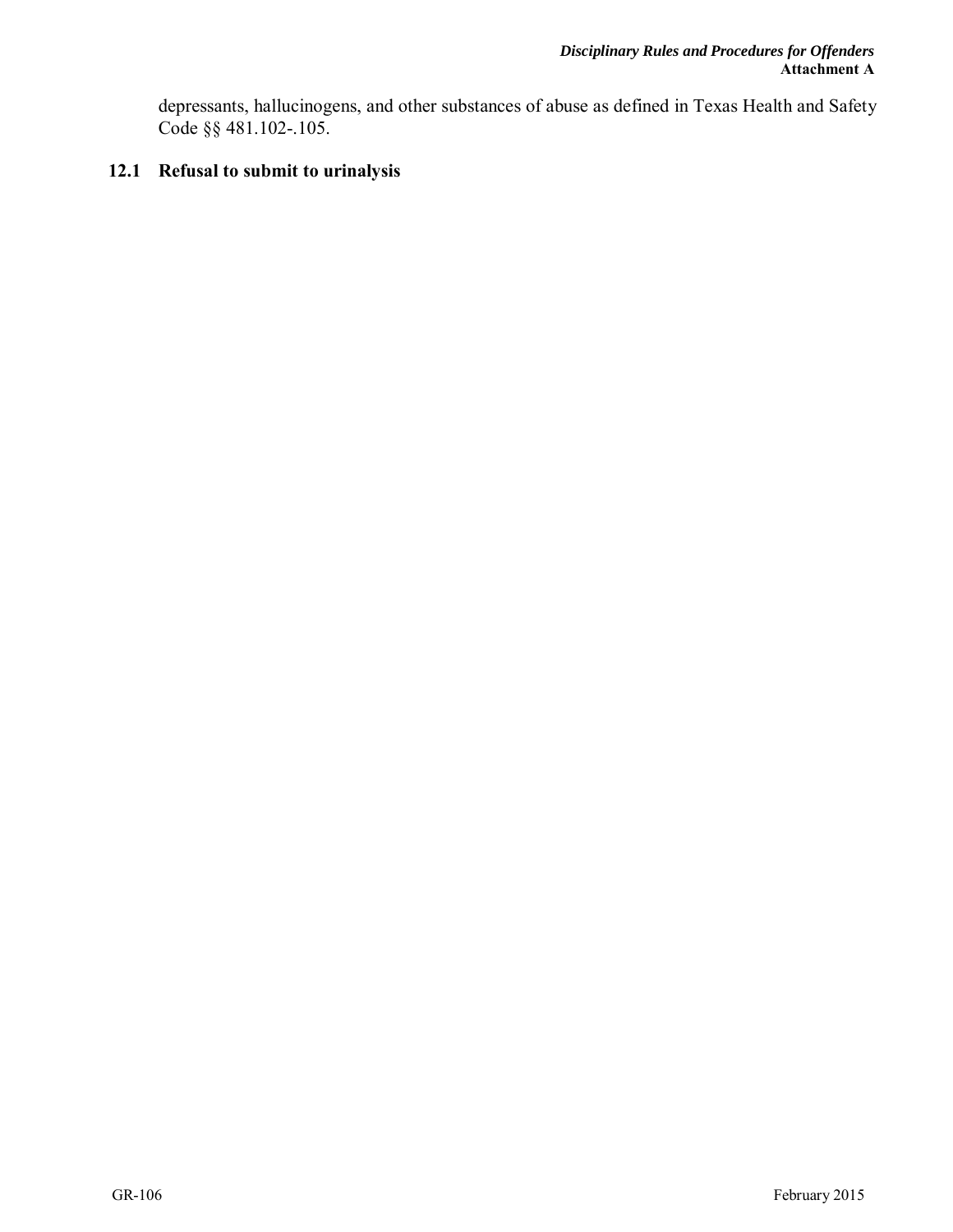depressants, hallucinogens, and other substances of abuse as defined in Texas Health and Safety Code §§ 481.102-.105.

#### **12.1 Refusal to submit to urinalysis**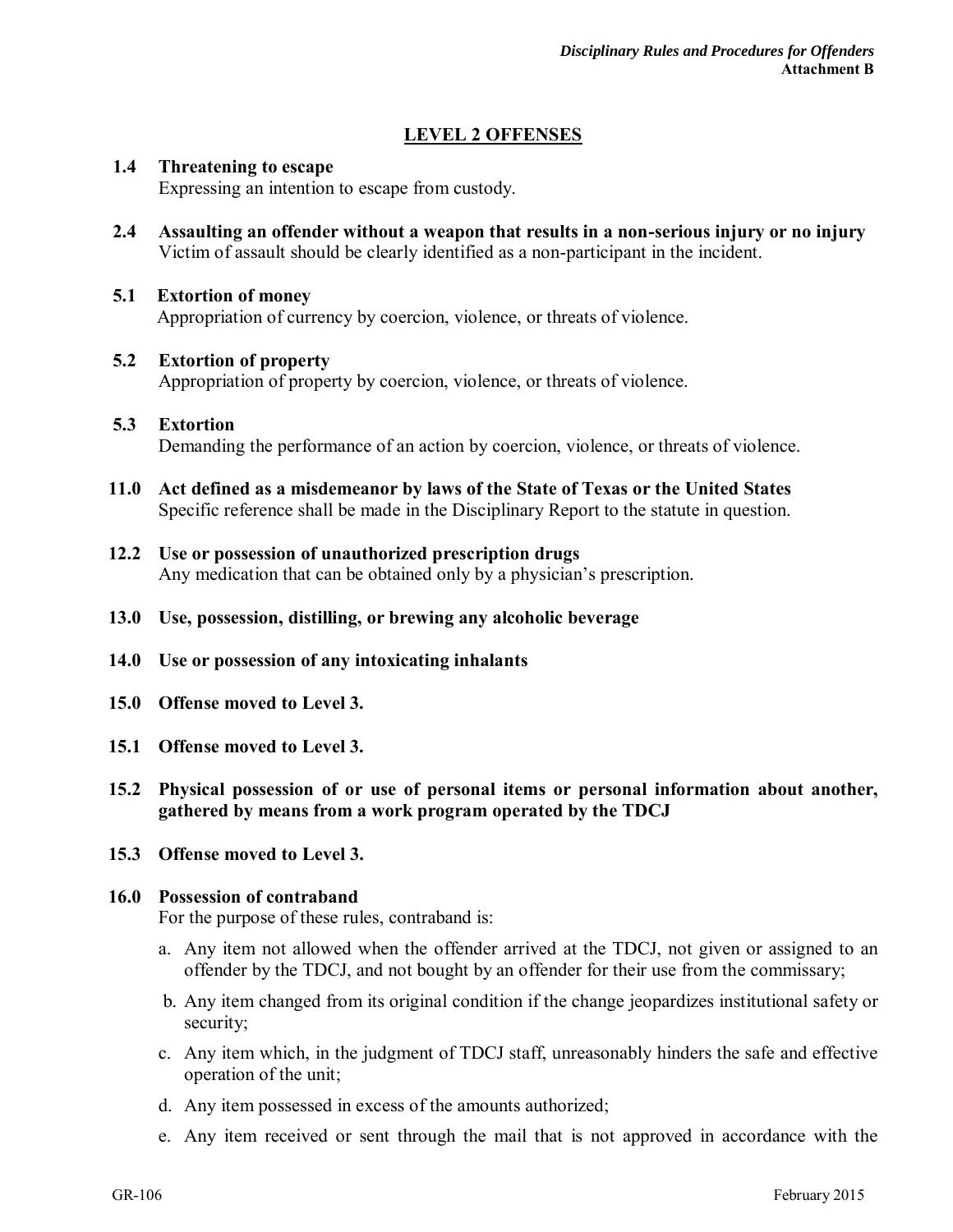#### **LEVEL 2 OFFENSES**

#### **1.4 Threatening to escape**

Expressing an intention to escape from custody.

**2.4 Assaulting an offender without a weapon that results in a non-serious injury or no injury**  Victim of assault should be clearly identified as a non-participant in the incident.

#### **5.1 Extortion of money**

Appropriation of currency by coercion, violence, or threats of violence.

#### **5.2 Extortion of property**

Appropriation of property by coercion, violence, or threats of violence.

#### **5.3 Extortion**  Demanding the performance of an action by coercion, violence, or threats of violence.

- **11.0 Act defined as a misdemeanor by laws of the State of Texas or the United States**  Specific reference shall be made in the Disciplinary Report to the statute in question.
- **12.2 Use or possession of unauthorized prescription drugs**  Any medication that can be obtained only by a physician's prescription.
- **13.0 Use, possession, distilling, or brewing any alcoholic beverage**
- **14.0 Use or possession of any intoxicating inhalants**
- **15.0 Offense moved to Level 3.**
- **15.1 Offense moved to Level 3.**
- **15.2 Physical possession of or use of personal items or personal information about another, gathered by means from a work program operated by the TDCJ**
- **15.3 Offense moved to Level 3.**

#### **16.0 Possession of contraband**

For the purpose of these rules, contraband is:

- a. Any item not allowed when the offender arrived at the TDCJ, not given or assigned to an offender by the TDCJ, and not bought by an offender for their use from the commissary;
- b. Any item changed from its original condition if the change jeopardizes institutional safety or security;
- c. Any item which, in the judgment of TDCJ staff, unreasonably hinders the safe and effective operation of the unit;
- d. Any item possessed in excess of the amounts authorized;
- e. Any item received or sent through the mail that is not approved in accordance with the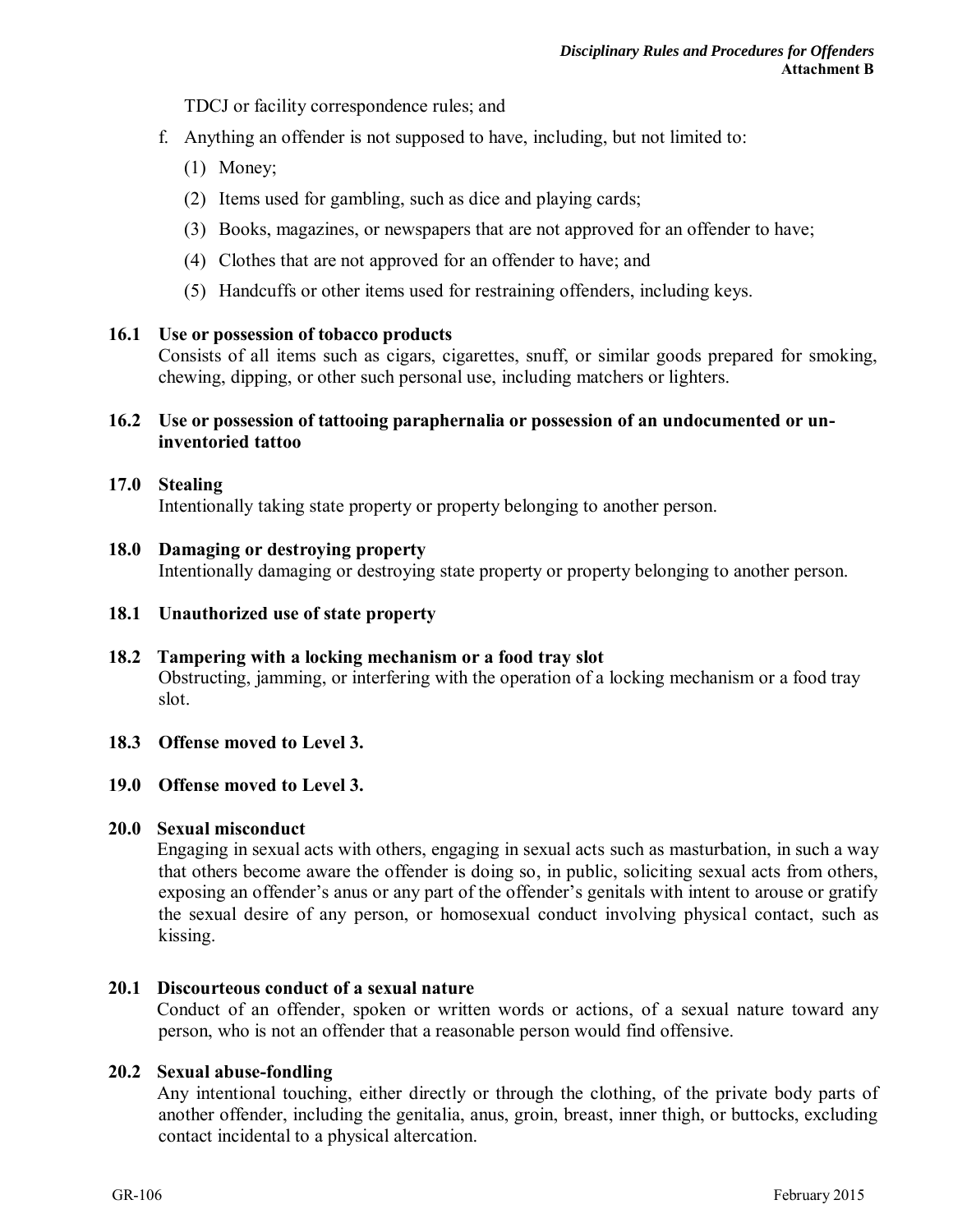TDCJ or facility correspondence rules; and

- f. Anything an offender is not supposed to have, including, but not limited to:
	- (1) Money;
	- (2) Items used for gambling, such as dice and playing cards;
	- (3) Books, magazines, or newspapers that are not approved for an offender to have;
	- (4) Clothes that are not approved for an offender to have; and
	- (5) Handcuffs or other items used for restraining offenders, including keys.

#### **16.1 Use or possession of tobacco products**

Consists of all items such as cigars, cigarettes, snuff, or similar goods prepared for smoking, chewing, dipping, or other such personal use, including matchers or lighters.

#### **16.2 Use or possession of tattooing paraphernalia or possession of an undocumented or uninventoried tattoo**

#### **17.0 Stealing**

Intentionally taking state property or property belonging to another person.

#### **18.0 Damaging or destroying property**

Intentionally damaging or destroying state property or property belonging to another person.

#### **18.1 Unauthorized use of state property**

**18.2 Tampering with a locking mechanism or a food tray slot**  Obstructing, jamming, or interfering with the operation of a locking mechanism or a food tray slot.

#### **18.3 Offense moved to Level 3.**

#### **19.0 Offense moved to Level 3.**

#### **20.0 Sexual misconduct**

Engaging in sexual acts with others, engaging in sexual acts such as masturbation, in such a way that others become aware the offender is doing so, in public, soliciting sexual acts from others, exposing an offender's anus or any part of the offender's genitals with intent to arouse or gratify the sexual desire of any person, or homosexual conduct involving physical contact, such as kissing.

#### **20.1 Discourteous conduct of a sexual nature**

Conduct of an offender, spoken or written words or actions, of a sexual nature toward any person, who is not an offender that a reasonable person would find offensive.

#### **20.2 Sexual abuse-fondling**

Any intentional touching, either directly or through the clothing, of the private body parts of another offender, including the genitalia, anus, groin, breast, inner thigh, or buttocks, excluding contact incidental to a physical altercation.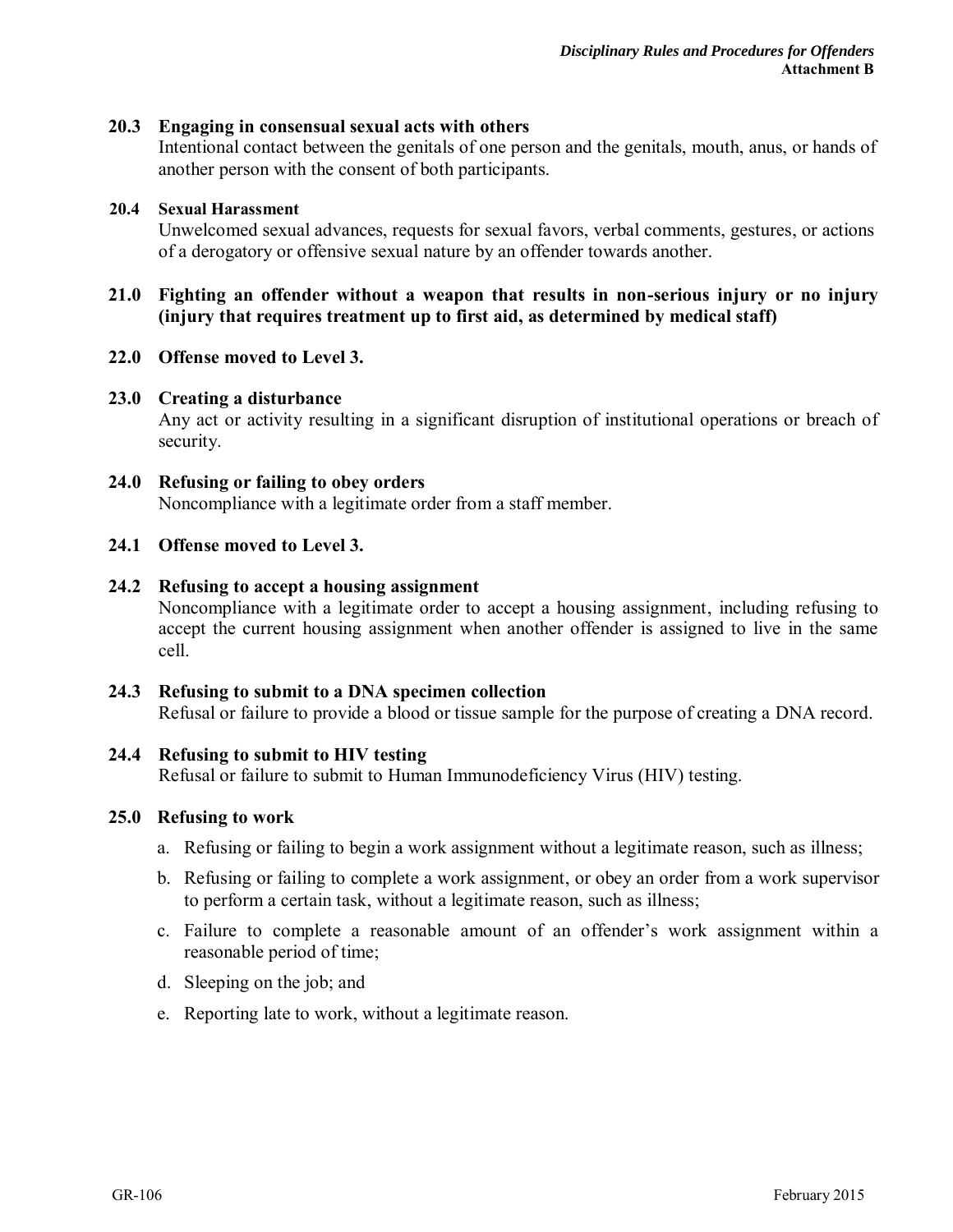#### **20.3 Engaging in consensual sexual acts with others**

Intentional contact between the genitals of one person and the genitals, mouth, anus, or hands of another person with the consent of both participants.

#### **20.4 Sexual Harassment**

Unwelcomed sexual advances, requests for sexual favors, verbal comments, gestures, or actions of a derogatory or offensive sexual nature by an offender towards another.

#### **21.0 Fighting an offender without a weapon that results in non-serious injury or no injury (injury that requires treatment up to first aid, as determined by medical staff)**

#### **22.0 Offense moved to Level 3.**

#### **23.0 Creating a disturbance**

Any act or activity resulting in a significant disruption of institutional operations or breach of security.

#### **24.0 Refusing or failing to obey orders**

Noncompliance with a legitimate order from a staff member.

#### **24.1 Offense moved to Level 3.**

#### **24.2 Refusing to accept a housing assignment**

Noncompliance with a legitimate order to accept a housing assignment, including refusing to accept the current housing assignment when another offender is assigned to live in the same cell.

### **24.3 Refusing to submit to a DNA specimen collection**

Refusal or failure to provide a blood or tissue sample for the purpose of creating a DNA record.

#### **24.4 Refusing to submit to HIV testing**

Refusal or failure to submit to Human Immunodeficiency Virus (HIV) testing.

#### **25.0 Refusing to work**

- a. Refusing or failing to begin a work assignment without a legitimate reason, such as illness;
- b. Refusing or failing to complete a work assignment, or obey an order from a work supervisor to perform a certain task, without a legitimate reason, such as illness;
- c. Failure to complete a reasonable amount of an offender's work assignment within a reasonable period of time;
- d. Sleeping on the job; and
- e. Reporting late to work, without a legitimate reason.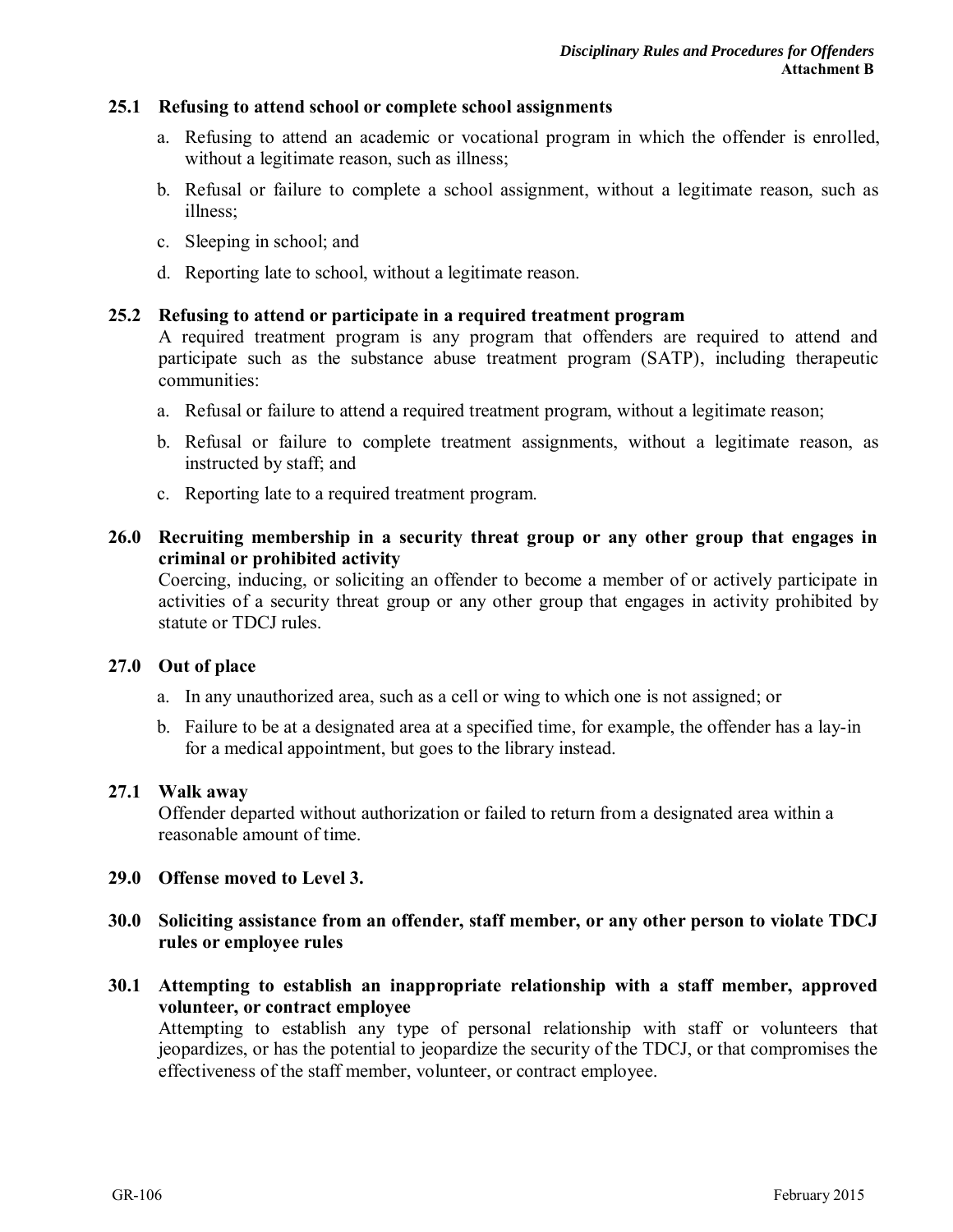#### **25.1 Refusing to attend school or complete school assignments**

- a. Refusing to attend an academic or vocational program in which the offender is enrolled, without a legitimate reason, such as illness;
- b. Refusal or failure to complete a school assignment, without a legitimate reason, such as illness;
- c. Sleeping in school; and
- d. Reporting late to school, without a legitimate reason.

#### **25.2 Refusing to attend or participate in a required treatment program**

A required treatment program is any program that offenders are required to attend and participate such as the substance abuse treatment program (SATP), including therapeutic communities:

- a. Refusal or failure to attend a required treatment program, without a legitimate reason;
- b. Refusal or failure to complete treatment assignments, without a legitimate reason, as instructed by staff; and
- c. Reporting late to a required treatment program.

#### **26.0 Recruiting membership in a security threat group or any other group that engages in criminal or prohibited activity**

Coercing, inducing, or soliciting an offender to become a member of or actively participate in activities of a security threat group or any other group that engages in activity prohibited by statute or TDCJ rules.

#### **27.0 Out of place**

- a. In any unauthorized area, such as a cell or wing to which one is not assigned; or
- b. Failure to be at a designated area at a specified time, for example, the offender has a lay-in for a medical appointment, but goes to the library instead.

#### **27.1 Walk away**

Offender departed without authorization or failed to return from a designated area within a reasonable amount of time.

#### **29.0 Offense moved to Level 3.**

- **30.0 Soliciting assistance from an offender, staff member, or any other person to violate TDCJ rules or employee rules**
- **30.1 Attempting to establish an inappropriate relationship with a staff member, approved volunteer, or contract employee**

Attempting to establish any type of personal relationship with staff or volunteers that jeopardizes, or has the potential to jeopardize the security of the TDCJ, or that compromises the effectiveness of the staff member, volunteer, or contract employee.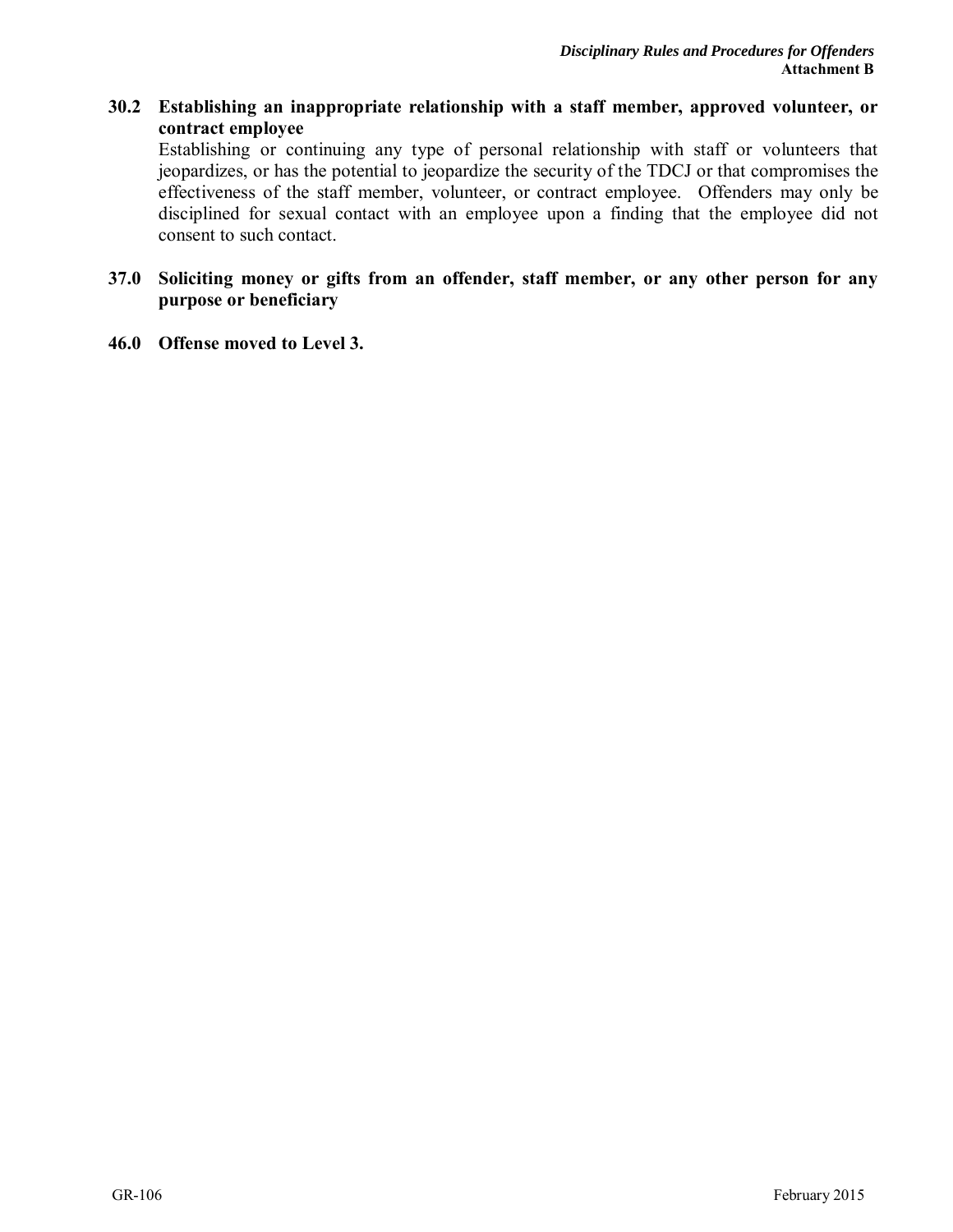#### **30.2 Establishing an inappropriate relationship with a staff member, approved volunteer, or contract employee**

Establishing or continuing any type of personal relationship with staff or volunteers that jeopardizes, or has the potential to jeopardize the security of the TDCJ or that compromises the effectiveness of the staff member, volunteer, or contract employee. Offenders may only be disciplined for sexual contact with an employee upon a finding that the employee did not consent to such contact.

#### **37.0 Soliciting money or gifts from an offender, staff member, or any other person for any purpose or beneficiary**

**46.0 Offense moved to Level 3.**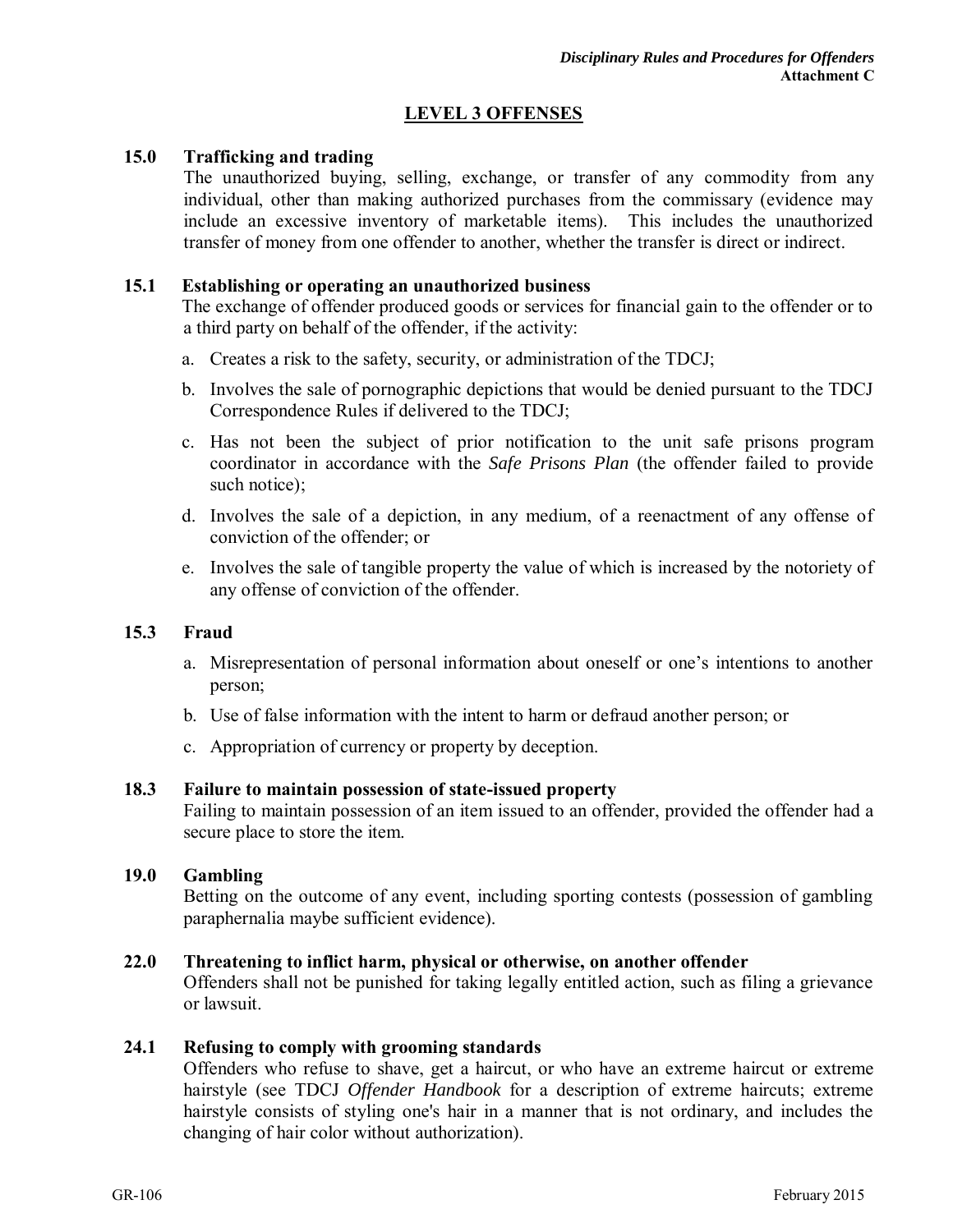#### **LEVEL 3 OFFENSES**

#### **15.0 Trafficking and trading**

The unauthorized buying, selling, exchange, or transfer of any commodity from any individual, other than making authorized purchases from the commissary (evidence may include an excessive inventory of marketable items). This includes the unauthorized transfer of money from one offender to another, whether the transfer is direct or indirect.

#### **15.1 Establishing or operating an unauthorized business**

The exchange of offender produced goods or services for financial gain to the offender or to a third party on behalf of the offender, if the activity:

- a. Creates a risk to the safety, security, or administration of the TDCJ;
- b. Involves the sale of pornographic depictions that would be denied pursuant to the TDCJ Correspondence Rules if delivered to the TDCJ;
- c. Has not been the subject of prior notification to the unit safe prisons program coordinator in accordance with the *Safe Prisons Plan* (the offender failed to provide such notice);
- d. Involves the sale of a depiction, in any medium, of a reenactment of any offense of conviction of the offender; or
- e. Involves the sale of tangible property the value of which is increased by the notoriety of any offense of conviction of the offender.

#### **15.3 Fraud**

- a. Misrepresentation of personal information about oneself or one's intentions to another person;
- b. Use of false information with the intent to harm or defraud another person; or
- c. Appropriation of currency or property by deception.

#### **18.3 Failure to maintain possession of state-issued property**

Failing to maintain possession of an item issued to an offender, provided the offender had a secure place to store the item.

#### **19.0 Gambling**

Betting on the outcome of any event, including sporting contests (possession of gambling paraphernalia maybe sufficient evidence).

#### **22.0 Threatening to inflict harm, physical or otherwise, on another offender**

Offenders shall not be punished for taking legally entitled action, such as filing a grievance or lawsuit.

#### **24.1 Refusing to comply with grooming standards**

Offenders who refuse to shave, get a haircut, or who have an extreme haircut or extreme hairstyle (see TDCJ *Offender Handbook* for a description of extreme haircuts; extreme hairstyle consists of styling one's hair in a manner that is not ordinary, and includes the changing of hair color without authorization).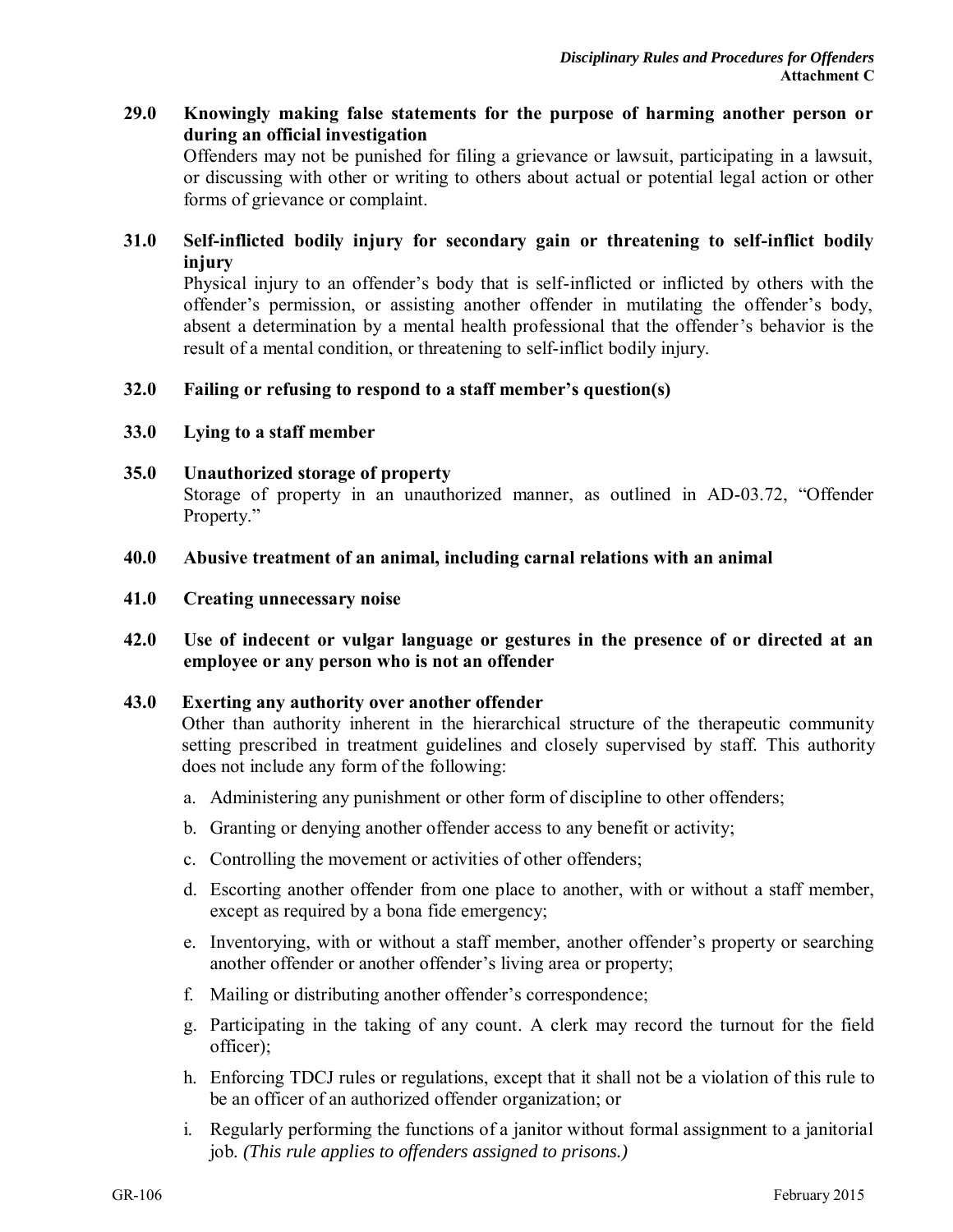#### **29.0 Knowingly making false statements for the purpose of harming another person or during an official investigation**

Offenders may not be punished for filing a grievance or lawsuit, participating in a lawsuit, or discussing with other or writing to others about actual or potential legal action or other forms of grievance or complaint.

#### **31.0 Self-inflicted bodily injury for secondary gain or threatening to self-inflict bodily injury**

Physical injury to an offender's body that is self-inflicted or inflicted by others with the offender's permission, or assisting another offender in mutilating the offender's body, absent a determination by a mental health professional that the offender's behavior is the result of a mental condition, or threatening to self-inflict bodily injury.

#### **32.0 Failing or refusing to respond to a staff member's question(s)**

**33.0 Lying to a staff member** 

#### **35.0 Unauthorized storage of property**

Storage of property in an unauthorized manner, as outlined in AD-03.72, "Offender Property."

#### **40.0 Abusive treatment of an animal, including carnal relations with an animal**

**41.0 Creating unnecessary noise** 

#### **42.0 Use of indecent or vulgar language or gestures in the presence of or directed at an employee or any person who is not an offender**

#### **43.0 Exerting any authority over another offender**

Other than authority inherent in the hierarchical structure of the therapeutic community setting prescribed in treatment guidelines and closely supervised by staff. This authority does not include any form of the following:

- a. Administering any punishment or other form of discipline to other offenders;
- b. Granting or denying another offender access to any benefit or activity;
- c. Controlling the movement or activities of other offenders;
- d. Escorting another offender from one place to another, with or without a staff member, except as required by a bona fide emergency;
- e. Inventorying, with or without a staff member, another offender's property or searching another offender or another offender's living area or property;
- f. Mailing or distributing another offender's correspondence;
- g. Participating in the taking of any count. A clerk may record the turnout for the field officer);
- h. Enforcing TDCJ rules or regulations, except that it shall not be a violation of this rule to be an officer of an authorized offender organization; or
- i. Regularly performing the functions of a janitor without formal assignment to a janitorial job. *(This rule applies to offenders assigned to prisons.)*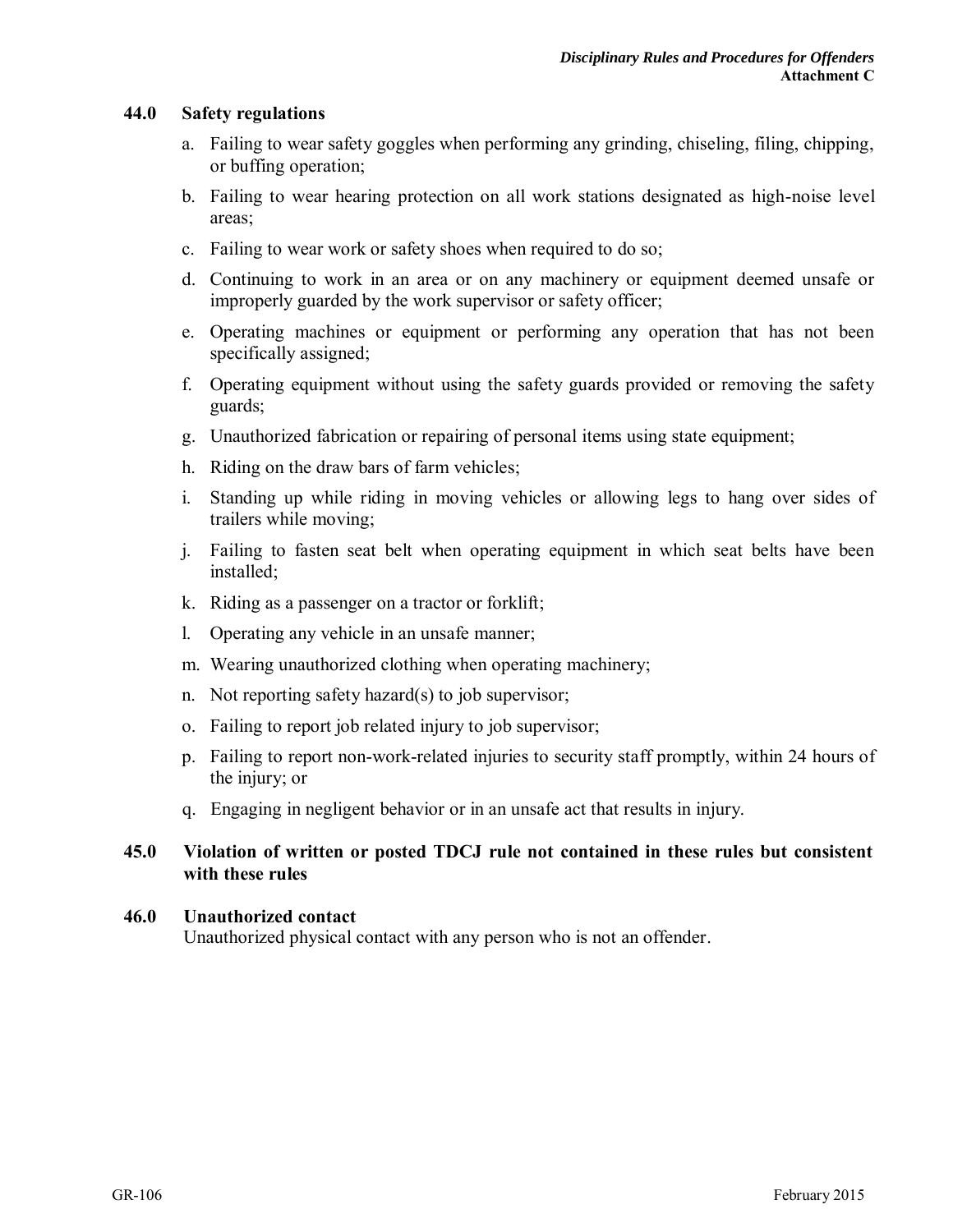#### **44.0 Safety regulations**

- a. Failing to wear safety goggles when performing any grinding, chiseling, filing, chipping, or buffing operation;
- b. Failing to wear hearing protection on all work stations designated as high-noise level areas;
- c. Failing to wear work or safety shoes when required to do so;
- d. Continuing to work in an area or on any machinery or equipment deemed unsafe or improperly guarded by the work supervisor or safety officer;
- e. Operating machines or equipment or performing any operation that has not been specifically assigned;
- f. Operating equipment without using the safety guards provided or removing the safety guards;
- g. Unauthorized fabrication or repairing of personal items using state equipment;
- h. Riding on the draw bars of farm vehicles;
- i. Standing up while riding in moving vehicles or allowing legs to hang over sides of trailers while moving;
- j. Failing to fasten seat belt when operating equipment in which seat belts have been installed;
- k. Riding as a passenger on a tractor or forklift;
- l. Operating any vehicle in an unsafe manner;
- m. Wearing unauthorized clothing when operating machinery;
- n. Not reporting safety hazard(s) to job supervisor;
- o. Failing to report job related injury to job supervisor;
- p. Failing to report non-work-related injuries to security staff promptly, within 24 hours of the injury; or
- q. Engaging in negligent behavior or in an unsafe act that results in injury.

#### **45.0 Violation of written or posted TDCJ rule not contained in these rules but consistent with these rules**

#### **46.0 Unauthorized contact**

Unauthorized physical contact with any person who is not an offender.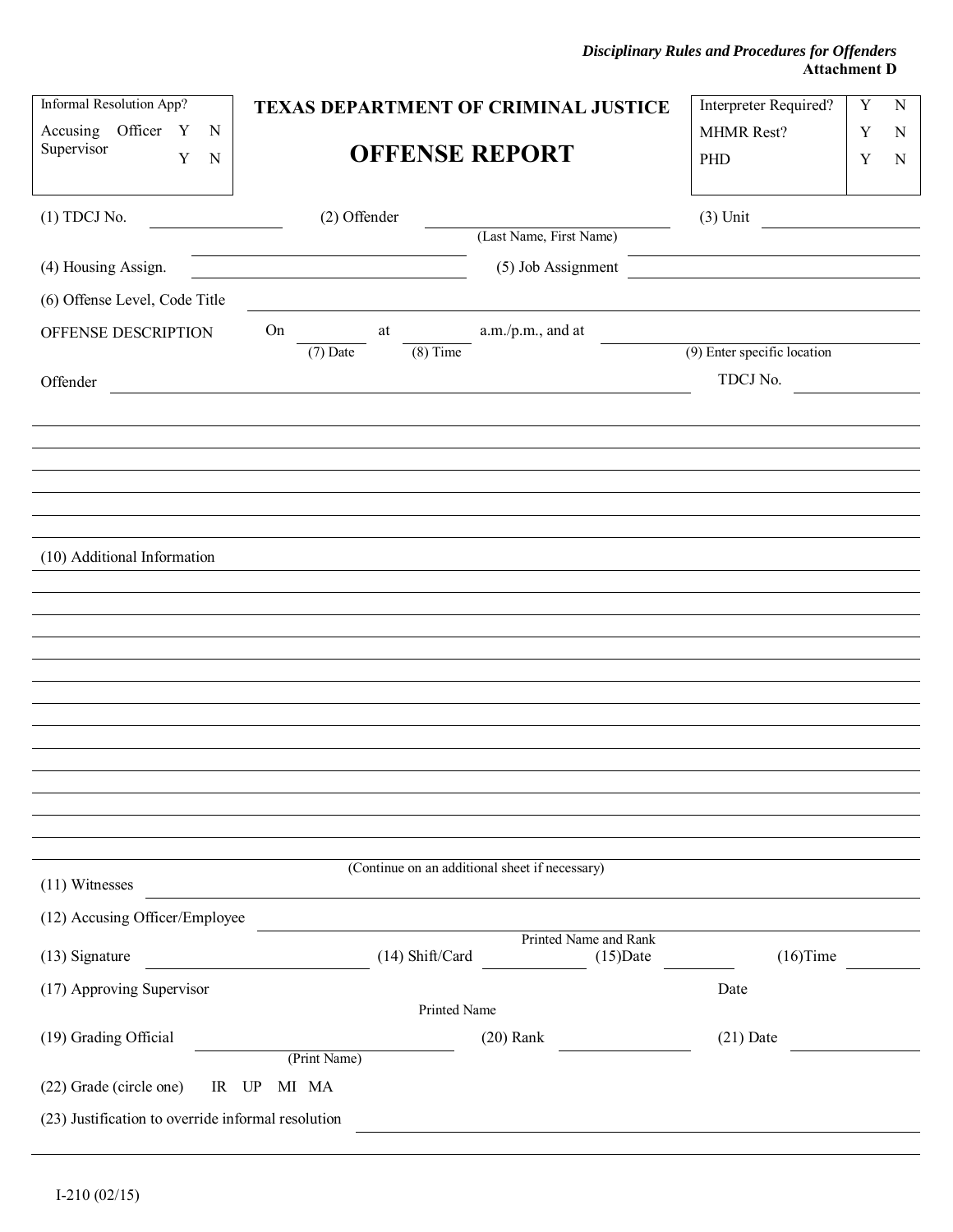*Disciplinary Rules and Procedures for Offenders*  **Attachment D** 

| Informal Resolution App?                           | TEXAS DEPARTMENT OF CRIMINAL JUSTICE |                                                | Interpreter Required?       | Y<br>${\bf N}$ |
|----------------------------------------------------|--------------------------------------|------------------------------------------------|-----------------------------|----------------|
| Accusing Officer Y<br>N                            |                                      | MHMR Rest?                                     | Y<br>N                      |                |
| Supervisor<br>Y<br>N                               | <b>OFFENSE REPORT</b>                |                                                | PHD                         | Y<br>N         |
|                                                    |                                      |                                                |                             |                |
| $(1)$ TDCJ No.                                     | (2) Offender                         | (Last Name, First Name)                        | $(3)$ Unit                  |                |
|                                                    |                                      |                                                |                             |                |
| (4) Housing Assign.                                |                                      | (5) Job Assignment                             |                             |                |
| (6) Offense Level, Code Title                      |                                      |                                                |                             |                |
| OFFENSE DESCRIPTION                                | On<br>at                             | a.m./p.m., and at                              | (9) Enter specific location |                |
|                                                    | $(8)$ Time<br>$(7)$ Date             |                                                |                             |                |
| Offender                                           |                                      |                                                | TDCJ No.                    |                |
|                                                    |                                      |                                                |                             |                |
|                                                    |                                      |                                                |                             |                |
|                                                    |                                      |                                                |                             |                |
|                                                    |                                      |                                                |                             |                |
|                                                    |                                      |                                                |                             |                |
| (10) Additional Information                        |                                      |                                                |                             |                |
|                                                    |                                      |                                                |                             |                |
|                                                    |                                      |                                                |                             |                |
|                                                    |                                      |                                                |                             |                |
|                                                    |                                      |                                                |                             |                |
|                                                    |                                      |                                                |                             |                |
|                                                    |                                      |                                                |                             |                |
|                                                    |                                      |                                                |                             |                |
|                                                    |                                      |                                                |                             |                |
|                                                    |                                      |                                                |                             |                |
|                                                    |                                      | (Continue on an additional sheet if necessary) |                             |                |
| $(11)$ Witnesses                                   |                                      |                                                |                             |                |
| (12) Accusing Officer/Employee                     |                                      |                                                |                             |                |
|                                                    | $(14)$ Shift/Card                    | Printed Name and Rank                          |                             |                |
| (13) Signature                                     |                                      | $(15)$ Date                                    | $(16)$ Time                 |                |
| (17) Approving Supervisor                          | Printed Name                         |                                                | Date                        |                |
| (19) Grading Official                              |                                      | $(20)$ Rank                                    | $(21)$ Date                 |                |
|                                                    | (Print Name)                         |                                                |                             |                |
| (22) Grade (circle one)<br>IR UP                   | MI MA                                |                                                |                             |                |
| (23) Justification to override informal resolution |                                      |                                                |                             |                |
|                                                    |                                      |                                                |                             |                |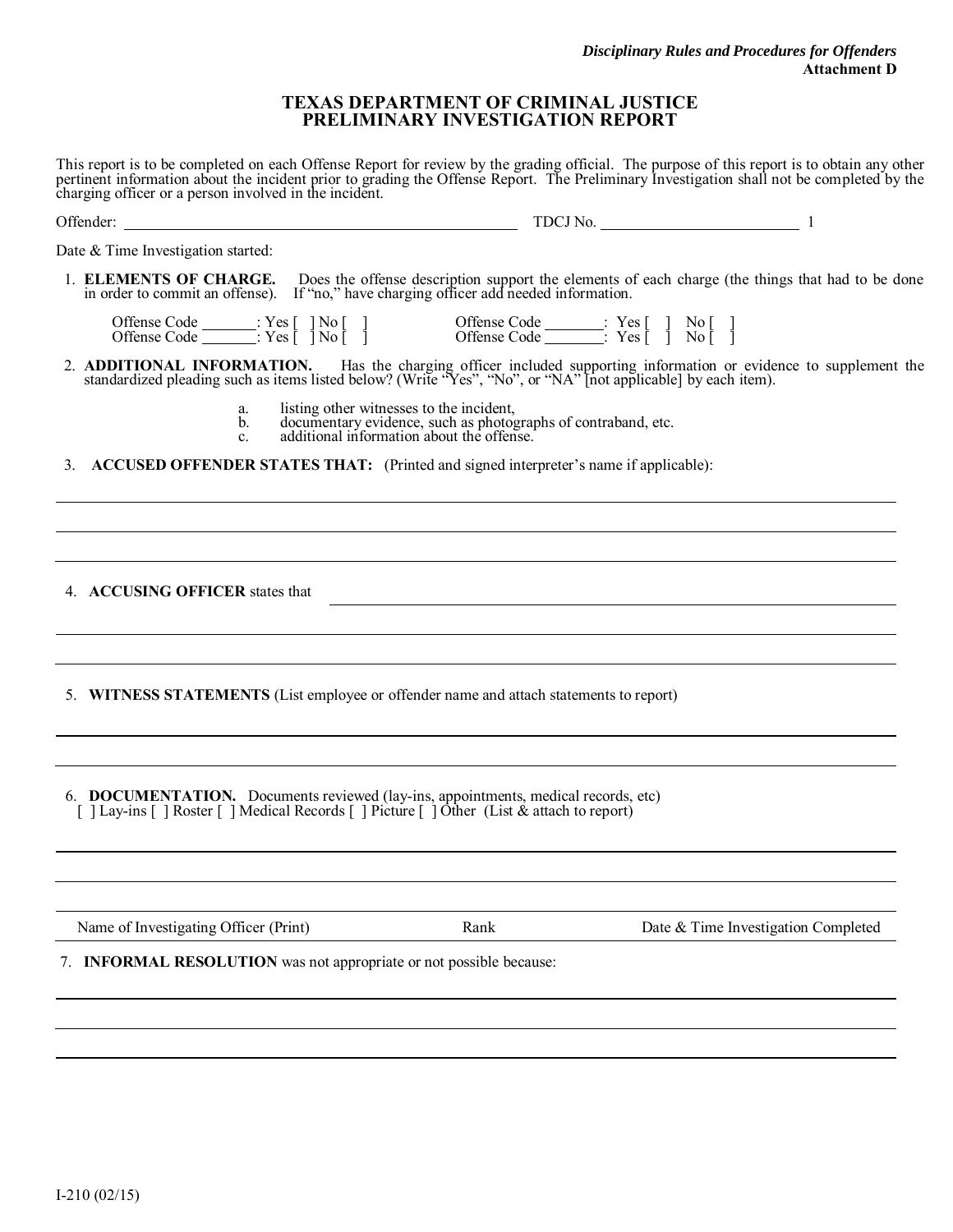#### **TEXAS DEPARTMENT OF CRIMINAL JUSTICE PRELIMINARY INVESTIGATION REPORT**

This report is to be completed on each Offense Report for review by the grading official. The purpose of this report is to obtain any other pertinent information about the incident prior to grading the Offense Report. The Preliminary Investigation shall not be completed by the charging officer or a person involved in the incident.

| $TDCJ No.$ 1                                                                                                                                                                                                                        |
|-------------------------------------------------------------------------------------------------------------------------------------------------------------------------------------------------------------------------------------|
| Date & Time Investigation started:                                                                                                                                                                                                  |
| 1. ELEMENTS OF CHARGE.<br>Does the offense description support the elements of each charge (the things that had to be done<br>in order to commit an offense). If "no," have charging officer add needed information.                |
|                                                                                                                                                                                                                                     |
| 2. <b>ADDITIONAL INFORMATION.</b> Has the charging officer included supporting information or evidence to supplement the standardized pleading such as items listed below? (Write "Yes", "No", or "NA" [not applicable] by each ite |
| listing other witnesses to the incident,<br>a.<br>documentary evidence, such as photographs of contraband, etc.<br>additional information about the offense.<br>b.<br>c.                                                            |
| 3. ACCUSED OFFENDER STATES THAT: (Printed and signed interpreter's name if applicable):                                                                                                                                             |
|                                                                                                                                                                                                                                     |
|                                                                                                                                                                                                                                     |
| 4. ACCUSING OFFICER states that                                                                                                                                                                                                     |
|                                                                                                                                                                                                                                     |
| 5. WITNESS STATEMENTS (List employee or offender name and attach statements to report)                                                                                                                                              |
|                                                                                                                                                                                                                                     |
| 6. <b>DOCUMENTATION.</b> Documents reviewed (lay-ins, appointments, medical records, etc)<br>[ ] Lay-ins [ ] Roster [ ] Medical Records [ ] Picture [ ] Other (List & attach to report)                                             |
|                                                                                                                                                                                                                                     |
| Name of Investigating Officer (Print)<br>Date & Time Investigation Completed<br>Rank                                                                                                                                                |
| 7. INFORMAL RESOLUTION was not appropriate or not possible because:                                                                                                                                                                 |
|                                                                                                                                                                                                                                     |
|                                                                                                                                                                                                                                     |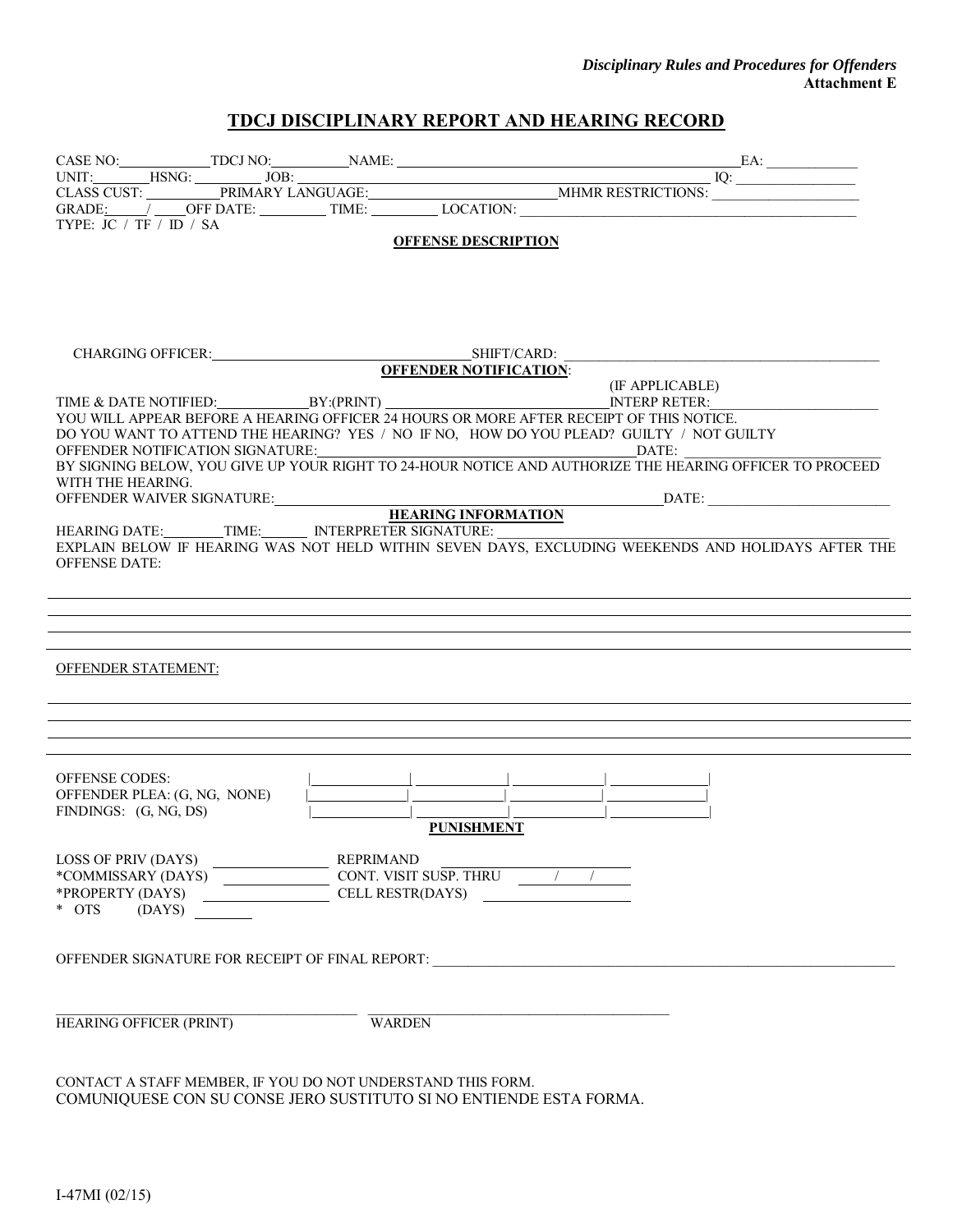#### *Disciplinary Rules and Procedures for Offenders*  **Attachment E**

#### **TDCJ DISCIPLINARY REPORT AND HEARING RECORD**

| TYPE: JC / TF / ID / SA                                                                                                                                                                                                                                                                                                                                                                                                                                          |               |                                                                                                                                                                                     |
|------------------------------------------------------------------------------------------------------------------------------------------------------------------------------------------------------------------------------------------------------------------------------------------------------------------------------------------------------------------------------------------------------------------------------------------------------------------|---------------|-------------------------------------------------------------------------------------------------------------------------------------------------------------------------------------|
|                                                                                                                                                                                                                                                                                                                                                                                                                                                                  |               | <b>OFFENSE DESCRIPTION</b>                                                                                                                                                          |
|                                                                                                                                                                                                                                                                                                                                                                                                                                                                  |               |                                                                                                                                                                                     |
|                                                                                                                                                                                                                                                                                                                                                                                                                                                                  |               |                                                                                                                                                                                     |
|                                                                                                                                                                                                                                                                                                                                                                                                                                                                  |               |                                                                                                                                                                                     |
|                                                                                                                                                                                                                                                                                                                                                                                                                                                                  |               |                                                                                                                                                                                     |
|                                                                                                                                                                                                                                                                                                                                                                                                                                                                  |               |                                                                                                                                                                                     |
|                                                                                                                                                                                                                                                                                                                                                                                                                                                                  |               |                                                                                                                                                                                     |
|                                                                                                                                                                                                                                                                                                                                                                                                                                                                  |               |                                                                                                                                                                                     |
|                                                                                                                                                                                                                                                                                                                                                                                                                                                                  |               |                                                                                                                                                                                     |
|                                                                                                                                                                                                                                                                                                                                                                                                                                                                  |               | YOU WILL APPEAR BEFORE A HEARING OFFICER 24 HOURS OR MORE AFTER RECEIPT OF THIS NOTICE.<br>DO YOU WANT TO ATTEND THE HEARING? YES / NO IF NO, HOW DO YOU PLEAD? GUILTY / NOT GUILTY |
|                                                                                                                                                                                                                                                                                                                                                                                                                                                                  |               |                                                                                                                                                                                     |
|                                                                                                                                                                                                                                                                                                                                                                                                                                                                  |               | BY SIGNING BELOW, YOU GIVE UP YOUR RIGHT TO 24-HOUR NOTICE AND AUTHORIZE THE HEARING OFFICER TO PROCEED                                                                             |
| WITH THE HEARING.                                                                                                                                                                                                                                                                                                                                                                                                                                                |               |                                                                                                                                                                                     |
|                                                                                                                                                                                                                                                                                                                                                                                                                                                                  |               |                                                                                                                                                                                     |
| HEARING DATE: TIME: INTERPRETER SIGNATURE:                                                                                                                                                                                                                                                                                                                                                                                                                       |               |                                                                                                                                                                                     |
|                                                                                                                                                                                                                                                                                                                                                                                                                                                                  |               | EXPLAIN BELOW IF HEARING WAS NOT HELD WITHIN SEVEN DAYS, EXCLUDING WEEKENDS AND HOLIDAYS AFTER THE                                                                                  |
| <b>OFFENSE DATE:</b>                                                                                                                                                                                                                                                                                                                                                                                                                                             |               |                                                                                                                                                                                     |
|                                                                                                                                                                                                                                                                                                                                                                                                                                                                  |               |                                                                                                                                                                                     |
|                                                                                                                                                                                                                                                                                                                                                                                                                                                                  |               |                                                                                                                                                                                     |
|                                                                                                                                                                                                                                                                                                                                                                                                                                                                  |               |                                                                                                                                                                                     |
|                                                                                                                                                                                                                                                                                                                                                                                                                                                                  |               |                                                                                                                                                                                     |
| <b>OFFENDER STATEMENT:</b>                                                                                                                                                                                                                                                                                                                                                                                                                                       |               |                                                                                                                                                                                     |
|                                                                                                                                                                                                                                                                                                                                                                                                                                                                  |               |                                                                                                                                                                                     |
|                                                                                                                                                                                                                                                                                                                                                                                                                                                                  |               |                                                                                                                                                                                     |
|                                                                                                                                                                                                                                                                                                                                                                                                                                                                  |               |                                                                                                                                                                                     |
|                                                                                                                                                                                                                                                                                                                                                                                                                                                                  |               |                                                                                                                                                                                     |
| <b>OFFENSE CODES:</b>                                                                                                                                                                                                                                                                                                                                                                                                                                            |               |                                                                                                                                                                                     |
| OFFENDER PLEA: (G, NG, NONE)                                                                                                                                                                                                                                                                                                                                                                                                                                     |               |                                                                                                                                                                                     |
| FINDINGS: (G, NG, DS)                                                                                                                                                                                                                                                                                                                                                                                                                                            |               |                                                                                                                                                                                     |
|                                                                                                                                                                                                                                                                                                                                                                                                                                                                  |               | <b>PUNISHMENT</b>                                                                                                                                                                   |
|                                                                                                                                                                                                                                                                                                                                                                                                                                                                  |               |                                                                                                                                                                                     |
| $\begin{tabular}{l c c c} \hline \texttt{LOSS OF PRIV (DAYS)} & \texttt{MUSSARY (DAYS)} \\ * \texttt{COMMISSARY (DAYS)} & \texttt{SUSP. THRU} & \texttt{CONT. VISIT SUSP. THRU} \\ * \texttt{PROPERTIES} & \texttt{CELL RESTR(DAYS)} & \texttt{SUSP. THRU} \\ * \texttt{OTS} & \texttt{(DAYS)} & \texttt{SUSP. THRU} & \texttt{SUSP. THRU} \\ * \texttt{OTS} & \texttt{SUSP. THRU} & \texttt{SUSP. THRU} & \texttt{SUSP. THRU} \\ * \texttt{OTS} & \texttt{SUSP$ |               |                                                                                                                                                                                     |
|                                                                                                                                                                                                                                                                                                                                                                                                                                                                  |               |                                                                                                                                                                                     |
|                                                                                                                                                                                                                                                                                                                                                                                                                                                                  |               |                                                                                                                                                                                     |
|                                                                                                                                                                                                                                                                                                                                                                                                                                                                  |               |                                                                                                                                                                                     |
|                                                                                                                                                                                                                                                                                                                                                                                                                                                                  |               |                                                                                                                                                                                     |
|                                                                                                                                                                                                                                                                                                                                                                                                                                                                  |               |                                                                                                                                                                                     |
|                                                                                                                                                                                                                                                                                                                                                                                                                                                                  |               |                                                                                                                                                                                     |
| HEARING OFFICER (PRINT)                                                                                                                                                                                                                                                                                                                                                                                                                                          | <b>WARDEN</b> |                                                                                                                                                                                     |
|                                                                                                                                                                                                                                                                                                                                                                                                                                                                  |               |                                                                                                                                                                                     |
|                                                                                                                                                                                                                                                                                                                                                                                                                                                                  |               |                                                                                                                                                                                     |
| CONTACT A STAFF MEMBER, IF YOU DO NOT UNDERSTAND THIS FORM.                                                                                                                                                                                                                                                                                                                                                                                                      |               |                                                                                                                                                                                     |

COMUNIQUESE CON SU CONSE JERO SUSTITUTO SI NO ENTIENDE ESTA FORMA.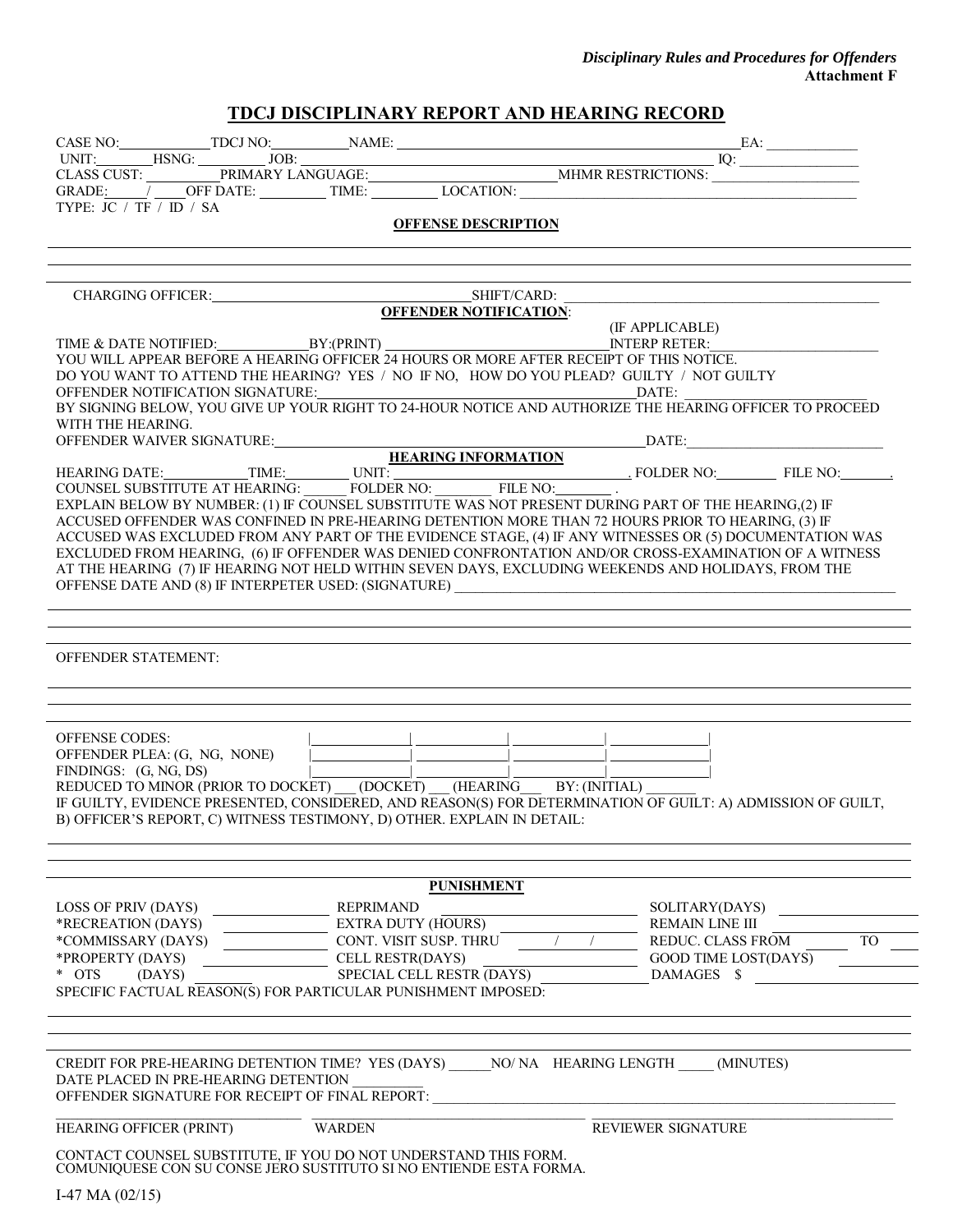#### *Disciplinary Rules and Procedures for Offenders*  **Attachment F**

### **TDCJ DISCIPLINARY REPORT AND HEARING RECORD**

| TYPE: JC / TF / ID / SA<br><b>OFFENSE DESCRIPTION</b>                                                                                                                                                        |                                           |
|--------------------------------------------------------------------------------------------------------------------------------------------------------------------------------------------------------------|-------------------------------------------|
|                                                                                                                                                                                                              |                                           |
|                                                                                                                                                                                                              |                                           |
|                                                                                                                                                                                                              |                                           |
|                                                                                                                                                                                                              |                                           |
| TIME & DATE NOTIFIED: BY:(PRINT) [BY:(PRINT) [IT APPLICABLE)                                                                                                                                                 |                                           |
| YOU WILL APPEAR BEFORE A HEARING OFFICER 24 HOURS OR MORE AFTER RECEIPT OF THIS NOTICE.<br>DO YOU WANT TO ATTEND THE HEARING? YES / NO IF NO, HOW DO YOU PLEAD? GUILTY / NOT GUILTY                          |                                           |
| OFFENDER NOTIFICATION SIGNATURE:<br>BY SIGNING BELOW, YOU GIVE UP YOUR RIGHT TO 24-HOUR NOTICE AND AUTHORIZE THE HEARING OFFICER TO PROCEED                                                                  |                                           |
| WITH THE HEARING.                                                                                                                                                                                            |                                           |
|                                                                                                                                                                                                              |                                           |
| OFFENDER WAIVER SIGNATURE:<br>HEARING DATE: TIME: UNIT: UNIT: UNIT: FOLDER NO: FILE NO: FILE NO: FILE NO:                                                                                                    |                                           |
|                                                                                                                                                                                                              |                                           |
| EXPLAIN BELOW BY NUMBER: (1) IF COUNSEL SUBSTITUTE WAS NOT PRESENT DURING PART OF THE HEARING, (2) IF<br>ACCUSED OFFENDER WAS CONFINED IN PRE-HEARING DETENTION MORE THAN 72 HOURS PRIOR TO HEARING, (3) IF  |                                           |
| ACCUSED WAS EXCLUDED FROM ANY PART OF THE EVIDENCE STAGE, (4) IF ANY WITNESSES OR (5) DOCUMENTATION WAS                                                                                                      |                                           |
| EXCLUDED FROM HEARING, (6) IF OFFENDER WAS DENIED CONFRONTATION AND/OR CROSS-EXAMINATION OF A WITNESS<br>AT THE HEARING (7) IF HEARING NOT HELD WITHIN SEVEN DAYS, EXCLUDING WEEKENDS AND HOLIDAYS, FROM THE |                                           |
|                                                                                                                                                                                                              |                                           |
|                                                                                                                                                                                                              |                                           |
|                                                                                                                                                                                                              |                                           |
| <b>OFFENDER STATEMENT:</b>                                                                                                                                                                                   |                                           |
|                                                                                                                                                                                                              |                                           |
|                                                                                                                                                                                                              |                                           |
|                                                                                                                                                                                                              |                                           |
| OFFENSE CODES:<br>OFFENDER PLEA: (G, NG, NONE)                                                                                                                                                               |                                           |
| FINDINGS: (G, NG, DS)<br>REDUCED TO MINOR (PRIOR TO DOCKET) (DOCKET) (HEARING BY: (INITIAL)                                                                                                                  |                                           |
| IF GUILTY, EVIDENCE PRESENTED, CONSIDERED, AND REASON(S) FOR DETERMINATION OF GUILT: A) ADMISSION OF GUILT,                                                                                                  |                                           |
| B) OFFICER'S REPORT, C) WITNESS TESTIMONY, D) OTHER. EXPLAIN IN DETAIL:                                                                                                                                      |                                           |
|                                                                                                                                                                                                              |                                           |
|                                                                                                                                                                                                              |                                           |
| <b>PUNISHMENT</b><br>LOSS OF PRIV (DAYS)<br><b>REPRIMAND</b>                                                                                                                                                 | SOLITARY(DAYS)                            |
| <b>EXTRA DUTY (HOURS)</b><br>*RECREATION (DAYS)                                                                                                                                                              | <b>REMAIN LINE III</b>                    |
| CONT. VISIT SUSP. THRU<br>*COMMISSARY (DAYS)                                                                                                                                                                 | <b>REDUC. CLASS FROM</b><br>TO            |
| CELL RESTR(DAYS)<br>*PROPERTY (DAYS)<br>* OTS<br>SPECIAL CELL RESTR (DAYS)<br>(DAYS)                                                                                                                         | <b>GOOD TIME LOST(DAYS)</b><br>DAMAGES \$ |
| SPECIFIC FACTUAL REASON(S) FOR PARTICULAR PUNISHMENT IMPOSED:                                                                                                                                                |                                           |
|                                                                                                                                                                                                              |                                           |
|                                                                                                                                                                                                              |                                           |
| CREDIT FOR PRE-HEARING DETENTION TIME? YES (DAYS) NO/NA HEARING LENGTH (MINUTES)                                                                                                                             |                                           |
| DATE PLACED IN PRE-HEARING DETENTION<br>OFFENDER SIGNATURE FOR RECEIPT OF FINAL REPORT:                                                                                                                      |                                           |
|                                                                                                                                                                                                              |                                           |
| HEARING OFFICER (PRINT)<br><b>WARDEN</b>                                                                                                                                                                     | <b>REVIEWER SIGNATURE</b>                 |
| CONTACT COUNSEL SUBSTITUTE, IF YOU DO NOT UNDERSTAND THIS FORM.<br>COMUNIQUESE CON SU CONSE JERO SUSTITUTO SI NO ENTIENDE ESTA FORMA.                                                                        |                                           |
|                                                                                                                                                                                                              |                                           |
| I-47 MA $(02/15)$                                                                                                                                                                                            |                                           |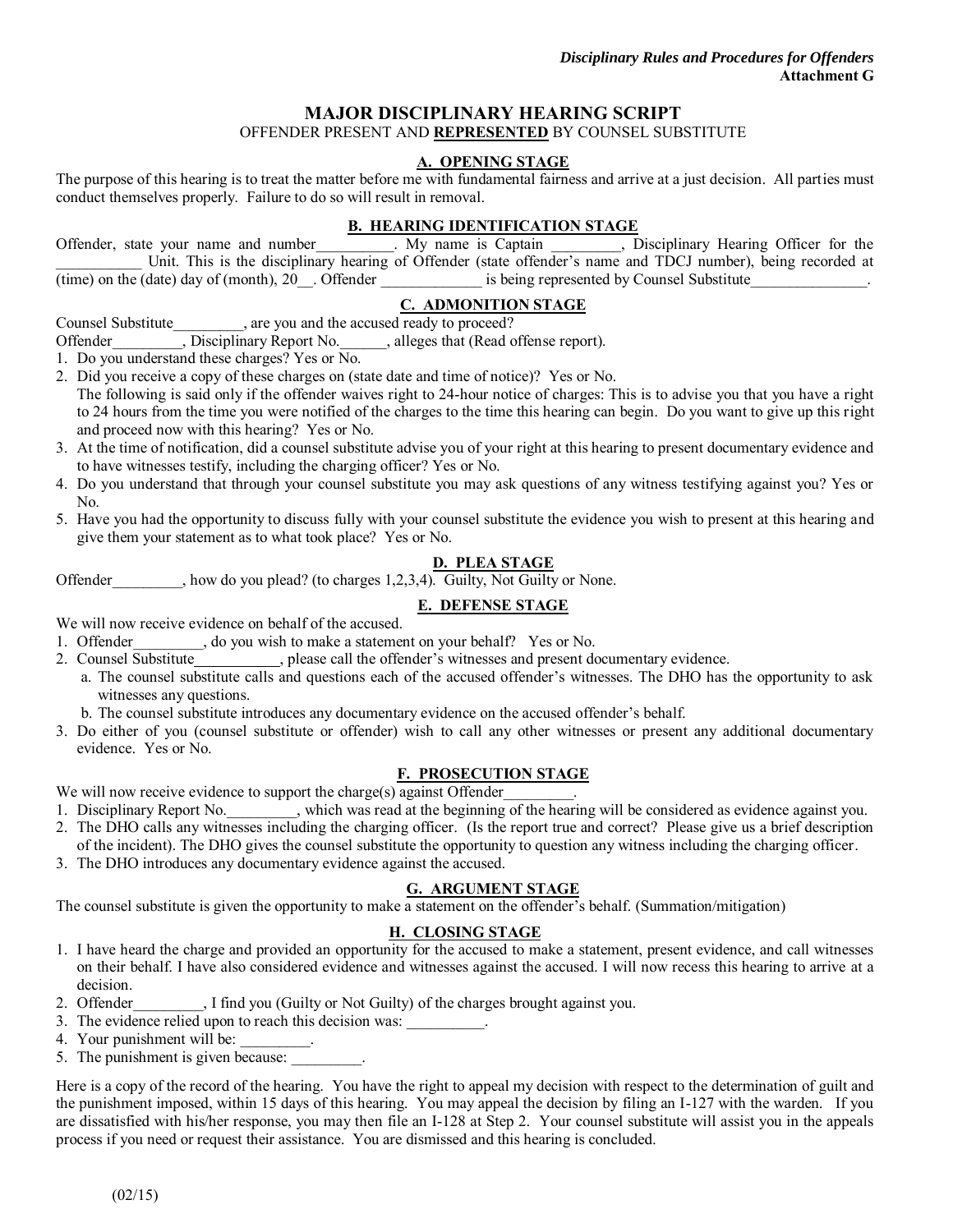#### **MAJOR DISCIPLINARY HEARING SCRIPT**

#### OFFENDER PRESENT AND **REPRESENTED** BY COUNSEL SUBSTITUTE

#### **A. OPENING STAGE**

The purpose of this hearing is to treat the matter before me with fundamental fairness and arrive at a just decision. All parties must conduct themselves properly. Failure to do so will result in removal.

#### **B. HEARING IDENTIFICATION STAGE**

| Offender, state your name and number                 |  |                                                                                                               | . My name is Captain |                                            |  | , Disciplinary Hearing Officer for the |  |  |
|------------------------------------------------------|--|---------------------------------------------------------------------------------------------------------------|----------------------|--------------------------------------------|--|----------------------------------------|--|--|
|                                                      |  | Unit. This is the disciplinary hearing of Offender (state offender's name and TDCJ number), being recorded at |                      |                                            |  |                                        |  |  |
| (time) on the (date) day of (month), 20 __. Offender |  |                                                                                                               |                      | is being represented by Counsel Substitute |  |                                        |  |  |

#### **C. ADMONITION STAGE**

Counsel Substitute\_\_\_\_\_\_\_\_\_, are you and the accused ready to proceed?

Offender\_\_\_\_\_\_\_\_\_, Disciplinary Report No.\_\_\_\_\_\_, alleges that (Read offense report).

1. Do you understand these charges? Yes or No.

- 2. Did you receive a copy of these charges on (state date and time of notice)? Yes or No. The following is said only if the offender waives right to 24-hour notice of charges: This is to advise you that you have a right to 24 hours from the time you were notified of the charges to the time this hearing can begin. Do you want to give up this right and proceed now with this hearing? Yes or No.
- 3. At the time of notification, did a counsel substitute advise you of your right at this hearing to present documentary evidence and to have witnesses testify, including the charging officer? Yes or No.
- 4. Do you understand that through your counsel substitute you may ask questions of any witness testifying against you? Yes or No.
- 5. Have you had the opportunity to discuss fully with your counsel substitute the evidence you wish to present at this hearing and give them your statement as to what took place? Yes or No.

#### **D. PLEA STAGE**

Offender how do you plead? (to charges 1,2,3,4). Guilty, Not Guilty or None.

#### **E. DEFENSE STAGE**

We will now receive evidence on behalf of the accused.

- 1. Offender\_\_\_\_\_\_\_\_, do you wish to make a statement on your behalf? Yes or No.
- 2. Counsel Substitute , please call the offender's witnesses and present documentary evidence.
	- a. The counsel substitute calls and questions each of the accused offender's witnesses. The DHO has the opportunity to ask witnesses any questions.
	- b. The counsel substitute introduces any documentary evidence on the accused offender's behalf.
- 3. Do either of you (counsel substitute or offender) wish to call any other witnesses or present any additional documentary evidence. Yes or No.

#### **F. PROSECUTION STAGE**

We will now receive evidence to support the charge(s) against Offender

- 1. Disciplinary Report No. \_\_\_\_\_\_\_, which was read at the beginning of the hearing will be considered as evidence against you.
- 2. The DHO calls any witnesses including the charging officer. (Is the report true and correct? Please give us a brief description of the incident). The DHO gives the counsel substitute the opportunity to question any witness including the charging officer.
- 3. The DHO introduces any documentary evidence against the accused.

#### **G. ARGUMENT STAGE**

The counsel substitute is given the opportunity to make a statement on the offender's behalf. (Summation/mitigation)

#### **H. CLOSING STAGE**

- 1. I have heard the charge and provided an opportunity for the accused to make a statement, present evidence, and call witnesses on their behalf. I have also considered evidence and witnesses against the accused. I will now recess this hearing to arrive at a decision.
- 2. Offender\_\_\_\_\_\_\_\_\_, I find you (Guilty or Not Guilty) of the charges brought against you.
- 3. The evidence relied upon to reach this decision was:
- 4. Your punishment will be:
- 5. The punishment is given because:

Here is a copy of the record of the hearing. You have the right to appeal my decision with respect to the determination of guilt and the punishment imposed, within 15 days of this hearing. You may appeal the decision by filing an I-127 with the warden. If you are dissatisfied with his/her response, you may then file an I-128 at Step 2. Your counsel substitute will assist you in the appeals process if you need or request their assistance. You are dismissed and this hearing is concluded.